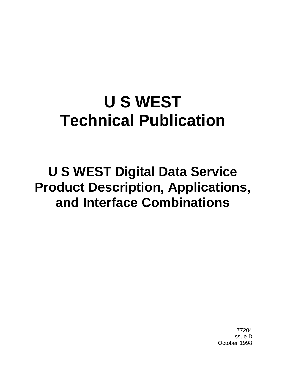# **U S WEST Technical Publication**

**U S WEST Digital Data Service Product Description, Applications, and Interface Combinations**

> 77204 Issue D October 1998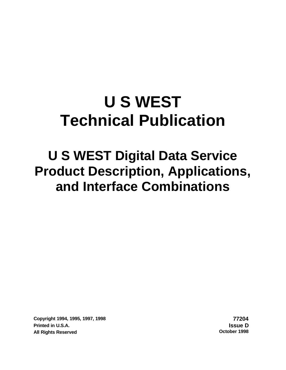# **U S WEST Technical Publication**

# **U S WEST Digital Data Service Product Description, Applications, and Interface Combinations**

**Copyright 1994, 1995, 1997, 1998 77204 Printed in U.S.A. Issue D All Rights Reserved**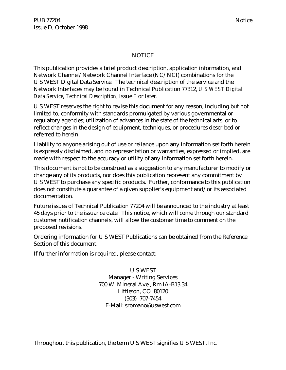#### NOTICE

This publication provides a brief product description, application information, and Network Channel/Network Channel Interface (NC/NCI) combinations for the U S WEST Digital Data Service. The technical description of the service and the Network Interfaces may be found in Technical Publication 77312, *U S WEST Digital Data Service, Technical Description,* Issue E or later.

U S WEST reserves the right to revise this document for any reason, including but not limited to, conformity with standards promulgated by various governmental or regulatory agencies; utilization of advances in the state of the technical arts; or to reflect changes in the design of equipment, techniques, or procedures described or referred to herein.

Liability to anyone arising out of use or reliance upon any information set forth herein is expressly disclaimed, and no representation or warranties, expressed or implied, are made with respect to the accuracy or utility of any information set forth herein.

This document is not to be construed as a suggestion to any manufacturer to modify or change any of its products, nor does this publication represent any commitment by U S WEST to purchase any specific products. Further, conformance to this publication does not constitute a guarantee of a given supplier's equipment and/or its associated documentation.

Future issues of Technical Publication 77204 will be announced to the industry at least 45 days prior to the issuance date. This notice, which will come through our standard customer notification channels, will allow the customer time to comment on the proposed revisions.

Ordering information for U S WEST Publications can be obtained from the Reference Section of this document.

If further information is required, please contact:

U S WEST Manager - Writing Services 700 W. Mineral Ave., Rm IA-B13.34 Littleton, CO 80120 (303) 707-7454 E-Mail: sromano@uswest.com

Throughout this publication, the term U S WEST signifies U S WEST, Inc.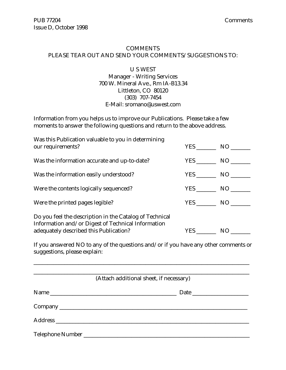#### COMMENTS PLEASE TEAR OUT AND SEND YOUR COMMENTS/SUGGESTIONS TO:

#### U S WEST Manager - Writing Services 700 W. Mineral Ave., Rm IA-B13.34 Littleton, CO 80120 (303) 707-7454 E-Mail: sromano@uswest.com

Information from you helps us to improve our Publications. Please take a few moments to answer the following questions and return to the above address.

| Was this Publication valuable to you in determining<br>our requirements?                                                                                | YES NO     |     |
|---------------------------------------------------------------------------------------------------------------------------------------------------------|------------|-----|
| Was the information accurate and up-to-date?                                                                                                            | YES NO     |     |
| Was the information easily understood?                                                                                                                  | YES NO     |     |
| Were the contents logically sequenced?                                                                                                                  | YES NO     |     |
| Were the printed pages legible?                                                                                                                         | YES NO     |     |
| Do you feel the description in the Catalog of Technical<br>Information and/or Digest of Technical Information<br>adequately described this Publication? | <b>YES</b> | NO. |

If you answered NO to any of the questions and/or if you have any other comments or suggestions, please explain:

\_\_\_\_\_\_\_\_\_\_\_\_\_\_\_\_\_\_\_\_\_\_\_\_\_\_\_\_\_\_\_\_\_\_\_\_\_\_\_\_\_\_\_\_\_\_\_\_\_\_\_\_\_\_\_\_\_\_\_\_\_\_\_\_\_\_\_\_\_\_\_\_\_\_\_\_\_

| (Attach additional sheet, if necessary) |  |  |
|-----------------------------------------|--|--|
|                                         |  |  |
|                                         |  |  |
|                                         |  |  |
|                                         |  |  |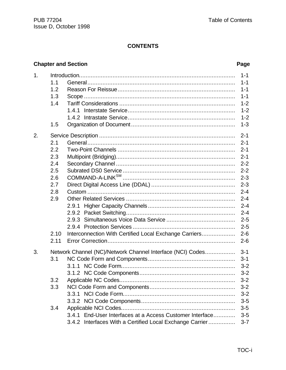## **CONTENTS**

# **Chapter and Section**

#### Page

| 1. |      |                                                                                                                                                                           | $1 - 1$ |
|----|------|---------------------------------------------------------------------------------------------------------------------------------------------------------------------------|---------|
|    | 1.1  |                                                                                                                                                                           | $1 - 1$ |
|    | 1.2  |                                                                                                                                                                           | $1 - 1$ |
|    | 1.3  |                                                                                                                                                                           | $1 - 1$ |
|    | 1.4  |                                                                                                                                                                           | $1 - 2$ |
|    |      |                                                                                                                                                                           | $1 - 2$ |
|    |      |                                                                                                                                                                           | $1 - 2$ |
|    | 1.5  |                                                                                                                                                                           | $1 - 3$ |
| 2. |      |                                                                                                                                                                           | $2 - 1$ |
|    | 2.1  |                                                                                                                                                                           | $2 - 1$ |
|    | 2.2  |                                                                                                                                                                           | $2 - 1$ |
|    | 2.3  |                                                                                                                                                                           | $2 - 1$ |
|    | 2.4  |                                                                                                                                                                           | $2 - 2$ |
|    | 2.5  |                                                                                                                                                                           | $2 - 2$ |
|    | 2.6  | $\begin{minipage}{.4\linewidth} \textbf{COMMAND-A-LINK}^{\textbf{SM}} \end{minipage} \begin{minipage}{.4\linewidth} \textbf{COMMAND-A-LINK}^{\textbf{SM}} \end{minipage}$ | $2 - 3$ |
|    | 2.7  |                                                                                                                                                                           | $2 - 3$ |
|    | 2.8  |                                                                                                                                                                           | $2 - 4$ |
|    | 2.9  |                                                                                                                                                                           | $2 - 4$ |
|    |      | 2.9.1                                                                                                                                                                     | $2 - 4$ |
|    |      | 2.9.2                                                                                                                                                                     | $2 - 4$ |
|    |      |                                                                                                                                                                           | $2 - 5$ |
|    |      |                                                                                                                                                                           | $2 - 5$ |
|    | 2.10 | Interconnection With Certified Local Exchange Carriers                                                                                                                    | $2 - 6$ |
|    | 2.11 |                                                                                                                                                                           | $2 - 6$ |
| 3. |      | Network Channel (NC)/Network Channel Interface (NCI) Codes                                                                                                                | $3 - 1$ |
|    | 3.1  |                                                                                                                                                                           | $3 - 1$ |
|    |      |                                                                                                                                                                           | $3 - 2$ |
|    |      |                                                                                                                                                                           | $3 - 2$ |
|    | 3.2  |                                                                                                                                                                           | $3 - 2$ |
|    | 3.3  |                                                                                                                                                                           | $3 - 2$ |
|    |      |                                                                                                                                                                           | $3 - 2$ |
|    |      |                                                                                                                                                                           | $3-5$   |
|    | 3.4  |                                                                                                                                                                           | $3-5$   |
|    |      | 3.4.1 End-User Interfaces at a Access Customer Interface                                                                                                                  | $3-5$   |
|    |      | 3.4.2 Interfaces With a Certified Local Exchange Carrier                                                                                                                  | $3 - 7$ |
|    |      |                                                                                                                                                                           |         |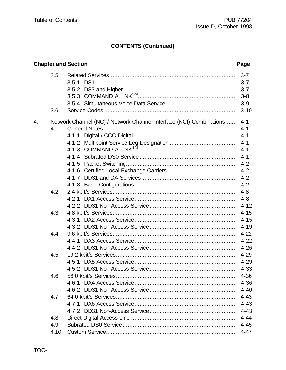#### **Chapter and Section** Page  $3.5$  $3 - 7$  $3 - 7$  $3 - 7$  $3 - 8$  $3-9$ 3.6  $3 - 10$ Network Channel (NC) / Network Channel Interface (NCI) Combinations......  $\overline{4}$ .  $4 - 1$  $4.1$  $4 - 1$  $4 - 1$  $4 - 1$  $4 - 1$  $4 - 1$  $4 - 2$  $4 - 2$  $4 - 2$  $4.2$ -4-8 4.3  $4 - 15$  $4 - 15$  $4 - 19$  $4.4$  $4 - 22$  $4 - 26$ 4.5  $4 - 29$  $4 - 29$ 4-33  $4.6$ 4-36  $4 - 40$  $4.7$  $4 - 43$  $4 - 43$  $4 - 43$ 4.8 4.9 4.10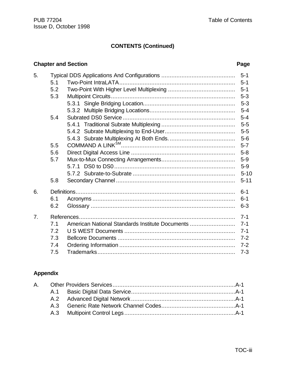### **Chapter and Section** *Page*

| 5. |     |                                                 |          |
|----|-----|-------------------------------------------------|----------|
|    | 5.1 |                                                 | $5 - 1$  |
|    | 5.2 |                                                 |          |
|    | 5.3 |                                                 | $5 - 3$  |
|    |     |                                                 |          |
|    |     |                                                 | $5 - 4$  |
|    | 5.4 |                                                 |          |
|    |     |                                                 |          |
|    |     |                                                 | $5-5$    |
|    |     |                                                 |          |
|    | 5.5 |                                                 | $5 - 7$  |
|    | 5.6 |                                                 |          |
|    | 5.7 |                                                 | $5-9$    |
|    |     |                                                 | $5-9$    |
|    |     |                                                 | $5 - 10$ |
|    | 5.8 |                                                 | $5 - 11$ |
| 6. |     |                                                 | $6 - 1$  |
|    | 6.1 |                                                 | $6 - 1$  |
|    | 6.2 |                                                 | $6 - 3$  |
| 7. |     |                                                 | $7 - 1$  |
|    | 7.1 | American National Standards Institute Documents | $7 - 1$  |
|    | 7.2 |                                                 |          |
|    | 7.3 |                                                 |          |
|    | 7.4 |                                                 | $7 - 2$  |
|    | 7.5 |                                                 | $7 - 3$  |

# **Appendix**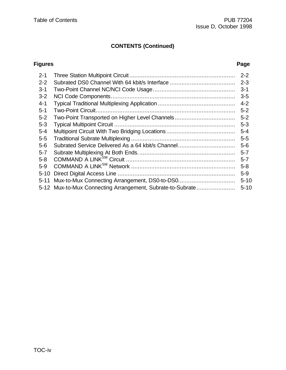#### **Figures Page**

| $2 - 1$  |                                                            | $2 - 2$  |
|----------|------------------------------------------------------------|----------|
| $2 - 2$  |                                                            | $2 - 3$  |
| $3 - 1$  |                                                            | $3 - 1$  |
| $3 - 2$  |                                                            | $3-5$    |
| $4 - 1$  |                                                            | $4 - 2$  |
| $5 - 1$  |                                                            | $5 - 2$  |
| $5 - 2$  |                                                            | $5 - 2$  |
| $5 - 3$  |                                                            | $5 - 3$  |
| $5 - 4$  |                                                            | $5 - 4$  |
| $5-5$    |                                                            | $5 - 5$  |
| $5-6$    | Subrated Service Delivered As a 64 kbit/s Channel          | $5-6$    |
| $5 - 7$  |                                                            | $5 - 7$  |
| $5 - 8$  |                                                            | $5 - 7$  |
| $5-9$    |                                                            | $5 - 8$  |
| $5 - 10$ |                                                            | $5-9$    |
| $5 - 11$ | Mux-to-Mux Connecting Arrangement, DS0-to-DS0              | $5 - 10$ |
|          | 5-12 Mux-to-Mux Connecting Arrangement, Subrate-to-Subrate | $5 - 10$ |
|          |                                                            |          |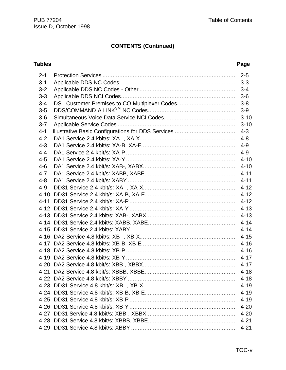| $2 - 1$  |         | $2 - 5$  |  |
|----------|---------|----------|--|
| $3 - 1$  |         | $3 - 3$  |  |
| $3 - 2$  | $3 - 4$ |          |  |
| $3 - 3$  |         |          |  |
| $3 - 4$  |         |          |  |
| $3-5$    |         | $3-9$    |  |
| $3-6$    |         | $3 - 10$ |  |
| $3 - 7$  |         | $3 - 10$ |  |
| $4 - 1$  |         | $4 - 3$  |  |
| $4 - 2$  |         | $4 - 8$  |  |
| $4 - 3$  |         | $4 - 9$  |  |
| $4 - 4$  |         | $4 - 9$  |  |
| $4 - 5$  |         | $4 - 10$ |  |
| $4 - 6$  |         | $4 - 10$ |  |
| $4 - 7$  |         | $4 - 11$ |  |
| $4 - 8$  |         |          |  |
| $4 - 9$  |         |          |  |
| $4 - 10$ |         | $4 - 12$ |  |
| $4 - 11$ |         | $4 - 12$ |  |
|          |         | $4 - 13$ |  |
|          |         | $4 - 13$ |  |
|          |         | $4 - 14$ |  |
|          |         | $4 - 14$ |  |
|          |         | $4 - 15$ |  |
|          |         | $4 - 16$ |  |
|          |         | $4 - 16$ |  |
|          |         | $4 - 17$ |  |
|          |         | 4-17     |  |
|          |         |          |  |
|          |         | $4 - 18$ |  |
|          |         | $4 - 19$ |  |
|          |         | $4 - 19$ |  |
|          |         | $4 - 19$ |  |
|          |         | $4 - 20$ |  |
|          |         | $4 - 20$ |  |
|          |         | $4 - 21$ |  |
|          |         | $4 - 21$ |  |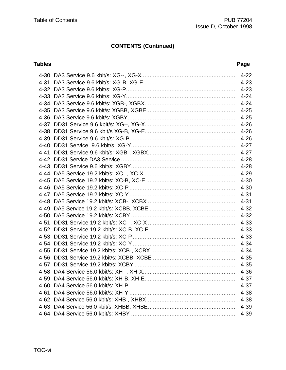|      | $4 - 22$ |
|------|----------|
| 4-31 | $4 - 23$ |
|      | $4 - 23$ |
|      | $4 - 24$ |
|      | $4 - 24$ |
|      | $4 - 25$ |
|      | $4 - 25$ |
|      | $4 - 26$ |
|      | $4 - 26$ |
|      | $4 - 26$ |
|      | $4 - 27$ |
|      | $4 - 27$ |
|      | $4 - 28$ |
|      | $4 - 28$ |
|      | $4 - 29$ |
|      | $4 - 30$ |
|      | $4 - 30$ |
|      | $4 - 31$ |
|      | $4 - 31$ |
|      | $4 - 32$ |
|      | $4 - 32$ |
|      | $4 - 33$ |
|      | $4 - 33$ |
|      | $4 - 33$ |
|      | $4 - 34$ |
|      | $4 - 34$ |
|      | $4 - 35$ |
|      | $4 - 35$ |
|      | $4 - 36$ |
|      | $4 - 37$ |
|      | 4-37     |
|      | $4 - 38$ |
|      | $4 - 38$ |
|      | 4-39     |
|      | 4-39     |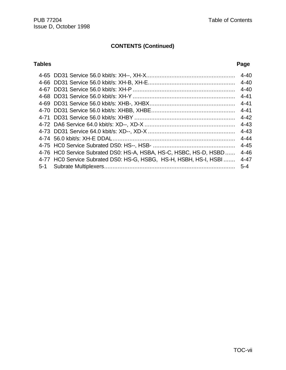|                                                                   | $4 - 40$ |
|-------------------------------------------------------------------|----------|
|                                                                   | $4 - 40$ |
|                                                                   | $4 - 40$ |
|                                                                   | $4 - 41$ |
|                                                                   | $4 - 41$ |
|                                                                   | $4 - 41$ |
|                                                                   | $4 - 42$ |
|                                                                   | $4 - 43$ |
|                                                                   | $4 - 43$ |
|                                                                   | $4 - 44$ |
|                                                                   | $4 - 45$ |
| 4-76 HC0 Service Subrated DS0: HS-A, HSBA, HS-C, HSBC, HS-D, HSBD | $4 - 46$ |
| 4-77 HC0 Service Subrated DS0: HS-G, HSBG, HS-H, HSBH, HS-I, HSBI | $4 - 47$ |
|                                                                   | $5 - 4$  |
|                                                                   |          |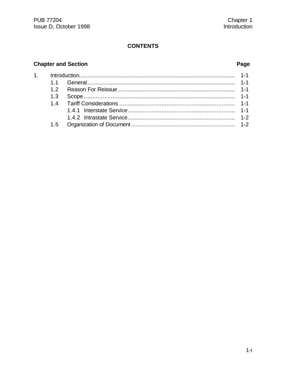### **CONTENTS**

# **Chapter and Section**

### Page

| 1.5 |  |
|-----|--|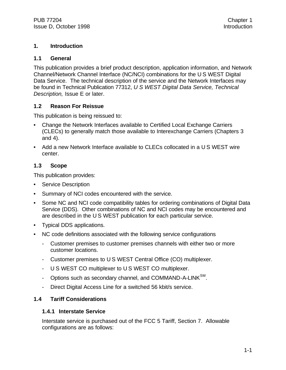#### **1. Introduction**

#### **1.1 General**

This publication provides a brief product description, application information, and Network Channel/Network Channel Interface (NC/NCI) combinations for the U S WEST Digital Data Service. The technical description of the service and the Network Interfaces may be found in Technical Publication 77312, *U S WEST Digital Data Service, Technical Description,* Issue E or later.

#### **1.2 Reason For Reissue**

This publication is being reissued to:

- Change the Network Interfaces available to Certified Local Exchange Carriers (CLECs) to generally match those available to Interexchange Carriers (Chapters 3 and 4).
- Add a new Network Interface available to CLECs collocated in a U S WEST wire center.

#### **1.3 Scope**

This publication provides:

- **Service Description**
- Summary of NCI codes encountered with the service.
- Some NC and NCI code compatibility tables for ordering combinations of Digital Data Service (DDS). Other combinations of NC and NCI codes may be encountered and are described in the U S WEST publication for each particular service.
- Typical DDS applications.
- NC code definitions associated with the following service configurations
	- Customer premises to customer premises channels with either two or more customer locations.
	- Customer premises to U S WEST Central Office (CO) multiplexer.
	- U S WEST CO multiplexer to U S WEST CO multiplexer.
	- Options such as secondary channel, and COMMAND-A-LINK<sup>SM</sup>.
	- Direct Digital Access Line for a switched 56 kbit/s service.

#### **1.4 Tariff Considerations**

#### **1.4.1 Interstate Service**

Interstate service is purchased out of the FCC 5 Tariff, Section 7. Allowable configurations are as follows: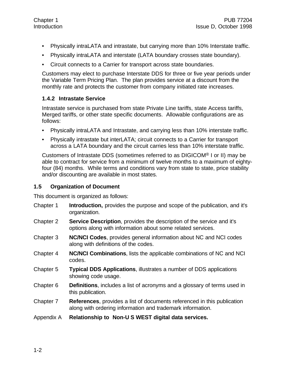- Physically intraLATA and intrastate, but carrying more than 10% Interstate traffic.
- Physically intraLATA and interstate (LATA boundary crosses state boundary).
- Circuit connects to a Carrier for transport across state boundaries.

Customers may elect to purchase Interstate DDS for three or five year periods under the Variable Term Pricing Plan. The plan provides service at a discount from the monthly rate and protects the customer from company initiated rate increases.

#### **1.4.2 Intrastate Service**

Intrastate service is purchased from state Private Line tariffs, state Access tariffs, Merged tariffs, or other state specific documents. Allowable configurations are as follows:

- Physically intraLATA and Intrastate, and carrying less than 10% interstate traffic.
- Physically intrastate but interLATA; circuit connects to a Carrier for transport across a LATA boundary and the circuit carries less than 10% interstate traffic.

Customers of Intrastate DDS (sometimes referred to as DIGICOM® I or II) may be able to contract for service from a minimum of twelve months to a maximum of eightyfour (84) months. While terms and conditions vary from state to state, price stability and/or discounting are available in most states.

#### **1.5 Organization of Document**

This document is organized as follows:

- Chapter 1 **Introduction,** provides the purpose and scope of the publication, and it's organization.
- Chapter 2 **Service Description**, provides the description of the service and it's options along with information about some related services.
- Chapter 3 **NC/NCI Codes**, provides general information about NC and NCI codes along with definitions of the codes.
- Chapter 4 **NC/NCI Combinations**, lists the applicable combinations of NC and NCI codes.
- Chapter 5 **Typical DDS Applications**, illustrates a number of DDS applications showing code usage.
- Chapter 6 **Definitions**, includes a list of acronyms and a glossary of terms used in this publication.
- Chapter 7 **References**, provides a list of documents referenced in this publication along with ordering information and trademark information.
- Appendix A **Relationship to Non-U S WEST digital data services.**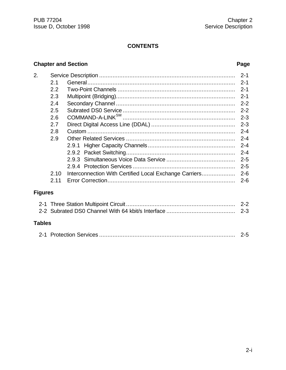### **CONTENTS**

#### **Chapter and Section Page**

| 2.             |      |                                                        | $2 - 1$ |
|----------------|------|--------------------------------------------------------|---------|
|                | 2.1  |                                                        | $2 - 1$ |
|                | 2.2  |                                                        | $2 - 1$ |
|                | 2.3  |                                                        | $2 - 1$ |
|                | 2.4  |                                                        | $2 - 2$ |
|                | 2.5  |                                                        | $2 - 2$ |
|                | 2.6  |                                                        | $2 - 3$ |
|                | 2.7  |                                                        | $2 - 3$ |
|                | 2.8  |                                                        | $2 - 4$ |
|                | 2.9  |                                                        | $2 - 4$ |
|                |      | 2.9.1                                                  | $2 - 4$ |
|                |      |                                                        | $2 - 4$ |
|                |      |                                                        | $2 - 5$ |
|                |      |                                                        | $2 - 5$ |
|                | 2.10 | Interconnection With Certified Local Exchange Carriers | $2 - 6$ |
|                | 2.11 |                                                        |         |
| <b>Figures</b> |      |                                                        |         |
|                |      |                                                        |         |
|                |      |                                                        | $2 - 3$ |
| <b>Tables</b>  |      |                                                        |         |
|                |      |                                                        | $2 - 5$ |
|                |      |                                                        |         |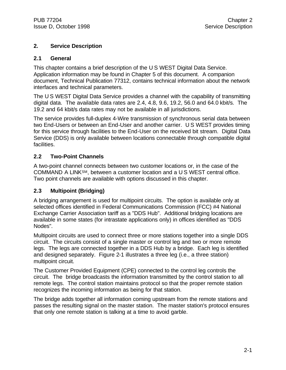#### **2. Service Description**

#### **2.1 General**

This chapter contains a brief description of the U S WEST Digital Data Service. Application information may be found in Chapter 5 of this document. A companion document, Technical Publication 77312, contains technical information about the network interfaces and technical parameters.

The U S WEST Digital Data Service provides a channel with the capability of transmitting digital data. The available data rates are 2.4, 4.8, 9.6, 19.2, 56.0 and 64.0 kbit/s. The 19.2 and 64 kbit/s data rates may not be available in all jurisdictions.

The service provides full-duplex 4-Wire transmission of synchronous serial data between two End-Users or between an End-User and another carrier. U S WEST provides timing for this service through facilities to the End-User on the received bit stream. Digital Data Service (DDS) is only available between locations connectable through compatible digital facilities.

#### **2.2 Two-Point Channels**

A two-point channel connects between two customer locations or, in the case of the COMMAND A LINKSM, between a customer location and a U S WEST central office. Two point channels are available with options discussed in this chapter.

#### **2.3 Multipoint (Bridging)**

A bridging arrangement is used for multipoint circuits. The option is available only at selected offices identified in Federal Communications Commission (FCC) #4 National Exchange Carrier Association tariff as a "DDS Hub". Additional bridging locations are available in some states (for intrastate applications only) in offices identified as "DDS Nodes".

Multipoint circuits are used to connect three or more stations together into a single DDS circuit. The circuits consist of a single master or control leg and two or more remote legs. The legs are connected together in a DDS Hub by a bridge. Each leg is identified and designed separately. Figure 2-1 illustrates a three leg (i.e., a three station) multipoint circuit.

The Customer Provided Equipment (CPE) connected to the control leg controls the circuit. The bridge broadcasts the information transmitted by the control station to all remote legs. The control station maintains protocol so that the proper remote station recognizes the incoming information as being for that station.

The bridge adds together all information coming upstream from the remote stations and passes the resulting signal on the master station. The master station's protocol ensures that only one remote station is talking at a time to avoid garble.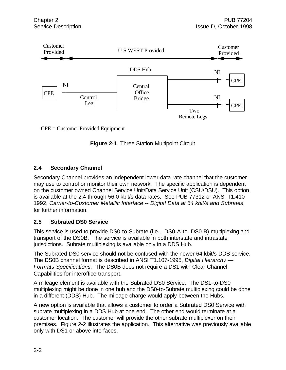

CPE = Customer Provided Equipment

**Figure 2-1** Three Station Multipoint Circuit

### **2.4 Secondary Channel**

Secondary Channel provides an independent lower-data rate channel that the customer may use to control or monitor their own network. The specific application is dependent on the customer owned Channel Service Unit/Data Service Unit (CSU/DSU). This option is available at the 2.4 through 56.0 kbit/s data rates. See PUB 77312 or ANSI T1.410- 1992, *Carrier-to-Customer Metallic Interface -- Digital Data at 64 kbit/s and Subrates*, for further information.

#### **2.5 Subrated DS0 Service**

This service is used to provide DS0-to-Subrate (i.e., DS0-A-to- DS0-B) multiplexing and transport of the DS0B. The service is available in both interstate and intrastate jurisdictions. Subrate multiplexing is available only in a DDS Hub.

The Subrated DS0 service should not be confused with the newer 64 kbit/s DDS service. The DS0B channel format is described in ANSI T1.107-1995, *Digital Hierarchy — Formats Specifications.* The DS0B does not require a DS1 with Clear Channel Capabilities for interoffice transport.

A mileage element is available with the Subrated DS0 Service. The DS1-to-DS0 multiplexing might be done in one hub and the DS0-to-Subrate multiplexing could be done in a different (DDS) Hub. The mileage charge would apply between the Hubs.

A new option is available that allows a customer to order a Subrated DS0 Service with subrate multiplexing in a DDS Hub at one end. The other end would terminate at a customer location. The customer will provide the other subrate multiplexer on their premises. Figure 2-2 illustrates the application. This alternative was previously available only with DS1 or above interfaces.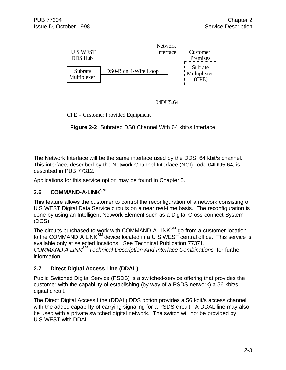

CPE = Customer Provided Equipment

**Figure 2-2** Subrated DS0 Channel With 64 kbit/s Interface

The Network Interface will be the same interface used by the DDS 64 kbit/s channel. This interface, described by the Network Channel Interface (NCI) code 04DU5.64, is described in PUB 77312.

Applications for this service option may be found in Chapter 5.

#### **2.6 COMMAND-A-LINKSM**

This feature allows the customer to control the reconfiguration of a network consisting of U S WEST Digital Data Service circuits on a near real-time basis. The reconfiguration is done by using an Intelligent Network Element such as a Digital Cross-connect System (DCS).

The circuits purchased to work with COMMAND A LINK $^{SM}$  go from a customer location to the COMMAND A LINK $^{SM}$  device located in a U S WEST central office. This service is available only at selected locations. See Technical Publication 77371, *COMMAND A LINKSM Technical Description And Interface Combinations,* for further information.

### **2.7 Direct Digital Access Line (DDAL)**

Public Switched Digital Service (PSDS) is a switched-service offering that provides the customer with the capability of establishing (by way of a PSDS network) a 56 kbit/s digital circuit.

The Direct Digital Access Line (DDAL) DDS option provides a 56 kbit/s access channel with the added capability of carrying signaling for a PSDS circuit. A DDAL line may also be used with a private switched digital network. The switch will not be provided by U S WEST with DDAL.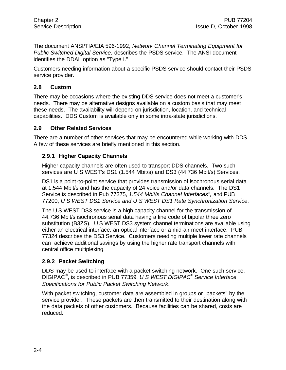The document ANSI/TIA/EIA 596-1992, *Network Channel Terminating Equipment for Public Switched Digital Service,* describes the PSDS service. The ANSI document identifies the DDAL option as "Type I."

Customers needing information about a specific PSDS service should contact their PSDS service provider.

#### **2.8 Custom**

There may be occasions where the existing DDS service does not meet a customer's needs. There may be alternative designs available on a custom basis that may meet these needs. The availability will depend on jurisdiction, location, and technical capabilities. DDS Custom is available only in some intra-state jurisdictions.

#### **2.9 Other Related Services**

There are a number of other services that may be encountered while working with DDS. A few of these services are briefly mentioned in this section.

#### **2.9.1 Higher Capacity Channels**

Higher capacity channels are often used to transport DDS channels. Two such services are U S WEST's DS1 (1.544 Mbit/s) and DS3 (44.736 Mbit/s) Services.

DS1 is a point-to-point service that provides transmission of isochronous serial data at 1.544 Mbit/s and has the capacity of 24 voice and/or data channels. The DS1 Service is described in Pub 77375, *1.544 Mbit/s Channel Interfaces",* and PUB 77200, *U S WEST DS1 Service and U S WEST DS1 Rate Synchronization Service*.

The U S WEST DS3 service is a high-capacity channel for the transmission of 44.736 Mbit/s isochronous serial data having a line code of bipolar three zero substitution (B3ZS). U S WEST DS3 system channel terminations are available using either an electrical interface, an optical interface or a mid-air meet interface. PUB 77324 describes the DS3 Service. Customers needing multiple lower rate channels can achieve additional savings by using the higher rate transport channels with central office multiplexing.

#### **2.9.2 Packet Switching**

DDS may be used to interface with a packet switching network. One such service, DIGIPAC® , is described in PUB 77359, *U S WEST DIGIPAC® Service Interface Specifications for Public Packet Switching Network*.

With packet switching, customer data are assembled in groups or "packets" by the service provider. These packets are then transmitted to their destination along with the data packets of other customers. Because facilities can be shared, costs are reduced.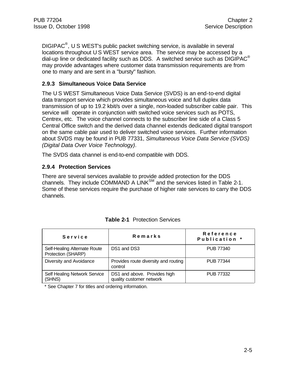DIGIPAC<sup>®</sup>, U S WEST's public packet switching service, is available in several locations throughout U S WEST service area. The service may be accessed by a dial-up line or dedicated facility such as DDS. A switched service such as  $DIGIPAC^{\otimes}$ may provide advantages where customer data transmission requirements are from one to many and are sent in a "bursty" fashion.

#### **2.9.3 Simultaneous Voice Data Service**

The U S WEST Simultaneous Voice Data Service (SVDS) is an end-to-end digital data transport service which provides simultaneous voice and full duplex data transmission of up to 19.2 kbit/s over a single, non-loaded subscriber cable pair. This service will operate in conjunction with switched voice services such as POTS, Centrex, etc. The voice channel connects to the subscriber line side of a Class 5 Central Office switch and the derived data channel extends dedicated digital transport on the same cable pair used to deliver switched voice services. Further information about SVDS may be found in PUB 77331, *Simultaneous Voice Data Service (SVDS) (Digital Data Over Voice Technology)*.

The SVDS data channel is end-to-end compatible with DDS.

#### **2.9.4 Protection Services**

There are several services available to provide added protection for the DDS channels. They include COMMAND A LINK<sup>SM</sup> and the services listed in Table 2-1. Some of these services require the purchase of higher rate services to carry the DDS channels.

| Service                                            | Remarks                                                  | Reference<br>Publication * |
|----------------------------------------------------|----------------------------------------------------------|----------------------------|
| Self-Healing Alternate Route<br>Protection (SHARP) | DS1 and DS3                                              | <b>PUB 77340</b>           |
| Diversity and Avoidance                            | Provides route diversity and routing<br>control          | <b>PUB 77344</b>           |
| Self Healing Network Service<br>(SHNS)             | DS1 and above. Provides high<br>quality customer network | <b>PUB 77332</b>           |

|  | <b>Table 2-1</b> Protection Services |  |
|--|--------------------------------------|--|
|  |                                      |  |

\* See Chapter 7 for titles and ordering information.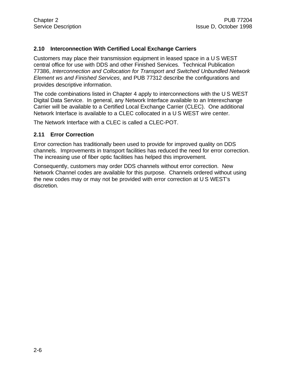#### **2.10 Interconnection With Certified Local Exchange Carriers**

Customers may place their transmission equipment in leased space in a U S WEST central office for use with DDS and other Finished Services. Technical Publication 77386, *Interconnection and Collocation for Transport and Switched Unbundled Network Element ws and Finished Services*, and PUB 77312 describe the configurations and provides descriptive information.

The code combinations listed in Chapter 4 apply to interconnections with the U S WEST Digital Data Service. In general, any Network Interface available to an Interexchange Carrier will be available to a Certified Local Exchange Carrier (CLEC). One additional Network Interface is available to a CLEC collocated in a U S WEST wire center.

The Network Interface with a CLEC is called a CLEC-POT.

#### **2.11 Error Correction**

Error correction has traditionally been used to provide for improved quality on DDS channels. Improvements in transport facilities has reduced the need for error correction. The increasing use of fiber optic facilities has helped this improvement.

Consequently, customers may order DDS channels without error correction. New Network Channel codes are available for this purpose. Channels ordered without using the new codes may or may not be provided with error correction at U S WEST's discretion.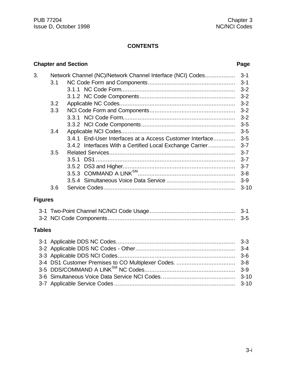### **CONTENTS**

### **Chapter and Section Page**

| 3.             |       | Network Channel (NC)/Network Channel Interface (NCI) Codes | $3 - 1$  |  |  |  |
|----------------|-------|------------------------------------------------------------|----------|--|--|--|
|                | 3.1   |                                                            |          |  |  |  |
|                |       |                                                            |          |  |  |  |
|                |       |                                                            |          |  |  |  |
|                | 3.2   |                                                            |          |  |  |  |
|                | 3.3   |                                                            | $3 - 2$  |  |  |  |
|                |       |                                                            | $3 - 2$  |  |  |  |
|                |       |                                                            | $3-5$    |  |  |  |
|                | 3.4   |                                                            | $3-5$    |  |  |  |
|                |       | 3.4.1 End-User Interfaces at a Access Customer Interface   | $3-5$    |  |  |  |
|                |       | 3.4.2 Interfaces With a Certified Local Exchange Carrier   | $3 - 7$  |  |  |  |
|                | 3.5   |                                                            | $3 - 7$  |  |  |  |
|                |       |                                                            | $3 - 7$  |  |  |  |
|                |       |                                                            | $3 - 7$  |  |  |  |
|                |       |                                                            |          |  |  |  |
|                |       |                                                            |          |  |  |  |
|                | 3.6   |                                                            | $3 - 10$ |  |  |  |
| <b>Figures</b> |       |                                                            |          |  |  |  |
|                |       |                                                            |          |  |  |  |
|                |       |                                                            | $3-5$    |  |  |  |
| <b>Tables</b>  |       |                                                            |          |  |  |  |
|                |       |                                                            |          |  |  |  |
|                |       |                                                            | $3 - 4$  |  |  |  |
|                | $3-6$ |                                                            |          |  |  |  |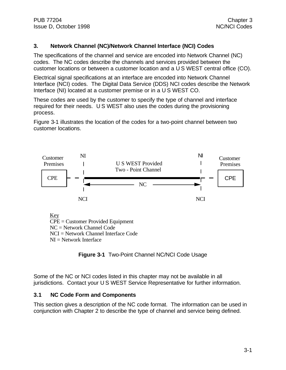#### **3. Network Channel (NC)/Network Channel Interface (NCI) Codes**

The specifications of the channel and service are encoded into Network Channel (NC) codes. The NC codes describe the channels and services provided between the customer locations or between a customer location and a U S WEST central office (CO).

Electrical signal specifications at an interface are encoded into Network Channel Interface (NCI) codes. The Digital Data Service (DDS) NCI codes describe the Network Interface (NI) located at a customer premise or in a U S WEST CO.

These codes are used by the customer to specify the type of channel and interface required for their needs. U S WEST also uses the codes during the provisioning process.

Figure 3-1 illustrates the location of the codes for a two-point channel between two customer locations.



**Figure 3-1** Two-Point Channel NC/NCI Code Usage

Some of the NC or NCI codes listed in this chapter may not be available in all jurisdictions. Contact your U S WEST Service Representative for further information.

#### **3.1 NC Code Form and Components**

This section gives a description of the NC code format. The information can be used in conjunction with Chapter 2 to describe the type of channel and service being defined.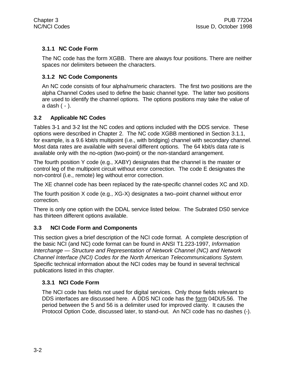### **3.1.1 NC Code Form**

The NC code has the form XGBB. There are always four positions. There are neither spaces nor delimiters between the characters.

#### **3.1.2 NC Code Components**

An NC code consists of four alpha/numeric characters. The first two positions are the alpha Channel Codes used to define the basic channel type. The latter two positions are used to identify the channel options. The options positions may take the value of a dash ( - ).

#### **3.2 Applicable NC Codes**

Tables 3-1 and 3-2 list the NC codes and options included with the DDS service. These options were described in Chapter 2. The NC code XGBB mentioned in Section 3.1.1, for example, is a 9.6 kbit/s multipoint (i.e., with bridging) channel with secondary channel. Most data rates are available with several different options. The 64 kbit/s data rate is available only with the no-option (two-point) or the non-standard arrangement.

The fourth position Y code (e.g., XABY) designates that the channel is the master or control leg of the multipoint circuit without error correction. The code E designates the non-control (i.e., remote) leg without error correction.

The XE channel code has been replaced by the rate-specific channel codes XC and XD.

The fourth position X code (e.g., XG-X) designates a two–point channel without error correction.

There is only one option with the DDAL service listed below. The Subrated DS0 service has thirteen different options available.

#### **3.3 NCI Code Form and Components**

This section gives a brief description of the NCI code format. A complete description of the basic NCI (and NC) code format can be found in ANSI T1.223-1997, *Information Interchange — Structure and Representation of Network Channel (NC) and Network Channel Interface (NCI) Codes for the North American Telecommunications System.* Specific technical information about the NCI codes may be found in several technical publications listed in this chapter.

#### **3.3.1 NCI Code Form**

The NCI code has fields not used for digital services. Only those fields relevant to DDS interfaces are discussed here. A DDS NCI code has the form 04DU5.56. The period between the 5 and 56 is a delimiter used for improved clarity. It causes the Protocol Option Code, discussed later, to stand-out. An NCI code has no dashes (-).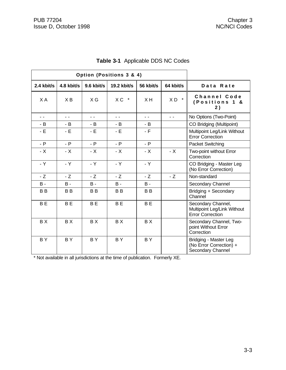|                | Option (Positions 3 & 4) |                |                |                |                           |                                                                              |
|----------------|--------------------------|----------------|----------------|----------------|---------------------------|------------------------------------------------------------------------------|
| $2.4$ kbit/s   | 4.8 kbit/s               | 9.6 kbit/s     | 19.2 kbit/s    | 56 kbit/s      | 64 kbit/s                 | Data Rate                                                                    |
| X A            | XB                       | $X$ G          | $XC$ *         | XH             | $\star$<br>X <sub>D</sub> | Channel Code<br>(Positions 1<br>8.<br>2)                                     |
| $\sim$ $\sim$  | $\sim$ $\sim$            | $\sim$ $\sim$  | $\overline{a}$ | $\sim$ $\sim$  | $\sim$ $\sim$             | No Options (Two-Point)                                                       |
| - B            | - B                      | - B            | - B            | - B            |                           | CO Bridging (Multipoint)                                                     |
| - E            | $-E$                     | - E            | $-E$           | $-F$           |                           | Multipoint Leg/Link Without<br><b>Error Correction</b>                       |
| $- P$          | $- P$                    | $- P$          | $- P$          | $- P$          |                           | <b>Packet Switching</b>                                                      |
| - X            | $- X$                    | $- X$          | $- X$          | $- X$          | $- X$                     | Two-point without Error<br>Correction                                        |
| - Y            | - Y                      | $-Y$           | $-Y$           | - Y            |                           | CO Bridging - Master Leg<br>(No Error Correction)                            |
| $-Z$           | $-Z$                     | - Z            | $-Z$           | $-Z$           | $-Z$                      | Non-standard                                                                 |
| <b>B</b> -     | <b>B</b> -               | <b>B</b> -     | <b>B</b> -     | <b>B</b> -     |                           | Secondary Channel                                                            |
| B <sub>B</sub> | B <sub>B</sub>           | B <sub>B</sub> | B <sub>B</sub> | B <sub>B</sub> |                           | Bridging + Secondary<br>Channel                                              |
| <b>BE</b>      | B <sub>E</sub>           | <b>BE</b>      | <b>BE</b>      | <b>BE</b>      |                           | Secondary Channel,<br>Multipoint Leg/Link Without<br><b>Error Correction</b> |
| BX             | BX                       | BX             | BX             | BX             |                           | Secondary Channel, Two-<br>point Without Error<br>Correction                 |
| <b>BY</b>      | <b>BY</b>                | <b>BY</b>      | <b>BY</b>      | <b>BY</b>      |                           | Bridging - Master Leg<br>(No Error Correction) +<br>Secondary Channel        |

# **Table 3-1** Applicable DDS NC Codes

\* Not available in all jurisdictions at the time of publication. Formerly XE.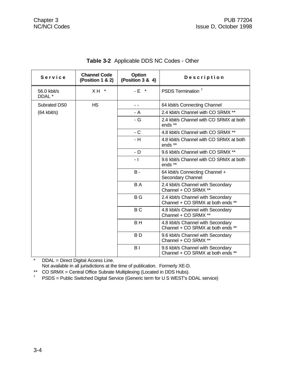| Service                          | <b>Channel Code</b><br>(Position 1 & 2) | Option<br>(Position 3 & 4) | Description                                                            |
|----------------------------------|-----------------------------------------|----------------------------|------------------------------------------------------------------------|
| 56.0 kbit/s<br>DDAL <sup>*</sup> | $X H$ *                                 | $-E$ *                     | PSDS Termination <sup>+</sup>                                          |
| Subrated DS0                     | <b>HS</b>                               | - -                        | 64 kbit/s Connecting Channel                                           |
| $(64$ kbit/s)                    |                                         | - A                        | 2.4 kbit/s Channel with CO SRMX **                                     |
|                                  |                                         | - G                        | 2.4 kbit/s Channel with CO SRMX at both<br>ends **                     |
|                                  |                                         | $-C$                       | 4.8 kbit/s Channel with CO SRMX **                                     |
|                                  |                                         | - H                        | 4.8 kbit/s Channel with CO SRMX at both<br>ends **                     |
|                                  |                                         | - D                        | 9.6 kbit/s Channel with CO SRMX **                                     |
|                                  |                                         | $-1$                       | 9.6 kbit/s Channel with CO SRMX at both<br>ends **                     |
|                                  |                                         | $B -$                      | 64 kbit/s Connecting Channel +<br>Secondary Channel                    |
|                                  |                                         | B A                        | 2.4 kbit/s Channel with Secondary<br>Channel + CO SRMX **              |
|                                  |                                         | B G                        | 2.4 kbit/s Channel with Secondary<br>Channel + CO SRMX at both ends ** |
|                                  |                                         | <b>BC</b>                  | 4.8 kbit/s Channel with Secondary<br>Channel + CO SRMX **              |
|                                  |                                         | B H                        | 4.8 kbit/s Channel with Secondary<br>Channel + CO SRMX at both ends ** |
|                                  |                                         | B <sub>D</sub>             | 9.6 kbit/s Channel with Secondary<br>Channel + CO SRMX **              |
|                                  |                                         | B <sub>1</sub>             | 9.6 kbit/s Channel with Secondary<br>Channel + CO SRMX at both ends ** |

### **Table 3-2** Applicable DDS NC Codes - Other

\* DDAL = Direct Digital Access Line.

Not available in all jurisdictions at the time of publication. Formerly XE-D.

\*\* CO SRMX = Central Office Subrate Multiplexing (Located in DDS Hubs).<br><sup>†</sup> PSDS = Public Switched Digital Service (Generic term for U S WEST's D

† PSDS = Public Switched Digital Service (Generic term for U S WEST's DDAL service)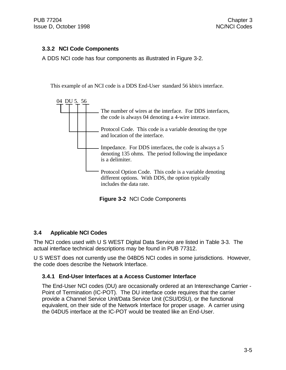#### **3.3.2 NCI Code Components**

A DDS NCI code has four components as illustrated in Figure 3-2.

This example of an NCI code is a DDS End-User standard 56 kbit/s interface.



**Figure 3-2** NCI Code Components

#### **3.4 Applicable NCI Codes**

The NCI codes used with U S WEST Digital Data Service are listed in Table 3-3. The actual interface technical descriptions may be found in PUB 77312.

U S WEST does not currently use the 04BD5 NCI codes in some jurisdictions. However, the code does describe the Network Interface.

#### **3.4.1 End-User Interfaces at a Access Customer Interface**

The End-User NCI codes (DU) are occasionally ordered at an Interexchange Carrier - Point of Termination (IC-POT). The DU interface code requires that the carrier provide a Channel Service Unit/Data Service Unit (CSU/DSU), or the functional equivalent, on their side of the Network Interface for proper usage. A carrier using the 04DU5 interface at the IC-POT would be treated like an End-User.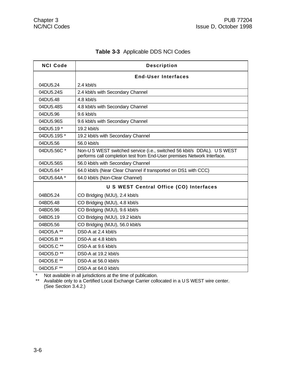| <b>NCI Code</b> | <b>Description</b>                                                                                                                               |
|-----------------|--------------------------------------------------------------------------------------------------------------------------------------------------|
|                 | <b>End-User Interfaces</b>                                                                                                                       |
| 04DU5.24        | 2.4 kbit/s                                                                                                                                       |
| 04DU5.24S       | 2.4 kbit/s with Secondary Channel                                                                                                                |
| 04DU5.48        | 4.8 kbit/s                                                                                                                                       |
| 04DU5.48S       | 4.8 kbit/s with Secondary Channel                                                                                                                |
| 04DU5.96        | 9.6 kbit/s                                                                                                                                       |
| 04DU5.96S       | 9.6 kbit/s with Secondary Channel                                                                                                                |
| 04DU5.19 *      | 19.2 kbit/s                                                                                                                                      |
| 04DU5.19S*      | 19.2 kbit/s with Secondary Channel                                                                                                               |
| 04DU5.56        | 56.0 kbit/s                                                                                                                                      |
| 04DU5.56C *     | Non-US WEST switched service (i.e., switched 56 kbit/s DDAL). US WEST<br>performs call completion test from End-User premises Network Interface. |
| 04DU5.56S       | 56.0 kbit/s with Secondary Channel                                                                                                               |
| 04DU5.64 *      | 64.0 kbit/s (Near Clear Channel if transported on DS1 with CCC)                                                                                  |
| 04DU5.64A *     | 64.0 kbit/s (Non-Clear Channel)                                                                                                                  |
|                 | U S WEST Central Office (CO) Interfaces                                                                                                          |
| 04BD5.24        | CO Bridging (MJU), 2.4 kbit/s                                                                                                                    |
| 04BD5.48        | CO Bridging (MJU), 4.8 kbit/s                                                                                                                    |
| 04BD5.96        | CO Bridging (MJU), 9.6 kbit/s                                                                                                                    |
| 04BD5.19        | CO Bridging (MJU), 19.2 kbit/s                                                                                                                   |
| 04BD5.56        | CO Bridging (MJU), 56.0 kbit/s                                                                                                                   |
| 04DO5.A **      | DS0-A at 2.4 kbit/s                                                                                                                              |
| 04DO5.B **      | DS0-A at 4.8 kbit/s                                                                                                                              |
| 04DO5.C **      | DS0-A at 9.6 kbit/s                                                                                                                              |
| 04DO5.D **      | DS0-A at 19.2 kbit/s                                                                                                                             |
| 04DO5.E **      | DS0-A at 56.0 kbit/s                                                                                                                             |
| 04DO5.F **      | DS0-A at 64.0 kbit/s                                                                                                                             |

### **Table 3-3** Applicable DDS NCI Codes

\* Not available in all jurisdictions at the time of publication.

\*\* Available only to a Certified Local Exchange Carrier collocated in a U S WEST wire center. (See Section 3.4.2.)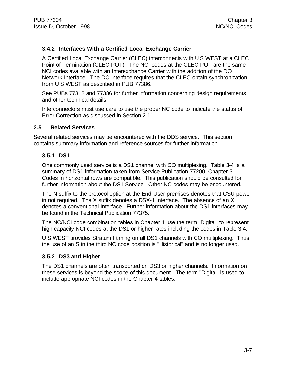#### **3.4.2 Interfaces With a Certified Local Exchange Carrier**

A Certified Local Exchange Carrier (CLEC) interconnects with U S WEST at a CLEC Point of Termination (CLEC-POT). The NCI codes at the CLEC-POT are the same NCI codes available with an Interexchange Carrier with the addition of the DO Network Interface. The DO interface requires that the CLEC obtain synchronization from U S WEST as described in PUB 77386.

See PUBs 77312 and 77386 for further information concerning design requirements and other technical details.

Interconnectors must use care to use the proper NC code to indicate the status of Error Correction as discussed in Section 2.11.

#### **3.5 Related Services**

Several related services may be encountered with the DDS service. This section contains summary information and reference sources for further information.

#### **3.5.1 DS1**

One commonly used service is a DS1 channel with CO multiplexing. Table 3-4 is a summary of DS1 information taken from Service Publication 77200, Chapter 3. Codes in horizontal rows are compatible. This publication should be consulted for further information about the DS1 Service. Other NC codes may be encountered.

The N suffix to the protocol option at the End-User premises denotes that CSU power in not required. The X suffix denotes a DSX-1 interface. The absence of an X denotes a conventional Interface. Further information about the DS1 interfaces may be found in the Technical Publication 77375.

The NC/NCI code combination tables in Chapter 4 use the term "Digital" to represent high capacity NCI codes at the DS1 or higher rates including the codes in Table 3-4.

U S WEST provides Stratum I timing on all DS1 channels with CO multiplexing. Thus the use of an S in the third NC code position is "Historical" and is no longer used.

#### **3.5.2 DS3 and Higher**

The DS1 channels are often transported on DS3 or higher channels. Information on these services is beyond the scope of this document. The term "Digital" is used to include appropriate NCI codes in the Chapter 4 tables.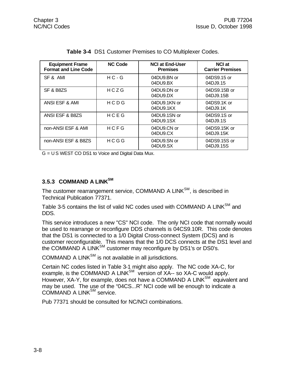| <b>Equipment Frame</b><br><b>Format and Line Code</b> | <b>NC Code</b> | <b>NCI at End-User</b><br><b>Premises</b> | <b>NCI at</b><br><b>Carrier Premises</b> |
|-------------------------------------------------------|----------------|-------------------------------------------|------------------------------------------|
| SF & AMI                                              | $HC - G$       | 04DU9.BN or<br>04DU9.BX                   | 04DS9.15 or<br>04DJ9.15                  |
| SF & B8ZS                                             | HCZG           | 04DU9.DN or<br>04DU9.DX                   | 04DS9.15B or<br>04DJ9.15B                |
| ANSI ESF & AMI                                        | HCDG           | 04DU9.1KN or<br>04DU9.1KX                 | 04DS9.1K or<br>04DJ9.1K                  |
| ANSI ESF & B8ZS                                       | HCEG           | 04DU9.1SN or<br>04DU9.1SX                 | 04DS9.1S or<br>04DJ9.1S                  |
| non-ANSI ESF & AMI                                    | HCFG           | 04DU9.CN or<br>04DU9.CX                   | 04DS9.15K or<br>04DJ9.15K                |
| non-ANSI ESF & B8ZS                                   | HCGG           | 04DU9.SN or<br>04DU9.SX                   | 04DS9.15S or<br>04DJ9.15S                |

|  |  |  |  |  | Table 3-4 DS1 Customer Premises to CO Multiplexer Codes. |  |
|--|--|--|--|--|----------------------------------------------------------|--|
|--|--|--|--|--|----------------------------------------------------------|--|

G = U S WEST CO DS1 to Voice and Digital Data Mux.

#### **3.5.3 COMMAND A LINKSM**

The customer rearrangement service, COMMAND A LINK<sup>SM</sup>, is described in Technical Publication 77371.

Table 3-5 contains the list of valid NC codes used with COMMAND A LINK<sup>SM</sup> and DDS.

This service introduces a new "CS" NCI code. The only NCI code that normally would be used to rearrange or reconfigure DDS channels is 04CS9.10R. This code denotes that the DS1 is connected to a 1/0 Digital Cross-connect System (DCS) and is customer reconfigurable. This means that the 1/0 DCS connects at the DS1 level and the COMMAND A LINK<sup>SM</sup> customer may reconfigure by DS1's or DS0's.

COMMAND A LINK $^{SM}$  is not available in all jurisdictions.

Certain NC codes listed in Table 3-1 might also apply. The NC code XA-C, for example, is the COMMAND A LINK<sup>SM</sup> version of XA-- so XA-C would apply. However, XA-Y, for example, does not have a COMMAND A LINK<sup>SM</sup> equivalent and may be used. The use of the "04CS...R" NCI code will be enough to indicate a COMMAND A LINK<sup>SM</sup> service.

Pub 77371 should be consulted for NC/NCI combinations.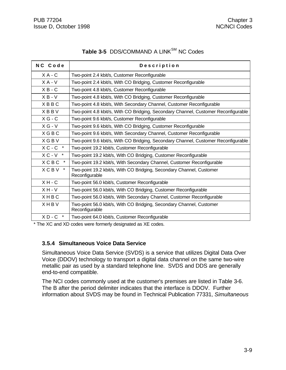# Table 3-5 DDS/COMMAND A LINK<sup>SM</sup> NC Codes

| NC Code               | Description                                                                            |
|-----------------------|----------------------------------------------------------------------------------------|
| $X A - C$             | Two-point 2.4 kbit/s, Customer Reconfigurable                                          |
| $X A - V$             | Two-point 2.4 kbit/s, With CO Bridging, Customer Reconfigurable                        |
| $X B - C$             | Two-point 4.8 kbit/s, Customer Reconfigurable                                          |
| $X B - V$             | Two-point 4.8 kbit/s, With CO Bridging, Customer Reconfigurable                        |
| <b>XBBC</b>           | Two-point 4.8 kbit/s, With Secondary Channel, Customer Reconfigurable                  |
| <b>XBBV</b>           | Two-point 4.8 kbit/s, With CO Bridging, Secondary Channel, Customer Reconfigurable     |
| $X G - C$             | Two-point 9.6 kbit/s, Customer Reconfigurable                                          |
| $X G - V$             | Two-point 9.6 kbit/s, With CO Bridging, Customer Reconfigurable                        |
| <b>XGBC</b>           | Two-point 9.6 kbit/s, With Secondary Channel, Customer Reconfigurable                  |
| <b>XGBV</b>           | Two-point 9.6 kbit/s, With CO Bridging, Secondary Channel, Customer Reconfigurable     |
| $X C - C$ *           | Two-point 19.2 kbit/s, Customer Reconfigurable                                         |
| $XC - V$ *            | Two-point 19.2 kbit/s, With CO Bridging, Customer Reconfigurable                       |
| <b>XCBC</b>           | Two-point 19.2 kbit/s, With Secondary Channel, Customer Reconfigurable                 |
| <b>XCBV</b><br>$\ast$ | Two-point 19.2 kbit/s, With CO Bridging, Secondary Channel, Customer<br>Reconfigurable |
| $X H - C$             | Two-point 56.0 kbit/s, Customer Reconfigurable                                         |
| $X H - V$             | Two-point 56.0 kbit/s, With CO Bridging, Customer Reconfigurable                       |
| XHBC                  | Two-point 56.0 kbit/s, With Secondary Channel, Customer Reconfigurable                 |
| XHBV                  | Two-point 56.0 kbit/s, With CO Bridging, Secondary Channel, Customer<br>Reconfigurable |
| $X D - C$             | Two-point 64.0 kbit/s, Customer Reconfigurable                                         |

\* The XC and XD codes were formerly designated as XE codes.

#### **3.5.4 Simultaneous Voice Data Service**

Simultaneous Voice Data Service (SVDS) is a service that utilizes Digital Data Over Voice (DDOV) technology to transport a digital data channel on the same two-wire metallic pair as used by a standard telephone line. SVDS and DDS are generally end-to-end compatible.

The NCI codes commonly used at the customer's premises are listed in Table 3-6. The B after the period delimiter indicates that the interface is DDOV. Further information about SVDS may be found in Technical Publication 77331, *Simultaneous*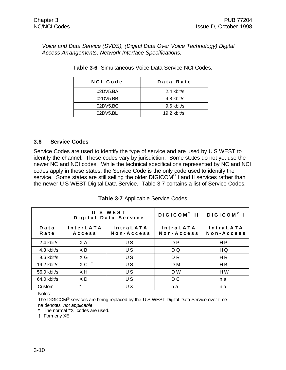*Voice and Data Service (SVDS), (Digital Data Over Voice Technology) Digital Access Arrangements, Network Interface Specifications.*

| NCI Code | Data Rate   |
|----------|-------------|
| 02DV5.BA | 2.4 kbit/s  |
| 02DY5.BB | 4.8 kbit/s  |
| 02DV5.BC | 9.6 kbit/s  |
| 02DY5.BL | 19.2 kbit/s |

**Table 3-6** Simultaneous Voice Data Service NCI Codes.

#### **3.6 Service Codes**

Service Codes are used to identify the type of service and are used by U S WEST to identify the channel. These codes vary by jurisdiction. Some states do not yet use the newer NC and NCI codes. While the technical specifications represented by NC and NCI codes apply in these states, the Service Code is the only code used to identify the service. Some states are still selling the older DIGICOM® I and II services rather than the newer U S WEST Digital Data Service. Table 3-7 contains a list of Service Codes.

|               |                            | U S WEST<br>Digital Data Service | DIGICOM <sup>®</sup> II        | DIGICOM <sup>®</sup> I         |
|---------------|----------------------------|----------------------------------|--------------------------------|--------------------------------|
| Data<br>Rate  | <b>InterLATA</b><br>Access | <b>IntraLATA</b><br>Non-Access   | <b>IntraLATA</b><br>Non-Access | <b>IntraLATA</b><br>Non-Access |
| $2.4$ kbit/s  | X A                        | US                               | D P                            | H <sub>P</sub>                 |
| 4.8 kbit/s    | XB                         | US                               | D Q                            | H Q                            |
| 9.6 kbit/s    | X G                        | US                               | D <sub>R</sub>                 | <b>HR</b>                      |
| $19.2$ kbit/s | $X C^{-1}$                 | US                               | D <sub>M</sub>                 | H <sub>B</sub>                 |
| 56.0 kbit/s   | X H                        | US                               | D W                            | HW                             |
| 64.0 kbit/s   | $X D$ <sup>t</sup>         | U S                              | D C                            | n a                            |
| Custom        | $\star$                    | UX                               | n a                            | n a                            |

**Table 3-7** Applicable Service Codes

Notes:

The DIGICOM<sup>®</sup> services are being replaced by the U S WEST Digital Data Service over time. na denotes *not applicable*

\* The normal '"X" codes are used.

† Formerly XE.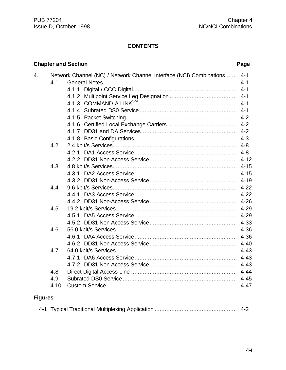### **CONTENTS**

### **Chapter and Section Page**

| 4. |      | Network Channel (NC) / Network Channel Interface (NCI) Combinations | $4 - 1$  |
|----|------|---------------------------------------------------------------------|----------|
|    | 4.1  |                                                                     | $4 - 1$  |
|    |      |                                                                     |          |
|    |      |                                                                     |          |
|    |      |                                                                     | $4 - 1$  |
|    |      |                                                                     | $4 - 1$  |
|    |      |                                                                     | $4 - 2$  |
|    |      |                                                                     | $4 - 2$  |
|    |      |                                                                     | $4 - 2$  |
|    |      |                                                                     | $4 - 3$  |
|    | 4.2  |                                                                     | $4 - 8$  |
|    |      |                                                                     | $4 - 8$  |
|    |      |                                                                     | $4 - 12$ |
|    | 4.3  |                                                                     | $4 - 15$ |
|    |      |                                                                     | $4 - 15$ |
|    |      |                                                                     | $4 - 19$ |
|    | 4.4  |                                                                     | $4 - 22$ |
|    |      |                                                                     | $4 - 22$ |
|    |      |                                                                     | $4 - 26$ |
|    | 4.5  |                                                                     | $4 - 29$ |
|    |      |                                                                     | $4 - 29$ |
|    |      |                                                                     | $4 - 33$ |
|    | 4.6  |                                                                     | $4 - 36$ |
|    |      |                                                                     | $4 - 36$ |
|    |      |                                                                     | $4 - 40$ |
|    | 4.7  |                                                                     | $4 - 43$ |
|    |      |                                                                     | $4 - 43$ |
|    |      |                                                                     | $4 - 43$ |
|    | 4.8  |                                                                     | $4 - 44$ |
|    | 4.9  |                                                                     | $4 - 45$ |
|    | 4.10 |                                                                     | $4 - 47$ |
|    |      |                                                                     |          |

# **Figures**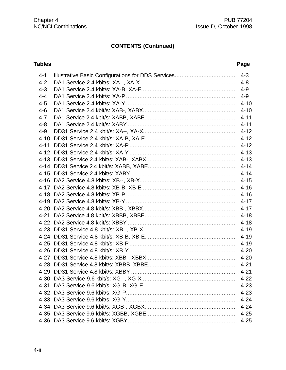| $4 - 1$  | $4 - 3$  |
|----------|----------|
| $4 - 2$  | $4 - 8$  |
| $4 - 3$  | $4 - 9$  |
| $4 - 4$  | $4 - 9$  |
| $4 - 5$  | $4 - 10$ |
| $4 - 6$  | $4 - 10$ |
| $4 - 7$  | $4 - 11$ |
| $4 - 8$  |          |
| $4 - 9$  |          |
| $4 - 10$ | $4 - 12$ |
| $4 - 11$ | $4 - 12$ |
|          |          |
|          |          |
|          | $4 - 14$ |
|          | $4 - 14$ |
|          |          |
|          |          |
|          | $4 - 16$ |
|          | $4 - 17$ |
|          |          |
|          |          |
|          | $4 - 18$ |
|          | $4 - 19$ |
|          | $4 - 19$ |
|          | $4 - 19$ |
|          | $4 - 20$ |
|          | $4 - 20$ |
|          | $4 - 21$ |
|          | $4 - 21$ |
|          | $4 - 22$ |
|          | $4 - 23$ |
|          | $4 - 23$ |
|          | $4 - 24$ |
|          | $4 - 24$ |
|          | $4 - 25$ |
|          | $4 - 25$ |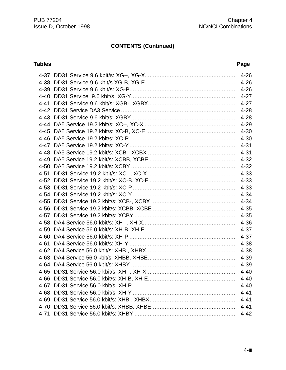|      | $4 - 26$ |
|------|----------|
|      | $4 - 26$ |
|      | $4 - 26$ |
|      | $4 - 27$ |
| 4-41 | $4 - 27$ |
|      | $4 - 28$ |
|      | $4 - 28$ |
|      | $4 - 29$ |
|      | $4 - 30$ |
|      | $4 - 30$ |
|      | $4 - 31$ |
|      | $4 - 31$ |
|      | $4 - 32$ |
| 4-50 | $4 - 32$ |
| 4-51 | $4 - 33$ |
|      | $4 - 33$ |
|      | $4 - 33$ |
| 4-54 | $4 - 34$ |
|      | $4 - 34$ |
|      | $4 - 35$ |
|      | $4 - 35$ |
| 4-58 | $4 - 36$ |
|      | $4 - 37$ |
| 4-60 | $4 - 37$ |
| 4-61 | 4-38     |
|      | $4 - 38$ |
|      | 4-39     |
|      | 4-39     |
|      | $4 - 40$ |
|      | $4 - 40$ |
|      | $4 - 40$ |
|      | $4 - 41$ |
|      | $4 - 41$ |
|      | $4 - 41$ |
|      | $4 - 42$ |
|      |          |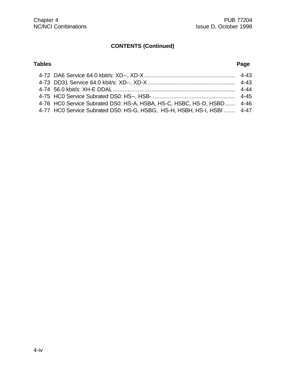| 4-76 HC0 Service Subrated DS0: HS-A, HSBA, HS-C, HSBC, HS-D, HSBD 4-46  |  |
|-------------------------------------------------------------------------|--|
| 4-77 HC0 Service Subrated DS0: HS-G, HSBG, HS-H, HSBH, HS-I, HSBI  4-47 |  |
|                                                                         |  |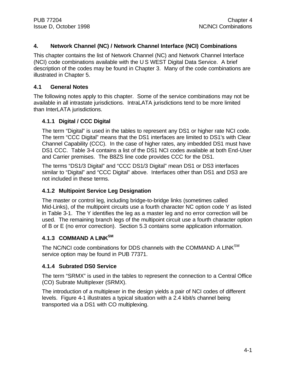## **4. Network Channel (NC) / Network Channel Interface (NCI) Combinations**

This chapter contains the list of Network Channel (NC) and Network Channel Interface (NCI) code combinations available with the U S WEST Digital Data Service. A brief description of the codes may be found in Chapter 3. Many of the code combinations are illustrated in Chapter 5.

### **4.1 General Notes**

The following notes apply to this chapter. Some of the service combinations may not be available in all intrastate jurisdictions. IntraLATA jurisdictions tend to be more limited than InterLATA jurisdictions.

## **4.1.1 Digital / CCC Digital**

The term "Digital" is used in the tables to represent any DS1 or higher rate NCI code. The term "CCC Digital" means that the DS1 interfaces are limited to DS1's with Clear Channel Capability (CCC). In the case of higher rates, any imbedded DS1 must have DS1 CCC. Table 3-4 contains a list of the DS1 NCI codes available at both End-User and Carrier premises. The B8ZS line code provides CCC for the DS1.

The terms "DS1/3 Digital" and "CCC DS1/3 Digital" mean DS1 or DS3 interfaces similar to "Digital" and "CCC Digital" above. Interfaces other than DS1 and DS3 are not included in these terms.

## **4.1.2 Multipoint Service Leg Designation**

The master or control leg, including bridge-to-bridge links (sometimes called Mid-Links), of the multipoint circuits use a fourth character NC option code Y as listed in Table 3-1. The Y identifies the leg as a master leg and no error correction will be used. The remaining branch legs of the multipoint circuit use a fourth character option of B or E (no error correction). Section 5.3 contains some application information.

# **4.1.3 COMMAND A LINKSM**

The NC/NCI code combinations for DDS channels with the COMMAND A LINK<sup>SM</sup> service option may be found in PUB 77371.

### **4.1.4 Subrated DS0 Service**

The term "SRMX" is used in the tables to represent the connection to a Central Office (CO) Subrate Multiplexer (SRMX).

The introduction of a multiplexer in the design yields a pair of NCI codes of different levels. Figure 4-1 illustrates a typical situation with a 2.4 kbit/s channel being transported via a DS1 with CO multiplexing.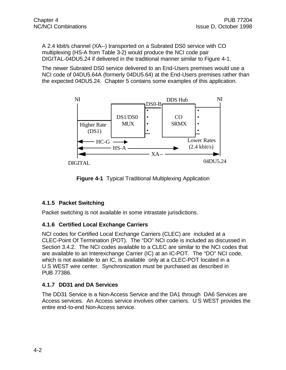A 2.4 kbit/s channel (XA--) transported on a Subrated DS0 service with CO multiplexing (HS-A from Table 3-2) would produce the NCI code pair DIGITAL-04DU5.24 if delivered in the traditional manner similar to Figure 4-1.

The newer Subrated DS0 service delivered to an End-Users premises would use a NCI code of 04DU5.64A (formerly 04DU5.64) at the End-Users premises rather than the expected 04DU5.24. Chapter 5 contains some examples of this application.



**Figure 4-1** Typical Traditional Multiplexing Application

# **4.1.5 Packet Switching**

Packet switching is not available in some intrastate jurisdictions.

## **4.1.6 Certified Local Exchange Carriers**

NCI codes for Certified Local Exchange Carriers (CLEC) are included at a CLEC-Point Of Termination (POT). The "DO" NCI code is included as discussed in Section 3.4.2. The NCI codes available to a CLEC are similar to the NCI codes that are available to an Interexchange Carrier (IC) at an IC-POT. The "DO" NCI code, which is not available to an IC, is available only at a CLEC-POT located in a U S WEST wire center. Synchronization must be purchased as described in PUB 77386.

# **4.1.7 DD31 and DA Services**

The DD31 Service is a Non-Access Service and the DA1 through DA6 Services are Access services. An Access service involves other carriers. U S WEST provides the entire end-to-end Non-Access service.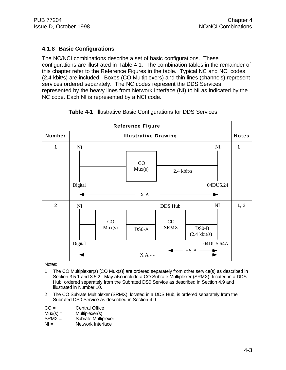## **4.1.8 Basic Configurations**

The NC/NCI combinations describe a set of basic configurations. These configurations are illustrated in Table 4-1. The combination tables in the remainder of this chapter refer to the Reference Figures in the table. Typical NC and NCI codes (2.4 kbit/s) are included. Boxes (CO Multiplexers) and thin lines (channels) represent services ordered separately. The NC codes represent the DDS Services represented by the heavy lines from Network Interface (NI) to NI as indicated by the NC code. Each NI is represented by a NCI code.



### **Table 4-1** Illustrative Basic Configurations for DDS Services

Notes:

- 1 The CO Multiplexer(s) [CO Mux(s)] are ordered separately from other service(s) as described in Section 3.5.1 and 3.5.2. May also include a CO Subrate Multiplexer (SRMX), located in a DDS Hub, ordered separately from the Subrated DS0 Service as described in Section 4.9 and illustrated in Number 10.
- 2 The CO Subrate Multiplexer (SRMX), located in a DDS Hub, is ordered separately from the Subrated DS0 Service as described in Section 4.9.

| $CO =$     | <b>Central Office</b> |  |  |
|------------|-----------------------|--|--|
| $Mux(s) =$ | Multiplexer(s)        |  |  |

| $ivux(s) =$ | <b>IVIUIUPIEXEI(S)</b>     |  |  |
|-------------|----------------------------|--|--|
| $SRMX =$    | <b>Subrate Multiplexer</b> |  |  |

 $NI =$  Network Interface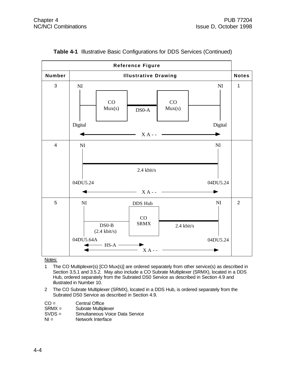

**Table 4-1** Illustrative Basic Configurations for DDS Services (Continued)

- 1 The CO Multiplexer(s) [CO Mux(s)] are ordered separately from other service(s) as described in Section 3.5.1 and 3.5.2. May also include a CO Subrate Multiplexer (SRMX), located in a DDS Hub, ordered separately from the Subrated DS0 Service as described in Section 4.9 and illustrated in Number 10.
- 2 The CO Subrate Multiplexer (SRMX), located in a DDS Hub, is ordered separately from the Subrated DS0 Service as described in Section 4.9.

| $CO =$ | <b>Central Office</b> |
|--------|-----------------------|
|        |                       |

|  | SRMX = | Subrate Multiplexer |
|--|--------|---------------------|
|--|--------|---------------------|

- SVDS = Simultaneous Voice Data Service
- NI = Network Interface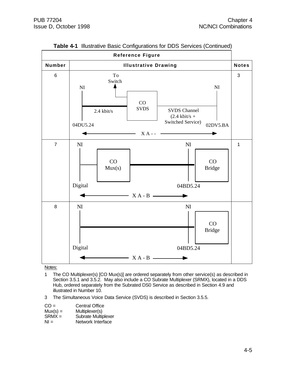

**Table 4-1** Illustrative Basic Configurations for DDS Services (Continued)

- 1 The CO Multiplexer(s) [CO Mux(s)] are ordered separately from other service(s) as described in Section 3.5.1 and 3.5.2. May also include a CO Subrate Multiplexer (SRMX), located in a DDS Hub, ordered separately from the Subrated DS0 Service as described in Section 4.9 and illustrated in Number 10.
- 3 The Simultaneous Voice Data Service (SVDS) is described in Section 3.5.5.

| $CO =$     | <b>Central Office</b> |
|------------|-----------------------|
| $Mux(s) =$ | Multiplexer(s)        |
| $SRMX =$   | Subrate Multiplexer   |
| NIL        | Nlotuork Intorfoon    |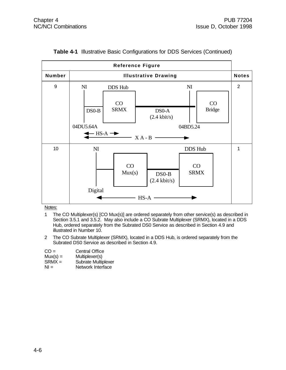| <b>Reference Figure</b> |                                                              |                              |                                                           |                              |                     |                |
|-------------------------|--------------------------------------------------------------|------------------------------|-----------------------------------------------------------|------------------------------|---------------------|----------------|
| Number                  |                                                              |                              | <b>Illustrative Drawing</b>                               |                              |                     | <b>Notes</b>   |
| 9                       | N <sub>I</sub><br>$DS0-B$<br>04DU5.64A<br>$HS-A \rightarrow$ | DDS Hub<br>CO<br><b>SRMX</b> | DS <sub>0</sub> -A<br>$(2.4 \text{ kbit/s})$<br>$X A - B$ | N <sub>I</sub><br>04BD5.24   | CO<br><b>Bridge</b> | $\overline{2}$ |
| 10                      | N <sub>I</sub><br>Digital                                    | CO<br>Mux(s)                 | $DSO-B$<br>$(2.4 \text{ kbit/s})$<br>$HS-A$               | DDS Hub<br>CO<br><b>SRMX</b> |                     | 1              |

| Table 4-1 Illustrative Basic Configurations for DDS Services (Continued) |  |
|--------------------------------------------------------------------------|--|
|--------------------------------------------------------------------------|--|

- 1 The CO Multiplexer(s) [CO Mux(s)] are ordered separately from other service(s) as described in Section 3.5.1 and 3.5.2. May also include a CO Subrate Multiplexer (SRMX), located in a DDS Hub, ordered separately from the Subrated DS0 Service as described in Section 4.9 and illustrated in Number 10.
- 2 The CO Subrate Multiplexer (SRMX), located in a DDS Hub, is ordered separately from the Subrated DS0 Service as described in Section 4.9.

| $CO =$                        | <b>Central Office</b>                 |
|-------------------------------|---------------------------------------|
| $M_{1}$ $/$ $\sim$ $\sqrt{2}$ | $M_{1}$ , $M_{2}$ , $M_{3}$ , $M_{4}$ |

- Mux(s) = Multiplexer(s)<br>SRMX = Subrate Multip
- SRMX = Subrate Multiplexer<br>NI = Network Interface Network Interface
-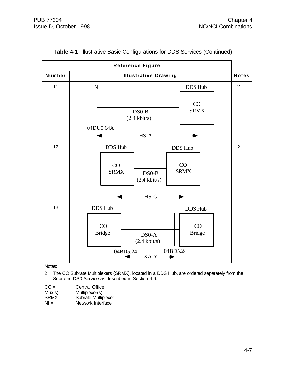|               | <b>Reference Figure</b>                                                                                                                                                    |                |
|---------------|----------------------------------------------------------------------------------------------------------------------------------------------------------------------------|----------------|
| <b>Number</b> | <b>Illustrative Drawing</b>                                                                                                                                                | <b>Notes</b>   |
| 11            | DDS Hub<br>N <sub>I</sub><br>CO<br><b>SRMX</b><br>$DS0-B$<br>$(2.4 \text{ kbit/s})$<br>04DU5.64A<br>$\longrightarrow$ HS-A $\rightarrow$                                   | $\overline{2}$ |
| 12            | DDS Hub<br>DDS Hub<br>CO<br>CO<br><b>SRMX</b><br><b>SRMX</b><br>$DSO-B$<br>$(2.4 \text{ kbit/s})$<br>$HS-G$ —                                                              | $\overline{2}$ |
| 13            | <b>DDS Hub</b><br>DDS Hub<br>CO<br>CO<br><b>Bridge</b><br><b>Bridge</b><br>DS <sub>0</sub> -A<br>$(2.4 \text{ kbit/s})$<br>04BD5.24<br>04BD5.24<br>$-XA-Y \longrightarrow$ |                |

| Table 4-1 Illustrative Basic Configurations for DDS Services (Continued) |  |
|--------------------------------------------------------------------------|--|
|--------------------------------------------------------------------------|--|

2 The CO Subrate Multiplexers (SRMX), located in a DDS Hub, are ordered separately from the Subrated DS0 Service as described in Section 4.9.

 $CO =$  Central Office<br>Mux(s) = Multiplexer(s)

Mux(s) = Multiplexer(s)<br>SRMX = Subrate Multip

Subrate Multiplexer

NI = Network Interface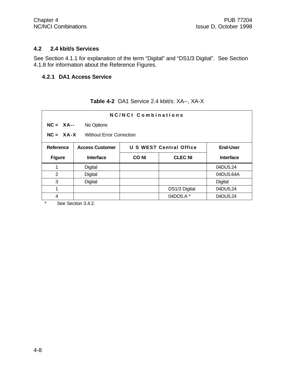#### **4.2 2.4 kbit/s Services**

See Section 4.1.1 for explanation of the term "Digital" and "DS1/3 Digital". See Section 4.1.8 for information about the Reference Figures.

### **4.2.1 DA1 Access Service**

| NC/NCI Combinations                            |                        |             |                         |                  |
|------------------------------------------------|------------------------|-------------|-------------------------|------------------|
| $NC = XA$ --                                   | No Options             |             |                         |                  |
| $NC = XA-X$<br><b>Without Error Correction</b> |                        |             |                         |                  |
| Reference                                      | <b>Access Customer</b> |             | U S WEST Central Office | <b>End-User</b>  |
| <b>Figure</b>                                  | <b>Interface</b>       | <b>CONI</b> | <b>CLEC NI</b>          | <b>Interface</b> |
| 1                                              | Digital                |             |                         | 04DU5.24         |
| 2                                              | Digital                |             |                         | 04DU5.64A        |
| 3                                              | Digital                |             |                         | Digital          |
| 1                                              |                        |             | DS1/3 Digital           | 04DU5.24         |
| 4                                              |                        |             | 04DO5.A *               | 04DU5.24         |

# **Table 4-2** DA1 Service 2.4 kbit/s: XA--, XA-X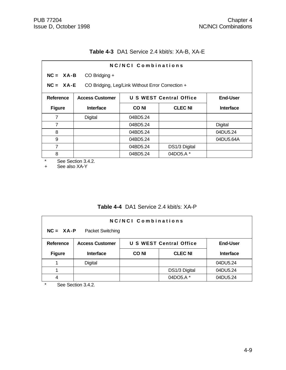# **Table 4-3** DA1 Service 2.4 kbit/s: XA-B, XA-E

| NC/NCI Combinations                                               |                                                   |                  |  |  |
|-------------------------------------------------------------------|---------------------------------------------------|------------------|--|--|
| $NC = XA - B$<br>CO Bridging +                                    |                                                   |                  |  |  |
| $NC = XA - E$<br>CO Bridging, Leg/Link Without Error Correction + |                                                   |                  |  |  |
|                                                                   | <b>U S WEST Central Office</b><br><b>End-User</b> |                  |  |  |
| <b>CONI</b>                                                       | <b>CLEC NI</b>                                    | <b>Interface</b> |  |  |
| 04BD5.24                                                          |                                                   |                  |  |  |
| 04BD5.24                                                          |                                                   | <b>Digital</b>   |  |  |
| 04BD5.24                                                          |                                                   | 04DU5.24         |  |  |
| 04BD5.24                                                          |                                                   | 04DU5.64A        |  |  |
| 04BD5.24                                                          | DS1/3 Digital                                     |                  |  |  |
| 04BD5.24                                                          | 04DO5.A*                                          |                  |  |  |
|                                                                   |                                                   |                  |  |  |

See Section 3.4.2.

+ See also XA-Y

|  |  | Table 4-4 DA1 Service 2.4 kbit/s: XA-P |  |
|--|--|----------------------------------------|--|
|--|--|----------------------------------------|--|

| <b>NC/NCI Combinations</b><br>$NC = XA - P$<br>Packet Switching |                                                                             |             |                |                  |
|-----------------------------------------------------------------|-----------------------------------------------------------------------------|-------------|----------------|------------------|
| <b>Reference</b>                                                | <b>U S WEST Central Office</b><br><b>End-User</b><br><b>Access Customer</b> |             |                |                  |
| <b>Figure</b>                                                   | <b>Interface</b>                                                            | <b>CONI</b> | <b>CLEC NI</b> | <b>Interface</b> |
|                                                                 | Digital                                                                     |             |                | 04DU5.24         |
|                                                                 |                                                                             |             | DS1/3 Digital  | 04DU5.24         |
|                                                                 |                                                                             |             | 04DO5.A *      | 04DU5.24         |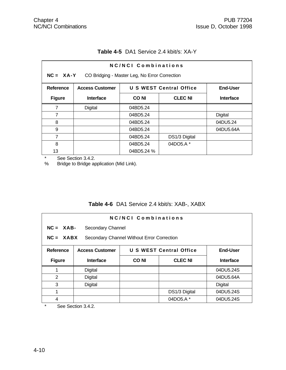| NC/NCI Combinations<br>$NC = XA-Y$<br>CO Bridging - Master Leg, No Error Correction |                                                                             |                               |               |           |  |
|-------------------------------------------------------------------------------------|-----------------------------------------------------------------------------|-------------------------------|---------------|-----------|--|
| <b>Reference</b>                                                                    | <b>U S WEST Central Office</b><br><b>End-User</b><br><b>Access Customer</b> |                               |               |           |  |
| <b>Figure</b>                                                                       | <b>Interface</b>                                                            | <b>CONI</b><br><b>CLEC NI</b> |               | Interface |  |
| 7                                                                                   | Digital                                                                     | 04BD5.24                      |               |           |  |
| 7                                                                                   |                                                                             | 04BD5.24                      |               | Digital   |  |
| 8                                                                                   |                                                                             | 04BD5.24                      |               | 04DU5.24  |  |
| 9                                                                                   |                                                                             | 04BD5.24                      |               | 04DU5.64A |  |
| 7                                                                                   |                                                                             | 04BD5.24                      | DS1/3 Digital |           |  |
| 8                                                                                   |                                                                             | 04BD5.24                      | 04DO5.A *     |           |  |
| 13                                                                                  |                                                                             | 04BD5.24 %                    |               |           |  |

# **Table 4-5** DA1 Service 2.4 kbit/s: XA-Y

\* See Section 3.4.2.<br>% Bridge to Bridge ap Bridge to Bridge application (Mid Link).

## **Table 4-6** DA1 Service 2.4 kbit/s: XAB-, XABX

| NC/NCI Combinations                                       |                        |                                |                |                  |
|-----------------------------------------------------------|------------------------|--------------------------------|----------------|------------------|
| $NC = XAB$<br>Secondary Channel                           |                        |                                |                |                  |
| $NC = XABX$<br>Secondary Channel Without Error Correction |                        |                                |                |                  |
| Reference                                                 | <b>Access Customer</b> | <b>U S WEST Central Office</b> |                | <b>End-User</b>  |
| <b>Figure</b>                                             | <b>Interface</b>       | <b>CONI</b>                    | <b>CLEC NI</b> | <b>Interface</b> |
| 1                                                         | Digital                |                                |                | 04DU5.24S        |
| 2                                                         | Digital                |                                |                | 04DU5.64A        |
| 3                                                         | Digital                |                                |                | Digital          |
| 1                                                         |                        |                                | DS1/3 Digital  | 04DU5.24S        |
| 4                                                         |                        |                                | 04DO5.A*       | 04DU5.24S        |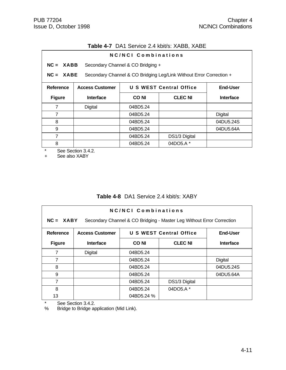| <b>Table 4-7</b> DA1 Service 2.4 kbit/s: XABB, XABE |  |  |  |  |  |  |
|-----------------------------------------------------|--|--|--|--|--|--|
|-----------------------------------------------------|--|--|--|--|--|--|

|                  | NC/NCI Combinations                                                                |                                   |                                |                  |  |
|------------------|------------------------------------------------------------------------------------|-----------------------------------|--------------------------------|------------------|--|
| $NC = XABB$      |                                                                                    | Secondary Channel & CO Bridging + |                                |                  |  |
|                  | $NC = XABE$<br>Secondary Channel & CO Bridging Leg/Link Without Error Correction + |                                   |                                |                  |  |
| <b>Reference</b> | <b>Access Customer</b>                                                             |                                   | <b>U S WEST Central Office</b> | <b>End-User</b>  |  |
| <b>Figure</b>    | <b>Interface</b>                                                                   | <b>CONI</b>                       | <b>CLEC NI</b>                 | <b>Interface</b> |  |
| 7                | Digital                                                                            | 04BD5.24                          |                                |                  |  |
| 7                |                                                                                    | 04BD5.24                          |                                | Digital          |  |
| 8                |                                                                                    | 04BD5.24                          |                                | 04DU5.24S        |  |
| 9                |                                                                                    | 04BD5.24                          |                                | 04DU5.64A        |  |
| 7                |                                                                                    | 04BD5.24                          | DS1/3 Digital                  |                  |  |
| 8                |                                                                                    | 04BD5.24                          | 04DO5.A *                      |                  |  |

\* See Section 3.4.2.<br>+ See also XABY

See also XABY

# **Table 4-8** DA1 Service 2.4 kbit/s: XABY

| NC/NCI Combinations<br>$NC = XABY$<br>Secondary Channel & CO Bridging - Master Leg Without Error Correction |                                                                             |             |                |                  |  |
|-------------------------------------------------------------------------------------------------------------|-----------------------------------------------------------------------------|-------------|----------------|------------------|--|
| Reference                                                                                                   | <b>U S WEST Central Office</b><br><b>End-User</b><br><b>Access Customer</b> |             |                |                  |  |
| <b>Figure</b>                                                                                               | <b>Interface</b>                                                            | <b>CONI</b> | <b>CLEC NI</b> | <b>Interface</b> |  |
| 7                                                                                                           | Digital                                                                     | 04BD5.24    |                |                  |  |
| 7                                                                                                           |                                                                             | 04BD5.24    |                | <b>Digital</b>   |  |
| 8                                                                                                           |                                                                             | 04BD5.24    |                | 04DU5.24S        |  |
| 9                                                                                                           |                                                                             | 04BD5.24    |                | 04DU5.64A        |  |
| 7                                                                                                           |                                                                             | 04BD5.24    | DS1/3 Digital  |                  |  |
| 8                                                                                                           |                                                                             | 04BD5.24    | 04DO5.A*       |                  |  |
| 13                                                                                                          |                                                                             | 04BD5.24 %  |                |                  |  |

\* See Section 3.4.2.<br>% Bridge to Bridge ap

Bridge to Bridge application (Mid Link).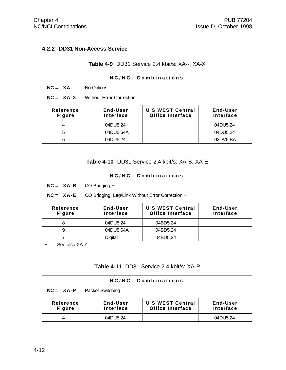### **4.2.2 DD31 Non-Access Service**

### **Table 4-9** DD31 Service 2.4 kbit/s: XA--, XA-X

| NC/NCI Combinations                            |                       |                                                    |                       |  |
|------------------------------------------------|-----------------------|----------------------------------------------------|-----------------------|--|
| $NC = XA$ --                                   | No Options            |                                                    |                       |  |
| $NC = XA-X$<br><b>Without Error Correction</b> |                       |                                                    |                       |  |
| Reference<br><b>Figure</b>                     | End-User<br>Interface | <b>U S WEST Central</b><br><b>Office Interface</b> | End-User<br>Interface |  |
| 4                                              | 04DU5.24              |                                                    | 04DU5.24              |  |
| 5                                              | 04DU5.64A             |                                                    | 04DU5.24              |  |
| 6                                              | 04DU5.24              |                                                    | 02DV5.BA              |  |

**Table 4-10** DD31 Service 2.4 kbit/s: XA-B, XA-E

| <b>NC/NCI Combinations</b>                                        |                       |                                             |                       |  |  |
|-------------------------------------------------------------------|-----------------------|---------------------------------------------|-----------------------|--|--|
| $NC = XA - B$                                                     | CO Bridging +         |                                             |                       |  |  |
| $NC = XA - E$<br>CO Bridging, Leg/Link Without Error Correction + |                       |                                             |                       |  |  |
| Reference<br><b>Figure</b>                                        | End-User<br>Interface | U S WEST Central<br><b>Office Interface</b> | End-User<br>Interface |  |  |
| 8                                                                 | 04DU5.24              | 04BD5.24                                    |                       |  |  |
| 9                                                                 | 04DU5.64A             | 04BD5.24                                    |                       |  |  |
|                                                                   | <b>Digital</b>        | 04BD5.24                                    |                       |  |  |

+ See also XA-Y

# **Table 4-11** DD31 Service 2.4 kbit/s: XA-P

| <b>NC/NCI Combinations</b>               |                       |                                             |                       |  |  |
|------------------------------------------|-----------------------|---------------------------------------------|-----------------------|--|--|
| <b>Packet Switching</b><br>$NC = XA - P$ |                       |                                             |                       |  |  |
| Reference<br><b>Figure</b>               | End-User<br>Interface | U S WEST Central<br><b>Office Interface</b> | End-User<br>Interface |  |  |
|                                          | 04DU5.24              |                                             | 04DU5.24              |  |  |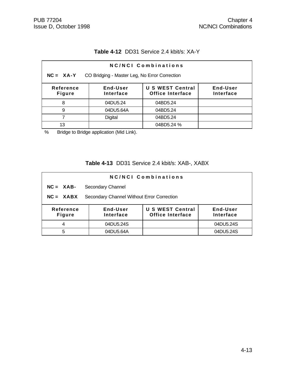# **Table 4-12** DD31 Service 2.4 kbit/s: XA-Y

| NC/NCI Combinations                                                                                                                |           |            |  |  |  |
|------------------------------------------------------------------------------------------------------------------------------------|-----------|------------|--|--|--|
| $NC = XA-Y$<br>CO Bridging - Master Leg, No Error Correction                                                                       |           |            |  |  |  |
| <b>U S WEST Central</b><br>End-User<br>End-User<br>Reference<br><b>Office Interface</b><br>Interface<br>Interface<br><b>Figure</b> |           |            |  |  |  |
| 8                                                                                                                                  | 04DU5.24  | 04BD5.24   |  |  |  |
| 9                                                                                                                                  | 04DU5.64A | 04BD5.24   |  |  |  |
|                                                                                                                                    | Digital   | 04BD5.24   |  |  |  |
| 13                                                                                                                                 |           | 04BD5.24 % |  |  |  |

% Bridge to Bridge application (Mid Link).

# **Table 4-13** DD31 Service 2.4 kbit/s: XAB-, XABX

| NC/NCI Combinations        |                                            |                                                    |                       |  |
|----------------------------|--------------------------------------------|----------------------------------------------------|-----------------------|--|
| $NC = XAB$                 | Secondary Channel                          |                                                    |                       |  |
| $NC = XABX$                | Secondary Channel Without Error Correction |                                                    |                       |  |
| Reference<br><b>Figure</b> | End-User<br>Interface                      | <b>U S WEST Central</b><br><b>Office Interface</b> | End-User<br>Interface |  |
| 4                          | 04DU5.24S                                  |                                                    | 04DU5.24S             |  |
| 5                          | 04DU5.64A                                  |                                                    | 04DU5.24S             |  |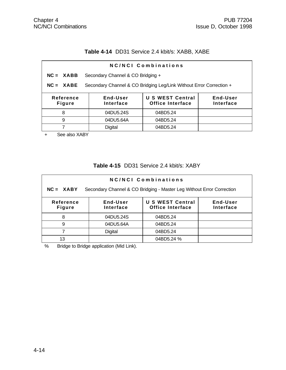## **Table 4-14** DD31 Service 2.4 kbit/s: XABB, XABE

| NC/NCI Combinations                                                                                                                |                                   |          |  |  |  |  |
|------------------------------------------------------------------------------------------------------------------------------------|-----------------------------------|----------|--|--|--|--|
| $NC = XABB$                                                                                                                        | Secondary Channel & CO Bridging + |          |  |  |  |  |
| Secondary Channel & CO Bridging Leg/Link Without Error Correction +<br>$NC = XABE$                                                 |                                   |          |  |  |  |  |
| <b>U S WEST Central</b><br>End-User<br>End-User<br>Reference<br><b>Office Interface</b><br>Interface<br>Interface<br><b>Figure</b> |                                   |          |  |  |  |  |
| 8                                                                                                                                  | 04DU5.24S<br>04BD5.24             |          |  |  |  |  |
| 9                                                                                                                                  | 04DU5.64A<br>04BD5.24             |          |  |  |  |  |
|                                                                                                                                    | Digital                           | 04BD5.24 |  |  |  |  |
|                                                                                                                                    |                                   |          |  |  |  |  |

+ See also XABY

## **Table 4-15** DD31 Service 2.4 kbit/s: XABY

| <b>NC/NCI Combinations</b>                                                                                                                |           |            |  |  |  |
|-------------------------------------------------------------------------------------------------------------------------------------------|-----------|------------|--|--|--|
| Secondary Channel & CO Bridging - Master Leg Without Error Correction<br>$NC = XABY$                                                      |           |            |  |  |  |
| <b>U S WEST Central</b><br>End-User<br>Reference<br>End-User<br><b>Interface</b><br><b>Office Interface</b><br>Interface<br><b>Figure</b> |           |            |  |  |  |
| 8                                                                                                                                         | 04DU5.24S | 04BD5.24   |  |  |  |
| 9                                                                                                                                         | 04DU5.64A | 04BD5.24   |  |  |  |
|                                                                                                                                           | Digital   | 04BD5.24   |  |  |  |
| 13                                                                                                                                        |           | 04BD5.24 % |  |  |  |

% Bridge to Bridge application (Mid Link).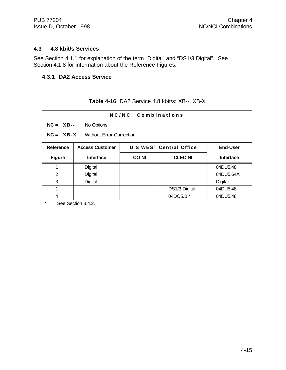#### **4.3 4.8 kbit/s Services**

See Section 4.1.1 for explanation of the term "Digital" and "DS1/3 Digital". See Section 4.1.8 for information about the Reference Figures.

#### **4.3.1 DA2 Access Service**

| NC/NCI Combinations                            |                           |             |                         |                 |  |
|------------------------------------------------|---------------------------|-------------|-------------------------|-----------------|--|
|                                                | $NC = XB--$<br>No Options |             |                         |                 |  |
| $NC = XB-X$<br><b>Without Error Correction</b> |                           |             |                         |                 |  |
| <b>Reference</b>                               | <b>Access Customer</b>    |             | U S WEST Central Office | <b>End-User</b> |  |
| <b>Figure</b>                                  | Interface                 | <b>CONI</b> | <b>CLEC NI</b>          | Interface       |  |
|                                                | Digital                   |             |                         | 04DU5.48        |  |
| $\overline{2}$                                 | Digital                   |             |                         | 04DU5.64A       |  |
| 3                                              | Digital                   |             |                         | Digital         |  |
| 1                                              |                           |             | DS1/3 Digital           | 04DU5.48        |  |
| 4                                              |                           |             | 04DO5.B *               | 04DU5.48        |  |

# **Table 4-16** DA2 Service 4.8 kbit/s: XB--, XB-X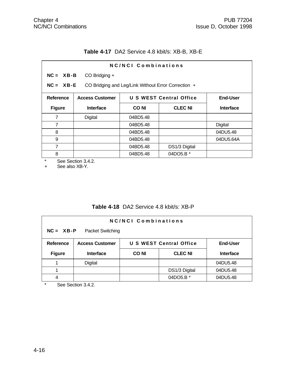### **Table 4-17** DA2 Service 4.8 kbit/s: XB-B, XB-E

| NC/NCI Combinations |                                                                      |             |                                |                  |  |
|---------------------|----------------------------------------------------------------------|-------------|--------------------------------|------------------|--|
| $NC = XB - B$       | CO Bridging +                                                        |             |                                |                  |  |
|                     | $NC = XB - E$<br>CO Bridging and Leg/Link Without Error Correction + |             |                                |                  |  |
| Reference           | <b>Access Customer</b>                                               |             | <b>U S WEST Central Office</b> | <b>End-User</b>  |  |
| <b>Figure</b>       | <b>Interface</b>                                                     | <b>CONI</b> | <b>CLEC NI</b>                 | <b>Interface</b> |  |
| 7                   | Digital                                                              | 04BD5.48    |                                |                  |  |
| $\overline{7}$      | <b>Digital</b><br>04BD5.48                                           |             |                                |                  |  |
| 8                   |                                                                      | 04BD5.48    |                                | 04DU5.48         |  |
| 9                   |                                                                      | 04BD5.48    |                                | 04DU5.64A        |  |
| 7                   |                                                                      | 04BD5.48    | DS1/3 Digital                  |                  |  |
| 8                   |                                                                      | 04BD5.48    | 04DO5.B *                      |                  |  |

\* See Section 3.4.2.

+ See also XB-Y.

# **Table 4-18** DA2 Service 4.8 kbit/s: XB-P

| NC/NCI Combinations               |                                                                      |             |                |                  |
|-----------------------------------|----------------------------------------------------------------------|-------------|----------------|------------------|
| $NC = XB - P$<br>Packet Switching |                                                                      |             |                |                  |
| Reference                         | U S WEST Central Office<br><b>End-User</b><br><b>Access Customer</b> |             |                |                  |
|                                   |                                                                      |             |                |                  |
| <b>Figure</b>                     | <b>Interface</b>                                                     | <b>CONI</b> | <b>CLEC NI</b> | <b>Interface</b> |
|                                   | Digital                                                              |             |                | 04DU5.48         |
|                                   |                                                                      |             | DS1/3 Digital  | 04DU5.48         |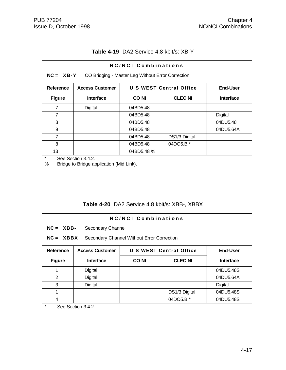|               | NC/NCI Combinations                                                         |                                                   |               |           |  |
|---------------|-----------------------------------------------------------------------------|---------------------------------------------------|---------------|-----------|--|
| $NC = XB-Y$   |                                                                             | CO Bridging - Master Leg Without Error Correction |               |           |  |
| Reference     | <b>U S WEST Central Office</b><br><b>End-User</b><br><b>Access Customer</b> |                                                   |               |           |  |
| <b>Figure</b> | Interface                                                                   | <b>CLEC NI</b><br><b>CONI</b><br><b>Interface</b> |               |           |  |
| 7             | Digital                                                                     | 04BD5.48                                          |               |           |  |
| 7             |                                                                             | 04BD5.48                                          |               | Digital   |  |
| 8             |                                                                             | 04BD5.48                                          |               | 04DU5.48  |  |
| 9             |                                                                             | 04BD5.48                                          |               | 04DU5.64A |  |
| 7             |                                                                             | 04BD5.48                                          | DS1/3 Digital |           |  |
| 8             |                                                                             | 04BD5.48                                          | 04DO5.B *     |           |  |
| 13            |                                                                             | 04BD5.48 %                                        |               |           |  |

## **Table 4-19** DA2 Service 4.8 kbit/s: XB-Y

\* See Section 3.4.2.<br>% Bridge to Bridge ap

Bridge to Bridge application (Mid Link).

## **Table 4-20** DA2 Service 4.8 kbit/s: XBB-, XBBX

| <b>NC/NCI Combinations</b>                                |                                                                             |             |                |                  |  |
|-----------------------------------------------------------|-----------------------------------------------------------------------------|-------------|----------------|------------------|--|
|                                                           | $NC = XBB$ -<br>Secondary Channel                                           |             |                |                  |  |
| $NC = XBBX$<br>Secondary Channel Without Error Correction |                                                                             |             |                |                  |  |
| <b>Reference</b>                                          | <b>U S WEST Central Office</b><br><b>Access Customer</b><br><b>End-User</b> |             |                |                  |  |
| <b>Figure</b>                                             | <b>Interface</b>                                                            | <b>CONI</b> | <b>CLEC NI</b> | <b>Interface</b> |  |
| 1                                                         | Digital                                                                     |             |                | 04DU5.48S        |  |
| 2                                                         | Digital                                                                     |             |                | 04DU5.64A        |  |
| 3                                                         | Digital                                                                     |             |                | Digital          |  |
| 1                                                         |                                                                             |             | DS1/3 Digital  | 04DU5.48S        |  |
| 4                                                         |                                                                             |             | 04DO5.B *      | 04DU5.48S        |  |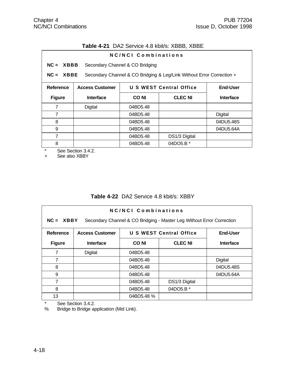|  | <b>Table 4-21</b> DA2 Service 4.8 kbit/s: XBBB, XBBE |
|--|------------------------------------------------------|
|--|------------------------------------------------------|

| NC/NCL Combinations |                                                                                      |                                 |                                |                  |
|---------------------|--------------------------------------------------------------------------------------|---------------------------------|--------------------------------|------------------|
| $NC = XBBB$         |                                                                                      | Secondary Channel & CO Bridging |                                |                  |
|                     | Secondary Channel & CO Bridging & Leg/Link Without Error Correction +<br>$NC = XBBE$ |                                 |                                |                  |
| Reference           | <b>Access Customer</b>                                                               |                                 | <b>U S WEST Central Office</b> | End-User         |
| <b>Figure</b>       | <b>Interface</b>                                                                     | <b>CONI</b>                     | <b>CLEC NI</b>                 | <b>Interface</b> |
| 7                   | Digital                                                                              | 04BD5.48                        |                                |                  |
| 7                   |                                                                                      | 04BD5.48                        |                                | Digital          |
| 8                   |                                                                                      | 04BD5.48                        |                                | 04DU5.48S        |
| 9                   |                                                                                      | 04BD5.48                        |                                | 04DU5.64A        |
| 7                   |                                                                                      | 04BD5.48                        | DS1/3 Digital                  |                  |
| 8                   |                                                                                      | 04BD5.48                        | 04DO5.B *                      |                  |

\* See Section 3.4.2.<br>+ See also XBBY

See also XBBY

# **Table 4-22** DA2 Service 4.8 kbit/s: XBBY

| NC/NCI Combinations<br>$NC = XBBY$<br>Secondary Channel & CO Bridging - Master Leg Without Error Correction |                                                                             |             |                |                  |  |
|-------------------------------------------------------------------------------------------------------------|-----------------------------------------------------------------------------|-------------|----------------|------------------|--|
| Reference                                                                                                   | <b>U S WEST Central Office</b><br><b>End-User</b><br><b>Access Customer</b> |             |                |                  |  |
| <b>Figure</b>                                                                                               | <b>Interface</b>                                                            | <b>CONI</b> | <b>CLEC NI</b> | <b>Interface</b> |  |
| 7                                                                                                           | Digital                                                                     | 04BD5.48    |                |                  |  |
| 7                                                                                                           |                                                                             | 04BD5.48    |                | Digital          |  |
| 8                                                                                                           |                                                                             | 04BD5.48    |                | 04DU5.48S        |  |
| 9                                                                                                           |                                                                             | 04BD5.48    |                | 04DU5.64A        |  |
| 7                                                                                                           |                                                                             | 04BD5.48    | DS1/3 Digital  |                  |  |
| 8                                                                                                           |                                                                             | 04BD5.48    | 04DO5.B *      |                  |  |
| 13                                                                                                          |                                                                             | 04BD5.48 %  |                |                  |  |

\* See Section 3.4.2.<br>% Bridge to Bridge ap

Bridge to Bridge application (Mid Link).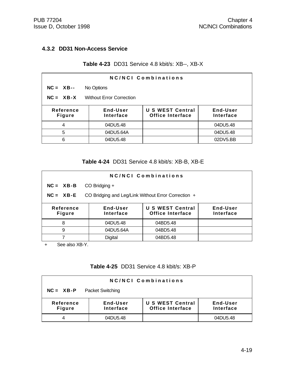### **4.3.2 DD31 Non-Access Service**

### **Table 4-23** DD31 Service 4.8 kbit/s: XB--, XB-X

| NC/NCI Combinations                                                                                                                |            |  |          |  |
|------------------------------------------------------------------------------------------------------------------------------------|------------|--|----------|--|
| $NC = XB--$                                                                                                                        | No Options |  |          |  |
| $NC = XB-X$<br><b>Without Error Correction</b>                                                                                     |            |  |          |  |
| <b>U S WEST Central</b><br>End-User<br>End-User<br>Reference<br><b>Office Interface</b><br>Interface<br>Interface<br><b>Figure</b> |            |  |          |  |
| 4                                                                                                                                  | 04DU5.48   |  | 04DU5.48 |  |
| 5                                                                                                                                  | 04DU5.64A  |  | 04DU5.48 |  |
| 6                                                                                                                                  | 04DU5.48   |  | 02DV5.BB |  |

### **Table 4-24** DD31 Service 4.8 kbit/s: XB-B, XB-E

| NC/NCI Combinations                                                                                                                |                   |          |  |  |  |
|------------------------------------------------------------------------------------------------------------------------------------|-------------------|----------|--|--|--|
| $NC = XB - B$                                                                                                                      | $CO$ Bridging $+$ |          |  |  |  |
| $NC = XB - E$<br>CO Bridging and Leg/Link Without Error Correction +                                                               |                   |          |  |  |  |
| <b>U S WEST Central</b><br>End-User<br>End-User<br>Reference<br><b>Office Interface</b><br>Interface<br>Interface<br><b>Figure</b> |                   |          |  |  |  |
| 8                                                                                                                                  | 04DU5.48          | 04BD5.48 |  |  |  |
| 9                                                                                                                                  | 04DU5.64A         | 04BD5.48 |  |  |  |
|                                                                                                                                    | <b>Digital</b>    | 04BD5.48 |  |  |  |

+ See also XB-Y.

# **Table 4-25** DD31 Service 4.8 kbit/s: XB-P

| <b>NC/NCI Combinations</b>                                                                                                  |          |  |          |  |
|-----------------------------------------------------------------------------------------------------------------------------|----------|--|----------|--|
| <b>Packet Switching</b><br>$NC = XB - P$                                                                                    |          |  |          |  |
| U S WEST Central<br>End-User<br>Reference<br>End-User<br><b>Office Interface</b><br>Interface<br>Interface<br><b>Figure</b> |          |  |          |  |
|                                                                                                                             | 04DU5.48 |  | 04DU5.48 |  |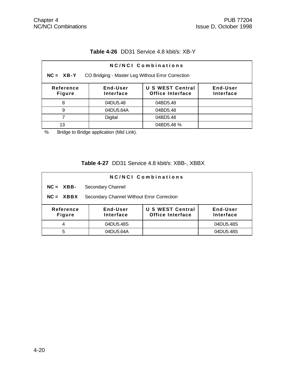## **Table 4-26** DD31 Service 4.8 kbit/s: XB-Y

| <b>NC/NCI Combinations</b>                                                                                                                |           |            |  |  |  |
|-------------------------------------------------------------------------------------------------------------------------------------------|-----------|------------|--|--|--|
| $NC = XB-Y$<br>CO Bridging - Master Leg Without Error Correction                                                                          |           |            |  |  |  |
| <b>U S WEST Central</b><br>Reference<br>End-User<br><b>End-User</b><br><b>Office Interface</b><br>Interface<br>Interface<br><b>Figure</b> |           |            |  |  |  |
| 8                                                                                                                                         | 04DU5.48  | 04BD5.48   |  |  |  |
| 9                                                                                                                                         | 04DU5.64A | 04BD5.48   |  |  |  |
|                                                                                                                                           | Digital   | 04BD5.48   |  |  |  |
| 13                                                                                                                                        |           | 04BD5.48 % |  |  |  |

% Bridge to Bridge application (Mid Link).

# **Table 4-27** DD31 Service 4.8 kbit/s: XBB-, XBBX

| <b>NC/NCI Combinations</b>                                                                                                         |                   |  |           |  |
|------------------------------------------------------------------------------------------------------------------------------------|-------------------|--|-----------|--|
| $NC = XBB$                                                                                                                         | Secondary Channel |  |           |  |
| Secondary Channel Without Error Correction<br>$NC = XBBX$                                                                          |                   |  |           |  |
| <b>U S WEST Central</b><br>Reference<br>End-User<br>End-User<br><b>Office Interface</b><br>Interface<br>Interface<br><b>Figure</b> |                   |  |           |  |
| 4                                                                                                                                  | 04DU5.48S         |  | 04DU5.48S |  |
| 5                                                                                                                                  | 04DU5.64A         |  | 04DU5.48S |  |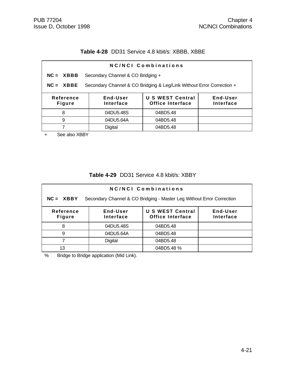### **Table 4-28** DD31 Service 4.8 kbit/s: XBBB, XBBE

| NC/NCI Combinations                                                                  |                                                                                                      |          |  |  |  |
|--------------------------------------------------------------------------------------|------------------------------------------------------------------------------------------------------|----------|--|--|--|
| $NC = XBBB$                                                                          | Secondary Channel & CO Bridging +                                                                    |          |  |  |  |
| Secondary Channel & CO Bridging & Leg/Link Without Error Correction +<br>$NC = XBBE$ |                                                                                                      |          |  |  |  |
| Reference<br><b>Figure</b>                                                           | End-User<br><b>U S WEST Central</b><br>End-User<br><b>Office Interface</b><br>Interface<br>Interface |          |  |  |  |
| 8                                                                                    | 04DU5.48S<br>04BD5.48                                                                                |          |  |  |  |
| 9                                                                                    | 04DU5.64A<br>04BD5.48                                                                                |          |  |  |  |
| 7                                                                                    | <b>Digital</b>                                                                                       | 04BD5.48 |  |  |  |
|                                                                                      |                                                                                                      |          |  |  |  |

+ See also XBBY

#### **Table 4-29** DD31 Service 4.8 kbit/s: XBBY

| NC/NCI Combinations                                                                                                                       |                |            |  |  |  |
|-------------------------------------------------------------------------------------------------------------------------------------------|----------------|------------|--|--|--|
| Secondary Channel & CO Bridging - Master Leg Without Error Correction<br>$NC = XBBY$                                                      |                |            |  |  |  |
| <b>End-User</b><br><b>U S WEST Central</b><br>End-User<br>Reference<br><b>Office Interface</b><br><b>Figure</b><br>Interface<br>Interface |                |            |  |  |  |
| 8                                                                                                                                         | 04DU5.48S      | 04BD5.48   |  |  |  |
| 9                                                                                                                                         | 04DU5.64A      | 04BD5.48   |  |  |  |
|                                                                                                                                           | <b>Digital</b> | 04BD5.48   |  |  |  |
| 13                                                                                                                                        |                | 04BD5.48 % |  |  |  |

% Bridge to Bridge application (Mid Link).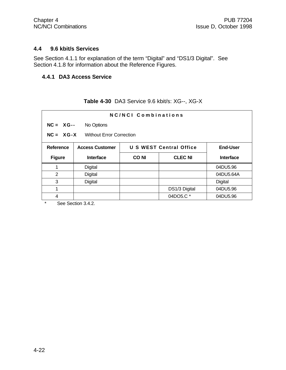#### **4.4 9.6 kbit/s Services**

See Section 4.1.1 for explanation of the term "Digital" and "DS1/3 Digital". See Section 4.1.8 for information about the Reference Figures.

### **4.4.1 DA3 Access Service**

| NC/NCI Combinations                            |                           |                                            |                |           |  |
|------------------------------------------------|---------------------------|--------------------------------------------|----------------|-----------|--|
|                                                | $NC = XG -$<br>No Options |                                            |                |           |  |
| $NC = XG-X$<br><b>Without Error Correction</b> |                           |                                            |                |           |  |
| <b>Reference</b>                               | <b>Access Customer</b>    | U S WEST Central Office<br><b>End-User</b> |                |           |  |
| <b>Figure</b>                                  | Interface                 | <b>CONI</b>                                | <b>CLEC NI</b> | Interface |  |
|                                                | Digital                   |                                            |                | 04DU5.96  |  |
| $\overline{2}$                                 | Digital                   |                                            |                | 04DU5.64A |  |
| 3                                              | Digital                   |                                            |                | Digital   |  |
| 1                                              |                           |                                            | DS1/3 Digital  | 04DU5.96  |  |
| 4                                              |                           |                                            | 04DO5.C *      | 04DU5.96  |  |

# **Table 4-30** DA3 Service 9.6 kbit/s: XG--, XG-X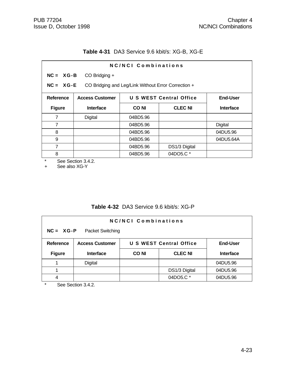## **Table 4-31** DA3 Service 9.6 kbit/s: XG-B, XG-E

| NC/NCI Combinations |                                                                    |             |                                |                 |
|---------------------|--------------------------------------------------------------------|-------------|--------------------------------|-----------------|
| $NC = XG-B$         | CO Bridging +                                                      |             |                                |                 |
|                     | $NC = XG-E$<br>CO Bridging and Leg/Link Without Error Correction + |             |                                |                 |
| <b>Reference</b>    | <b>Access Customer</b>                                             |             | <b>U S WEST Central Office</b> | <b>End-User</b> |
| <b>Figure</b>       | <b>Interface</b>                                                   | <b>CONI</b> | <b>CLEC NI</b>                 | Interface       |
| 7                   | Digital                                                            | 04BD5.96    |                                |                 |
| 7                   |                                                                    | 04BD5.96    |                                | Digital         |
| 8                   |                                                                    | 04BD5.96    |                                | 04DU5.96        |
| 9                   |                                                                    | 04BD5.96    |                                | 04DU5.64A       |
| 7                   |                                                                    | 04BD5.96    | DS1/3 Digital                  |                 |
| 8                   |                                                                    | 04BD5.96    | 04DO5.C *                      |                 |

\* See Section 3.4.2.

+ See also XG-Y

# **Table 4-32** DA3 Service 9.6 kbit/s: XG-P

| <b>NC/NCI Combinations</b><br>$NC = XG - P$<br>Packet Switching |                                                                             |             |                |                  |
|-----------------------------------------------------------------|-----------------------------------------------------------------------------|-------------|----------------|------------------|
| <b>Reference</b>                                                | <b>U S WEST Central Office</b><br><b>Access Customer</b><br><b>End-User</b> |             |                |                  |
| <b>Figure</b>                                                   | <b>Interface</b>                                                            | <b>CONI</b> | <b>CLEC NI</b> | <b>Interface</b> |
|                                                                 | Digital                                                                     |             |                | 04DU5.96         |
|                                                                 |                                                                             |             | DS1/3 Digital  | 04DU5.96         |
|                                                                 |                                                                             |             | 04DO5.C*       | 04DU5.96         |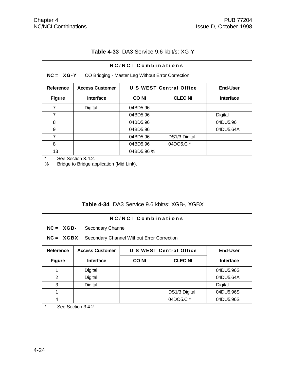| NC/NCI Combinations<br>$NC = XG-Y$<br>CO Bridging - Master Leg Without Error Correction  |                  |             |                |                  |
|------------------------------------------------------------------------------------------|------------------|-------------|----------------|------------------|
| <b>U S WEST Central Office</b><br><b>End-User</b><br>Reference<br><b>Access Customer</b> |                  |             |                |                  |
| <b>Figure</b>                                                                            | <b>Interface</b> | <b>CONI</b> | <b>CLEC NI</b> | <b>Interface</b> |
| 7                                                                                        | Digital          | 04BD5.96    |                |                  |
| 7                                                                                        |                  | 04BD5.96    |                | Digital          |
| 8                                                                                        |                  | 04BD5.96    |                | 04DU5.96         |
| 9                                                                                        |                  | 04BD5.96    |                | 04DU5.64A        |
| 7                                                                                        |                  | 04BD5.96    | DS1/3 Digital  |                  |
| 8                                                                                        |                  | 04BD5.96    | 04DO5.C*       |                  |
| 13                                                                                       |                  | 04BD5.96 %  |                |                  |

### **Table 4-33** DA3 Service 9.6 kbit/s: XG-Y

\* See Section 3.4.2. Bridge to Bridge application (Mid Link).

# **Table 4-34** DA3 Service 9.6 kbit/s: XGB-, XGBX

| <b>NC/NCI Combinations</b>                                |                        |                                                   |                |                  |
|-----------------------------------------------------------|------------------------|---------------------------------------------------|----------------|------------------|
| $NC = XGB$                                                | Secondary Channel      |                                                   |                |                  |
| $NC = XGBX$<br>Secondary Channel Without Error Correction |                        |                                                   |                |                  |
| <b>Reference</b>                                          | <b>Access Customer</b> | <b>U S WEST Central Office</b><br><b>End-User</b> |                |                  |
| <b>Figure</b>                                             | <b>Interface</b>       | <b>CONI</b>                                       | <b>CLEC NI</b> | <b>Interface</b> |
| 1                                                         | Digital                |                                                   |                | 04DU5.96S        |
| 2                                                         | Digital                |                                                   |                | 04DU5.64A        |
| 3                                                         | Digital                |                                                   |                | Digital          |
| 1                                                         |                        |                                                   | DS1/3 Digital  | 04DU5.96S        |
| 04DO5.C*<br>04DU5.96S<br>4                                |                        |                                                   |                |                  |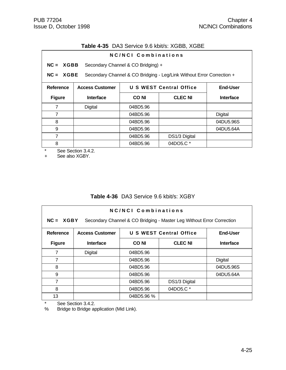### **Table 4-35** DA3 Service 9.6 kbit/s: XGBB, XGBE

|                  | NC/NCI Combinations    |                                    |                                                                       |                  |
|------------------|------------------------|------------------------------------|-----------------------------------------------------------------------|------------------|
| $NC = XGBB$      |                        | Secondary Channel & CO Bridging) + |                                                                       |                  |
| $NC = XGBE$      |                        |                                    | Secondary Channel & CO Bridging - Leg/Link Without Error Correction + |                  |
| <b>Reference</b> | <b>Access Customer</b> |                                    | U S WEST Central Office                                               | <b>End-User</b>  |
| <b>Figure</b>    | <b>Interface</b>       | CO NI                              | <b>CLEC NI</b>                                                        | <b>Interface</b> |
| 7                | Digital                | 04BD5.96                           |                                                                       |                  |
| 7                |                        | 04BD5.96                           |                                                                       | Digital          |
| 8                |                        | 04BD5.96                           |                                                                       | 04DU5.96S        |
| 9                |                        | 04BD5.96                           |                                                                       | 04DU5.64A        |
| 7                |                        | 04BD5.96                           | DS1/3 Digital                                                         |                  |
| 8                |                        | 04BD5.96                           | 04DO5.C *                                                             |                  |

\* See Section 3.4.2.

+ See also XGBY.

# **Table 4-36** DA3 Service 9.6 kbit/s: XGBY

| NC/NCI Combinations<br>$NC = XGBY$<br>Secondary Channel & CO Bridging - Master Leg Without Error Correction |                        |             |                                |                  |
|-------------------------------------------------------------------------------------------------------------|------------------------|-------------|--------------------------------|------------------|
| Reference                                                                                                   | <b>Access Customer</b> |             | <b>U S WEST Central Office</b> | <b>End-User</b>  |
| <b>Figure</b>                                                                                               | <b>Interface</b>       | <b>CONI</b> | <b>CLEC NI</b>                 | <b>Interface</b> |
| 7                                                                                                           | Digital                | 04BD5.96    |                                |                  |
| 7                                                                                                           |                        | 04BD5.96    |                                | Digital          |
| 8                                                                                                           |                        | 04BD5.96    |                                | 04DU5.96S        |
| 9                                                                                                           |                        | 04BD5.96    |                                | 04DU5.64A        |
| 7                                                                                                           |                        | 04BD5.96    | DS1/3 Digital                  |                  |
| 8                                                                                                           |                        | 04BD5.96    | 04DO5.C *                      |                  |
| 13                                                                                                          |                        | 04BD5.96 %  |                                |                  |

\* See Section 3.4.2.<br>% Bridge to Bridge ap

Bridge to Bridge application (Mid Link).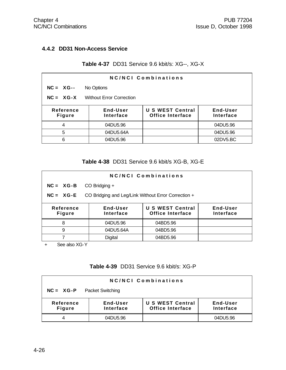### **4.4.2 DD31 Non-Access Service**

### **Table 4-37** DD31 Service 9.6 kbit/s: XG--, XG-X

| NC/NCI Combinations                            |                       |                                                    |                       |  |
|------------------------------------------------|-----------------------|----------------------------------------------------|-----------------------|--|
| $NC = XG -$                                    | No Options            |                                                    |                       |  |
| $NC = XG-X$<br><b>Without Error Correction</b> |                       |                                                    |                       |  |
| Reference<br><b>Figure</b>                     | End-User<br>Interface | <b>U S WEST Central</b><br><b>Office Interface</b> | End-User<br>Interface |  |
| 4                                              | 04DU5.96              |                                                    | 04DU5.96              |  |
| 5                                              | 04DU5.64A             |                                                    | 04DU5.96              |  |
| 6                                              | 04DU5.96              |                                                    | 02DV5.BC              |  |

### **Table 4-38** DD31 Service 9.6 kbit/s XG-B, XG-E

| NC/NCI Combinations                                                |                              |                                                    |                       |  |  |
|--------------------------------------------------------------------|------------------------------|----------------------------------------------------|-----------------------|--|--|
| $NC = XG-B$                                                        | CO Bridging +                |                                                    |                       |  |  |
| $NC = XG-E$<br>CO Bridging and Leg/Link Without Error Correction + |                              |                                                    |                       |  |  |
| Reference<br><b>Figure</b>                                         | <b>End-User</b><br>Interface | <b>U S WEST Central</b><br><b>Office Interface</b> | End-User<br>Interface |  |  |
| 8                                                                  | 04DU5.96                     | 04BD5.96                                           |                       |  |  |
| 9                                                                  | 04DU5.64A                    | 04BD5.96                                           |                       |  |  |
|                                                                    | <b>Digital</b>               | 04BD5.96                                           |                       |  |  |

+ See also XG-Y

# **Table 4-39** DD31 Service 9.6 kbit/s: XG-P

| <b>NC/NCI Combinations</b>               |                       |                                             |                       |  |  |
|------------------------------------------|-----------------------|---------------------------------------------|-----------------------|--|--|
| $NC = XG - P$<br><b>Packet Switching</b> |                       |                                             |                       |  |  |
| Reference<br><b>Figure</b>               | End-User<br>Interface | U S WEST Central<br><b>Office Interface</b> | End-User<br>Interface |  |  |
|                                          | 04DU5.96              |                                             | 04DU5.96              |  |  |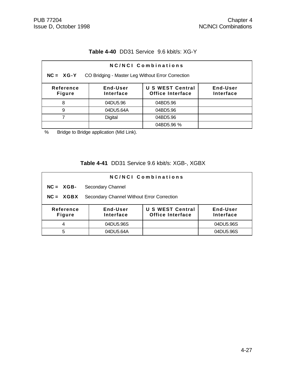# **Table 4-40** DD31 Service 9.6 kbit/s: XG-Y

| NC/NCI Combinations                                                                                                                |           |            |  |  |  |
|------------------------------------------------------------------------------------------------------------------------------------|-----------|------------|--|--|--|
| CO Bridging - Master Leg Without Error Correction<br>$NC = XG-Y$                                                                   |           |            |  |  |  |
| <b>U S WEST Central</b><br>End-User<br>End-User<br>Reference<br><b>Office Interface</b><br>Interface<br>Interface<br><b>Figure</b> |           |            |  |  |  |
| 8                                                                                                                                  | 04DU5.96  | 04BD5.96   |  |  |  |
| 9                                                                                                                                  | 04DU5.64A | 04BD5.96   |  |  |  |
|                                                                                                                                    | Digital   | 04BD5.96   |  |  |  |
|                                                                                                                                    |           | 04BD5.96 % |  |  |  |

% Bridge to Bridge application (Mid Link).

# **Table 4-41** DD31 Service 9.6 kbit/s: XGB-, XGBX

| <b>NC/NCI Combinations</b> |                                            |                                                    |                       |  |  |
|----------------------------|--------------------------------------------|----------------------------------------------------|-----------------------|--|--|
| $NC = XGB$                 | Secondary Channel                          |                                                    |                       |  |  |
| $NC = XGBX$                | Secondary Channel Without Error Correction |                                                    |                       |  |  |
| Reference<br><b>Figure</b> | End-User<br>Interface                      | <b>U S WEST Central</b><br><b>Office Interface</b> | End-User<br>Interface |  |  |
| 4                          | 04DU5.96S                                  |                                                    | 04DU5.96S             |  |  |
| 5                          | 04DU5.64A                                  |                                                    | 04DU5.96S             |  |  |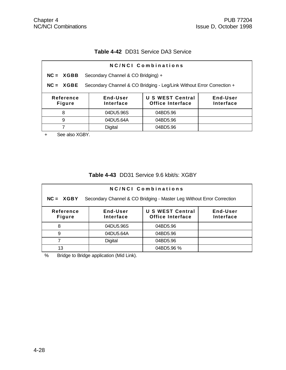# **Table 4-42** DD31 Service DA3 Service

| NC/NCI Combinations                                                                  |                                                                                                      |                                    |          |  |  |  |
|--------------------------------------------------------------------------------------|------------------------------------------------------------------------------------------------------|------------------------------------|----------|--|--|--|
| $NC = XGBB$                                                                          |                                                                                                      | Secondary Channel & CO Bridging) + |          |  |  |  |
| Secondary Channel & CO Bridging - Leg/Link Without Error Correction +<br>$NC = XGBE$ |                                                                                                      |                                    |          |  |  |  |
| Reference<br><b>Figure</b>                                                           | <b>U S WEST Central</b><br>End-User<br>End-User<br><b>Office Interface</b><br>Interface<br>Interface |                                    |          |  |  |  |
| 8                                                                                    | 04DU5.96S<br>04BD5.96                                                                                |                                    |          |  |  |  |
| 9                                                                                    |                                                                                                      | 04DU5.64A                          | 04BD5.96 |  |  |  |
| 7                                                                                    |                                                                                                      | <b>Digital</b>                     | 04BD5.96 |  |  |  |

+ See also XGBY.

#### **Table 4-43** DD31 Service 9.6 kbit/s: XGBY

| <b>NC/NCI Combinations</b>                                                           |                       |                                                    |                              |  |  |
|--------------------------------------------------------------------------------------|-----------------------|----------------------------------------------------|------------------------------|--|--|
| Secondary Channel & CO Bridging - Master Leg Without Error Correction<br>$NC = XGBY$ |                       |                                                    |                              |  |  |
| Reference<br><b>Figure</b>                                                           | End-User<br>Interface | <b>U S WEST Central</b><br><b>Office Interface</b> | End-User<br><b>Interface</b> |  |  |
| 8                                                                                    | 04DU5.96S             | 04BD5.96                                           |                              |  |  |
| 9                                                                                    | 04DU5.64A             | 04BD5.96                                           |                              |  |  |
|                                                                                      | <b>Digital</b>        | 04BD5.96                                           |                              |  |  |
| 13                                                                                   |                       | 04BD5.96 %                                         |                              |  |  |

% Bridge to Bridge application (Mid Link).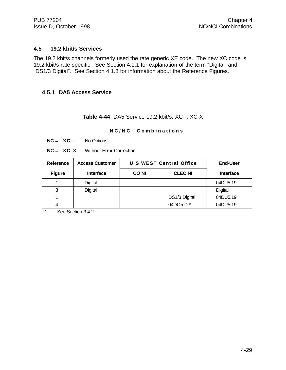#### **4.5 19.2 kbit/s Services**

The 19.2 kbit/s channels formerly used the rate generic XE code. The new XC code is 19.2 kbit/s rate specific. See Section 4.1.1 for explanation of the term "Digital" and "DS1/3 Digital". See Section 4.1.8 for information about the Reference Figures.

#### **4.5.1 DA5 Access Service**

| NC/NCI Combinations                     |                        |                                            |                |                  |  |
|-----------------------------------------|------------------------|--------------------------------------------|----------------|------------------|--|
| $NC = XC--$                             | No Options             |                                            |                |                  |  |
| $NC = XC-X$<br>Without Error Correction |                        |                                            |                |                  |  |
| Reference                               | <b>Access Customer</b> | U S WEST Central Office<br><b>End-User</b> |                |                  |  |
|                                         |                        |                                            |                |                  |  |
| <b>Figure</b>                           | Interface              | <b>CONI</b>                                | <b>CLEC NI</b> | <b>Interface</b> |  |
|                                         | Digital                |                                            |                | 04DU5.19         |  |
| 3                                       | Digital                |                                            |                | Digital          |  |
|                                         |                        |                                            | DS1/3 Digital  | 04DU5.19         |  |

**Table 4-44** DA5 Service 19.2 kbit/s: XC--, XC-X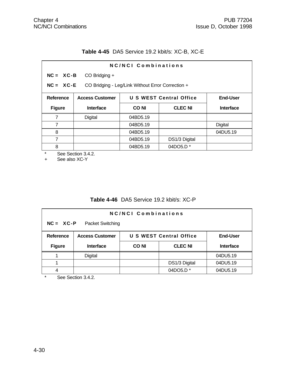## **Table 4-45** DA5 Service 19.2 kbit/s: XC-B, XC-E

| NC/NCI Combinations                                                |                                |             |                                |                  |  |  |
|--------------------------------------------------------------------|--------------------------------|-------------|--------------------------------|------------------|--|--|
|                                                                    | $NC = XC - B$<br>CO Bridging + |             |                                |                  |  |  |
| $NC = XC - E$<br>CO Bridging - Leg/Link Without Error Correction + |                                |             |                                |                  |  |  |
| Reference                                                          | <b>Access Customer</b>         |             | <b>U S WEST Central Office</b> | <b>End-User</b>  |  |  |
| <b>Figure</b>                                                      | <b>Interface</b>               | <b>CONI</b> | <b>CLEC NI</b>                 | <b>Interface</b> |  |  |
| 7                                                                  | Digital                        | 04BD5.19    |                                |                  |  |  |
| $\overline{7}$                                                     |                                | 04BD5.19    |                                | <b>Digital</b>   |  |  |
| 8                                                                  |                                | 04BD5.19    |                                | 04DU5.19         |  |  |
| 7                                                                  |                                | 04BD5.19    | DS1/3 Digital                  |                  |  |  |
| 8                                                                  |                                | 04BD5.19    | 04DO5.D <sup>*</sup>           |                  |  |  |

\* See Section 3.4.2.<br>+ See also XC-Y

See also XC-Y

## **Table 4-46** DA5 Service 19.2 kbit/s: XC-P

| NC/NCI Combinations<br>$NC = XC-P$<br>Packet Switching |                                                                             |  |                      |          |  |
|--------------------------------------------------------|-----------------------------------------------------------------------------|--|----------------------|----------|--|
| Reference                                              | <b>U S WEST Central Office</b><br><b>Access Customer</b><br><b>End-User</b> |  |                      |          |  |
| <b>Figure</b>                                          | <b>CLEC NI</b><br><b>CONI</b><br><b>Interface</b><br><b>Interface</b>       |  |                      |          |  |
|                                                        | <b>Digital</b>                                                              |  |                      | 04DU5.19 |  |
|                                                        |                                                                             |  | DS1/3 Digital        | 04DU5.19 |  |
|                                                        |                                                                             |  | 04DO5.D <sup>*</sup> | 04DU5.19 |  |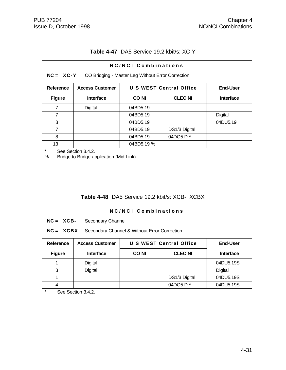| Table 4-47 DA5 Service 19.2 kbit/s: XC-Y |
|------------------------------------------|
|------------------------------------------|

| NC/NCI Combinations<br>NC = XC-Y CO Bridging - Master Leg Without Error Correction |                                                                             |            |                |                  |  |
|------------------------------------------------------------------------------------|-----------------------------------------------------------------------------|------------|----------------|------------------|--|
| Reference                                                                          | <b>U S WEST Central Office</b><br><b>End-User</b><br><b>Access Customer</b> |            |                |                  |  |
| <b>Figure</b>                                                                      | Interface                                                                   | CO NI      | <b>CLEC NI</b> | <b>Interface</b> |  |
| 7                                                                                  | Digital                                                                     | 04BD5.19   |                |                  |  |
| 7                                                                                  |                                                                             | 04BD5.19   |                | Digital          |  |
| 8                                                                                  |                                                                             | 04BD5.19   |                | 04DU5.19         |  |
| 7                                                                                  |                                                                             | 04BD5.19   | DS1/3 Digital  |                  |  |
| 8                                                                                  |                                                                             | 04BD5.19   | 04DO5.D *      |                  |  |
| 13                                                                                 |                                                                             | 04BD5.19 % |                |                  |  |

\* See Section 3.4.2.<br>% Bridge to Bridge ap

Bridge to Bridge application (Mid Link).

### **Table 4-48** DA5 Service 19.2 kbit/s: XCB-, XCBX

| NC/NCI Combinations |                                                             |                                                   |                |                  |  |
|---------------------|-------------------------------------------------------------|---------------------------------------------------|----------------|------------------|--|
|                     | $NC = XCB -$<br>Secondary Channel                           |                                                   |                |                  |  |
|                     | $NC = XCBX$<br>Secondary Channel & Without Error Correction |                                                   |                |                  |  |
| <b>Reference</b>    | <b>Access Customer</b>                                      | <b>U S WEST Central Office</b><br><b>End-User</b> |                |                  |  |
| <b>Figure</b>       | <b>Interface</b>                                            | <b>CONI</b>                                       | <b>CLEC NI</b> | <b>Interface</b> |  |
|                     | Digital                                                     |                                                   |                | 04DU5.19S        |  |
| 3                   | Digital                                                     |                                                   |                | Digital          |  |
|                     |                                                             |                                                   | DS1/3 Digital  | 04DU5.19S        |  |
| 4                   |                                                             |                                                   | 04DO5.D *      | 04DU5.19S        |  |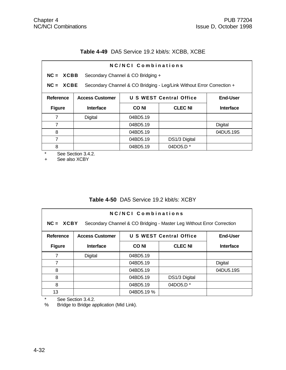## **Table 4-49** DA5 Service 19.2 kbit/s: XCBB, XCBE

| NC/NCI Combinations |                                                                      |                                   |                                                                       |                  |
|---------------------|----------------------------------------------------------------------|-----------------------------------|-----------------------------------------------------------------------|------------------|
| $NC = XCBB$         |                                                                      | Secondary Channel & CO Bridging + |                                                                       |                  |
| $NC = XCBE$         |                                                                      |                                   | Secondary Channel & CO Bridging - Leg/Link Without Error Correction + |                  |
| Reference           | U S WEST Central Office<br><b>End-User</b><br><b>Access Customer</b> |                                   |                                                                       |                  |
| <b>Figure</b>       | <b>Interface</b>                                                     | <b>CONI</b>                       | <b>CLEC NI</b>                                                        | <b>Interface</b> |
| 7                   | Digital                                                              | 04BD5.19                          |                                                                       |                  |
| 7                   |                                                                      | 04BD5.19                          |                                                                       | Digital          |
| 8                   |                                                                      | 04BD5.19                          |                                                                       | 04DU5.19S        |
| 7                   |                                                                      | 04BD5.19                          | DS1/3 Digital                                                         |                  |
| 8                   |                                                                      | 04BD5.19                          | 04DO5.D $*$                                                           |                  |

\* See Section 3.4.2.<br>+ See also XCBY

See also XCBY

## **Table 4-50** DA5 Service 19.2 kbit/s: XCBY

| NC/NCL Combinations<br>$NC = XCBY$<br>Secondary Channel & CO Bridging - Master Leg Without Error Correction |                                                                             |                                                   |                      |           |  |
|-------------------------------------------------------------------------------------------------------------|-----------------------------------------------------------------------------|---------------------------------------------------|----------------------|-----------|--|
| <b>Reference</b>                                                                                            | <b>U S WEST Central Office</b><br><b>End-User</b><br><b>Access Customer</b> |                                                   |                      |           |  |
| <b>Figure</b>                                                                                               | <b>Interface</b>                                                            | <b>CLEC NI</b><br><b>CONI</b><br><b>Interface</b> |                      |           |  |
| 7                                                                                                           | Digital                                                                     | 04BD5.19                                          |                      |           |  |
| 7                                                                                                           |                                                                             | 04BD5.19                                          |                      | Digital   |  |
| 8                                                                                                           |                                                                             | 04BD5.19                                          |                      | 04DU5.19S |  |
| 8                                                                                                           |                                                                             | 04BD5.19                                          | DS1/3 Digital        |           |  |
| 8                                                                                                           |                                                                             | 04BD5.19                                          | 04DO5.D <sup>*</sup> |           |  |
| 13                                                                                                          |                                                                             | 04BD5.19 %                                        |                      |           |  |

\* See Section 3.4.2.<br>% Bridge to Bridge ap

Bridge to Bridge application (Mid Link).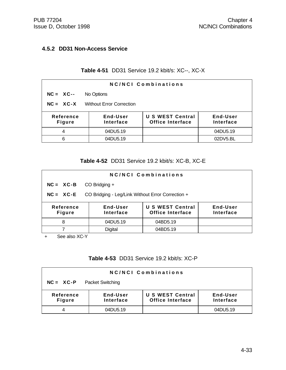### **4.5.2 DD31 Non-Access Service**

## **Table 4-51** DD31 Service 19.2 kbit/s: XC--, XC-X

| NC/NCI Combinations        |                                 |                                                    |                              |  |  |
|----------------------------|---------------------------------|----------------------------------------------------|------------------------------|--|--|
| $NC = XC--$                | No Options                      |                                                    |                              |  |  |
| $NC = XC-X$                | <b>Without Error Correction</b> |                                                    |                              |  |  |
| Reference<br><b>Figure</b> | End-User<br>Interface           | <b>U S WEST Central</b><br><b>Office Interface</b> | <b>End-User</b><br>Interface |  |  |
| 4                          | 04DU5.19                        |                                                    | 04DU5.19                     |  |  |
| 6                          | 04DU5.19                        |                                                    | 02DV5.BL                     |  |  |

### **Table 4-52** DD31 Service 19.2 kbit/s: XC-B, XC-E

| $NC = XC - B$<br>CO Bridging +<br>CO Bridging - Leg/Link Without Error Correction +<br>$NC = XC-E$<br><b>U S WEST Central</b><br>End-User<br>End-User<br><b>Reference</b><br><b>Office Interface</b><br>Interface<br>Interface<br><b>Figure</b><br>04DU5.19<br>04BD5.19<br>8 | NC/NCI Combinations |  |  |  |  |  |
|------------------------------------------------------------------------------------------------------------------------------------------------------------------------------------------------------------------------------------------------------------------------------|---------------------|--|--|--|--|--|
|                                                                                                                                                                                                                                                                              |                     |  |  |  |  |  |
|                                                                                                                                                                                                                                                                              |                     |  |  |  |  |  |
|                                                                                                                                                                                                                                                                              |                     |  |  |  |  |  |
|                                                                                                                                                                                                                                                                              |                     |  |  |  |  |  |
| <b>Digital</b><br>7<br>04BD5.19                                                                                                                                                                                                                                              |                     |  |  |  |  |  |

+ See also XC-Y

## **Table 4-53** DD31 Service 19.2 kbit/s: XC-P

| <b>NC/NCI Combinations</b>                                                                                                         |          |  |          |  |  |
|------------------------------------------------------------------------------------------------------------------------------------|----------|--|----------|--|--|
| $NC = XC-P$<br><b>Packet Switching</b>                                                                                             |          |  |          |  |  |
| <b>U S WEST Central</b><br>End-User<br>Reference<br>End-User<br><b>Office Interface</b><br>Interface<br>Interface<br><b>Figure</b> |          |  |          |  |  |
|                                                                                                                                    | 04DU5.19 |  | 04DU5.19 |  |  |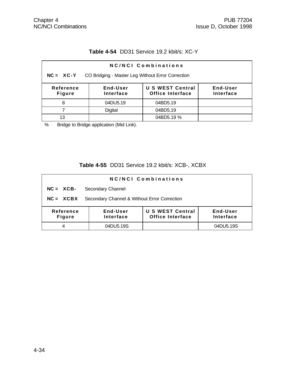# **Table 4-54** DD31 Service 19.2 kbit/s: XC-Y

| NC/NCI Combinations                                                                                                                |                |            |  |  |  |
|------------------------------------------------------------------------------------------------------------------------------------|----------------|------------|--|--|--|
| CO Bridging - Master Leg Without Error Correction<br>$NC = XC-Y$                                                                   |                |            |  |  |  |
| <b>U S WEST Central</b><br>Reference<br>End-User<br>End-User<br><b>Office Interface</b><br>Interface<br>Interface<br><b>Figure</b> |                |            |  |  |  |
| 8                                                                                                                                  | 04DU5.19       | 04BD5.19   |  |  |  |
|                                                                                                                                    | <b>Digital</b> | 04BD5.19   |  |  |  |
| 13                                                                                                                                 |                | 04BD5.19 % |  |  |  |

% Bridge to Bridge application (Mid Link).

## **Table 4-55** DD31 Service 19.2 kbit/s: XCB-, XCBX

| NC/NCI Combinations                                                                                                                |                   |  |           |  |  |
|------------------------------------------------------------------------------------------------------------------------------------|-------------------|--|-----------|--|--|
| $NC = XCB -$                                                                                                                       | Secondary Channel |  |           |  |  |
| Secondary Channel & Without Error Correction<br>$NC = XCBX$                                                                        |                   |  |           |  |  |
| <b>U S WEST Central</b><br>End-User<br>Reference<br>End-User<br><b>Office Interface</b><br>Interface<br>Interface<br><b>Figure</b> |                   |  |           |  |  |
| 4                                                                                                                                  | 04DU5.19S         |  | 04DU5.19S |  |  |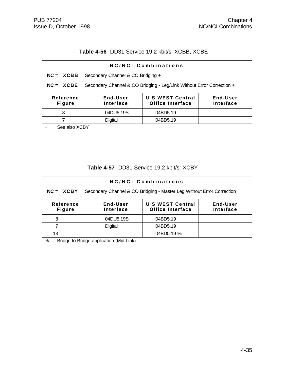## **Table 4-56** DD31 Service 19.2 kbit/s: XCBB, XCBE

| NC/NCI Combinations                                                                                                         |                                   |          |  |  |  |  |
|-----------------------------------------------------------------------------------------------------------------------------|-----------------------------------|----------|--|--|--|--|
| $NC = XCBB$                                                                                                                 | Secondary Channel & CO Bridging + |          |  |  |  |  |
| Secondary Channel & CO Bridging - Leg/Link Without Error Correction +<br>$NC = XCBE$                                        |                                   |          |  |  |  |  |
| <b>U S WEST Central</b><br>End-User<br>End-User<br>Reference<br>Office Interface<br>Interface<br>Interface<br><b>Figure</b> |                                   |          |  |  |  |  |
| 8                                                                                                                           | 04DU5.19S                         | 04BD5.19 |  |  |  |  |
| Digital<br>04BD5.19                                                                                                         |                                   |          |  |  |  |  |
| See also YCRV                                                                                                               |                                   |          |  |  |  |  |

See also XCBY

### **Table 4-57** DD31 Service 19.2 kbit/s: XCBY

| <b>NC/NCI Combinations</b>                                                           |                                                                                                      |            |  |  |  |
|--------------------------------------------------------------------------------------|------------------------------------------------------------------------------------------------------|------------|--|--|--|
| Secondary Channel & CO Bridging - Master Leg Without Error Correction<br>$NC = XCBY$ |                                                                                                      |            |  |  |  |
| Reference<br><b>Figure</b>                                                           | <b>U S WEST Central</b><br>End-User<br>End-User<br><b>Office Interface</b><br>Interface<br>Interface |            |  |  |  |
| 8                                                                                    | 04DU5.19S                                                                                            | 04BD5.19   |  |  |  |
|                                                                                      | <b>Digital</b>                                                                                       | 04BD5.19   |  |  |  |
| 13                                                                                   |                                                                                                      | 04BD5.19 % |  |  |  |

% Bridge to Bridge application (Mid Link).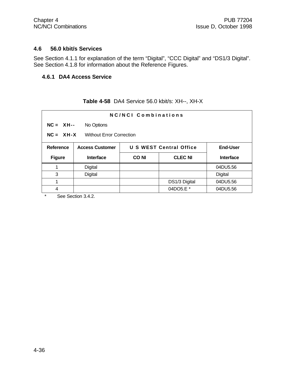#### **4.6 56.0 kbit/s Services**

See Section 4.1.1 for explanation of the term "Digital", "CCC Digital" and "DS1/3 Digital". See Section 4.1.8 for information about the Reference Figures.

### **4.6.1 DA4 Access Service**

|  |  | Table 4-58 DA4 Service 56.0 kbit/s: XH--, XH-X |  |
|--|--|------------------------------------------------|--|
|--|--|------------------------------------------------|--|

| NC/NCI Combinations |                                                                             |             |                |                  |  |
|---------------------|-----------------------------------------------------------------------------|-------------|----------------|------------------|--|
|                     | $NC = XH--$<br>No Options                                                   |             |                |                  |  |
|                     | $NC = XH-X$<br><b>Without Error Correction</b>                              |             |                |                  |  |
| <b>Reference</b>    | <b>U S WEST Central Office</b><br><b>End-User</b><br><b>Access Customer</b> |             |                |                  |  |
| <b>Figure</b>       | <b>Interface</b>                                                            | <b>CONI</b> | <b>CLEC NI</b> | <b>Interface</b> |  |
|                     | Digital                                                                     |             |                | 04DU5.56         |  |
| 3                   | Digital                                                                     |             |                | <b>Digital</b>   |  |
| 1                   |                                                                             |             | DS1/3 Digital  | 04DU5.56         |  |
| 4                   |                                                                             |             | 04DO5.E *      | 04DU5.56         |  |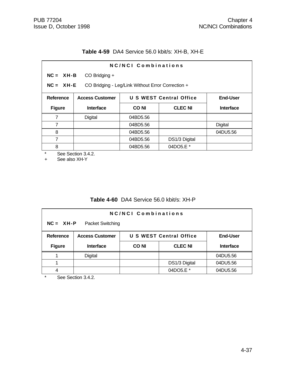## **Table 4-59** DA4 Service 56.0 kbit/s: XH-B, XH-E

| NC/NCI Combinations |                                                                             |             |                |                  |  |
|---------------------|-----------------------------------------------------------------------------|-------------|----------------|------------------|--|
|                     | $NC = XH - B$<br>CO Bridging +                                              |             |                |                  |  |
|                     | CO Bridging - Leg/Link Without Error Correction +<br>$NC = XH-E$            |             |                |                  |  |
| Reference           | <b>U S WEST Central Office</b><br><b>End-User</b><br><b>Access Customer</b> |             |                |                  |  |
| <b>Figure</b>       | Interface                                                                   | <b>CONI</b> | <b>CLEC NI</b> | <b>Interface</b> |  |
| $\overline{7}$      | Digital                                                                     | 04BD5.56    |                |                  |  |
| $\overline{7}$      |                                                                             | 04BD5.56    |                | Digital          |  |
| 8                   |                                                                             | 04BD5.56    |                | 04DU5.56         |  |
| $\overline{7}$      |                                                                             | 04BD5.56    | DS1/3 Digital  |                  |  |
| 8                   |                                                                             | 04BD5.56    | 04DO5.E *      |                  |  |

\* See Section 3.4.2.

+ See also XH-Y

## **Table 4-60** DA4 Service 56.0 kbit/s: XH-P

| <b>NC/NCI Combinations</b><br>$NC = XH-P$<br>Packet Switching |                                                                             |       |                |                  |  |
|---------------------------------------------------------------|-----------------------------------------------------------------------------|-------|----------------|------------------|--|
| <b>Reference</b>                                              | <b>U S WEST Central Office</b><br><b>Access Customer</b><br><b>End-User</b> |       |                |                  |  |
| <b>Figure</b>                                                 | <b>Interface</b>                                                            | CO NI | <b>CLEC NI</b> | <b>Interface</b> |  |
|                                                               | Digital                                                                     |       |                | 04DU5.56         |  |
|                                                               |                                                                             |       | DS1/3 Digital  | 04DU5.56         |  |
|                                                               |                                                                             |       | 04DO5.E *      | 04DU5.56         |  |

\* See Section 3.4.2.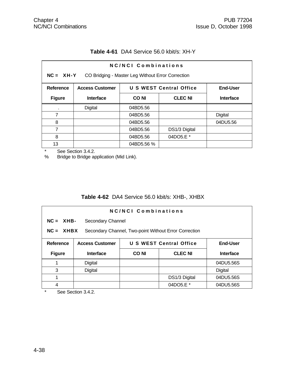| NC/NCI Combinations |                        |                                                   |                         |                  |  |  |
|---------------------|------------------------|---------------------------------------------------|-------------------------|------------------|--|--|
| $NC = XH-Y$         |                        | CO Bridging - Master Leg Without Error Correction |                         |                  |  |  |
| Reference           | <b>Access Customer</b> |                                                   | U S WEST Central Office | End-User         |  |  |
| <b>Figure</b>       | Interface              | <b>CLEC NI</b><br><b>CONI</b>                     |                         | <b>Interface</b> |  |  |
| $\blacksquare$      | Digital                | 04BD5.56                                          |                         |                  |  |  |
| 7                   |                        | 04BD5.56                                          |                         | <b>Digital</b>   |  |  |
| 8                   |                        | 04BD5.56                                          |                         | 04DU5.56         |  |  |
| 7                   |                        | 04BD5.56                                          | DS1/3 Digital           |                  |  |  |
| 8                   |                        | 04BD5.56                                          | 04DO5.E *               |                  |  |  |
| 13                  |                        | 04BD5.56 %                                        |                         |                  |  |  |

## **Table 4-61** DA4 Service 56.0 kbit/s: XH-Y

\* See Section 3.4.2.<br>% Bridge to Bridge ap

Bridge to Bridge application (Mid Link).

## **Table 4-62** DA4 Service 56.0 kbit/s: XHB-, XHBX

| NC/NCI Combinations                                                  |                                                                             |             |                |           |  |
|----------------------------------------------------------------------|-----------------------------------------------------------------------------|-------------|----------------|-----------|--|
|                                                                      | $NC = XHB$<br>Secondary Channel                                             |             |                |           |  |
| Secondary Channel, Two-point Without Error Correction<br>$NC = XHBX$ |                                                                             |             |                |           |  |
| Reference                                                            | <b>U S WEST Central Office</b><br><b>End-User</b><br><b>Access Customer</b> |             |                |           |  |
| <b>Figure</b>                                                        | <b>Interface</b>                                                            | <b>CONI</b> | <b>CLEC NI</b> | Interface |  |
|                                                                      | Digital                                                                     |             |                | 04DU5.56S |  |
| 3                                                                    | Digital                                                                     |             |                | Digital   |  |
| 1                                                                    |                                                                             |             | DS1/3 Digital  | 04DU5.56S |  |
| 4                                                                    |                                                                             |             | 04DO5.E *      | 04DU5.56S |  |

\* See Section 3.4.2.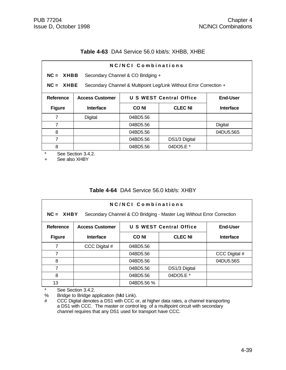#### **Table 4-63** DA4 Service 56.0 kbit/s: XHBB, XHBE

| NC/NCI Combinations |                                                                                   |             |                |                  |  |
|---------------------|-----------------------------------------------------------------------------------|-------------|----------------|------------------|--|
|                     | $NC = XHBB$<br>Secondary Channel & CO Bridging +                                  |             |                |                  |  |
|                     | $NC = XHBE$<br>Secondary Channel & Multipoint Leg/Link Without Error Correction + |             |                |                  |  |
| <b>Reference</b>    | U S WEST Central Office<br><b>End-User</b><br><b>Access Customer</b>              |             |                |                  |  |
| <b>Figure</b>       | <b>Interface</b>                                                                  | <b>CONI</b> | <b>CLEC NI</b> | <b>Interface</b> |  |
| 7                   | <b>Digital</b>                                                                    | 04BD5.56    |                |                  |  |
| 7                   |                                                                                   | 04BD5.56    |                | Digital          |  |
| 8                   |                                                                                   | 04BD5.56    |                | 04DU5.56S        |  |
| 7                   |                                                                                   | 04BD5.56    | DS1/3 Digital  |                  |  |
| 8                   |                                                                                   | 04BD5.56    | 04DO5.E *      |                  |  |

\* See Section 3.4.2.

+ See also XHBY

#### **Table 4-64** DA4 Service 56.0 kbit/s: XHBY

| NC/NCI Combinations<br>$NC = XHBY$<br>Secondary Channel & CO Bridging - Master Leg Without Error Correction |                        |             |                                |               |
|-------------------------------------------------------------------------------------------------------------|------------------------|-------------|--------------------------------|---------------|
| Reference                                                                                                   | <b>Access Customer</b> |             | <b>U S WEST Central Office</b> | End-User      |
| <b>Figure</b>                                                                                               | <b>Interface</b>       | <b>CONI</b> | <b>Interface</b>               |               |
| 7                                                                                                           | CCC Digital #          | 04BD5.56    |                                |               |
| 7                                                                                                           |                        | 04BD5.56    |                                | CCC Digital # |
| 8                                                                                                           |                        | 04BD5.56    |                                | 04DU5.56S     |
| 7                                                                                                           |                        | 04BD5.56    | DS1/3 Digital                  |               |
| 8                                                                                                           |                        | 04BD5.56    | 04DO5.E *                      |               |
| 13                                                                                                          |                        | 04BD5.56 %  |                                |               |

\* See Section 3.4.2.<br>% Bridge to Bridge ap

Bridge to Bridge application (Mid Link).

# CCC Digital denotes a DS1 with CCC or, at higher data rates, a channel transporting a DS1 with CCC. The master or control leg of a multipoint circuit with secondary channel requires that any DS1 used for transport have CCC.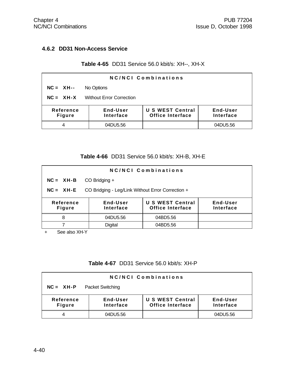## **4.6.2 DD31 Non-Access Service**

## **Table 4-65** DD31 Service 56.0 kbit/s: XH--, XH-X

| NC/NCI Combinations                                                                                                                |            |  |          |  |
|------------------------------------------------------------------------------------------------------------------------------------|------------|--|----------|--|
| $NC = XH--$                                                                                                                        | No Options |  |          |  |
| $NC = XH-X$<br><b>Without Error Correction</b>                                                                                     |            |  |          |  |
| <b>U S WEST Central</b><br>End-User<br>End-User<br>Reference<br><b>Office Interface</b><br>Interface<br>Interface<br><b>Figure</b> |            |  |          |  |
|                                                                                                                                    | 04DU5.56   |  | 04DU5.56 |  |

## **Table 4-66** DD31 Service 56.0 kbit/s: XH-B, XH-E

| NC/NCI Combinations                                                                                                         |                                                   |          |  |  |  |
|-----------------------------------------------------------------------------------------------------------------------------|---------------------------------------------------|----------|--|--|--|
| $NC = XH - B$                                                                                                               | CO Bridging +                                     |          |  |  |  |
| $NC = XH-E$                                                                                                                 | CO Bridging - Leg/Link Without Error Correction + |          |  |  |  |
| <b>U S WEST Central</b><br>Reference<br>End-User<br>End-User<br>Office Interface<br>Interface<br>Interface<br><b>Figure</b> |                                                   |          |  |  |  |
| 8                                                                                                                           | 04DU5.56                                          | 04BD5.56 |  |  |  |
|                                                                                                                             | <b>Digital</b>                                    | 04BD5.56 |  |  |  |

+ See also XH-Y

#### **Table 4-67** DD31 Service 56.0 kbit/s: XH-P

| <b>NC/NCI Combinations</b>             |                       |                                                    |                       |  |  |
|----------------------------------------|-----------------------|----------------------------------------------------|-----------------------|--|--|
| $NC = XH-P$<br><b>Packet Switching</b> |                       |                                                    |                       |  |  |
| Reference<br><b>Figure</b>             | End-User<br>Interface | <b>U S WEST Central</b><br><b>Office Interface</b> | End-User<br>Interface |  |  |
|                                        | 04DU5.56              |                                                    | 04DU5.56              |  |  |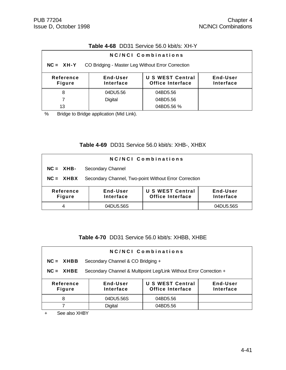## **Table 4-68** DD31 Service 56.0 kbit/s: XH-Y

| NC/NCI Combinations                                                                                                                |          |            |  |  |  |
|------------------------------------------------------------------------------------------------------------------------------------|----------|------------|--|--|--|
| $NC = XH-Y$<br>CO Bridging - Master Leg Without Error Correction                                                                   |          |            |  |  |  |
| <b>U S WEST Central</b><br>End-User<br>End-User<br>Reference<br><b>Office Interface</b><br>Interface<br>Interface<br><b>Figure</b> |          |            |  |  |  |
| 8                                                                                                                                  | 04DU5.56 | 04BD5.56   |  |  |  |
|                                                                                                                                    | Digital  | 04BD5.56   |  |  |  |
| 13                                                                                                                                 |          | 04BD5.56 % |  |  |  |

% Bridge to Bridge application (Mid Link).

## **Table 4-69** DD31 Service 56.0 kbit/s: XHB-, XHBX

| NC/NCI Combinations                                                                                                                |                                                       |  |           |  |  |
|------------------------------------------------------------------------------------------------------------------------------------|-------------------------------------------------------|--|-----------|--|--|
| $NC = XHB -$                                                                                                                       | Secondary Channel                                     |  |           |  |  |
| $NC = XHBX$                                                                                                                        | Secondary Channel, Two-point Without Error Correction |  |           |  |  |
| <b>U S WEST Central</b><br>End-User<br>Reference<br>End-User<br><b>Office Interface</b><br>Interface<br>Interface<br><b>Figure</b> |                                                       |  |           |  |  |
| 4                                                                                                                                  | 04DU5.56S                                             |  | 04DU5.56S |  |  |

**Table 4-70** DD31 Service 56.0 kbit/s: XHBB, XHBE

| NC/NCI Combinations                                                                                                         |                                                                    |          |  |  |  |
|-----------------------------------------------------------------------------------------------------------------------------|--------------------------------------------------------------------|----------|--|--|--|
| $NC = XHBB$                                                                                                                 | Secondary Channel & CO Bridging +                                  |          |  |  |  |
| $NC = XHBE$                                                                                                                 | Secondary Channel & Multipoint Leg/Link Without Error Correction + |          |  |  |  |
| <b>U S WEST Central</b><br>Reference<br>End-User<br>End-User<br>Interface<br>Office Interface<br>Interface<br><b>Figure</b> |                                                                    |          |  |  |  |
| 8                                                                                                                           | 04DU5.56S                                                          | 04BD5.56 |  |  |  |
|                                                                                                                             | <b>Digital</b>                                                     | 04BD5.56 |  |  |  |

+ See also XHBY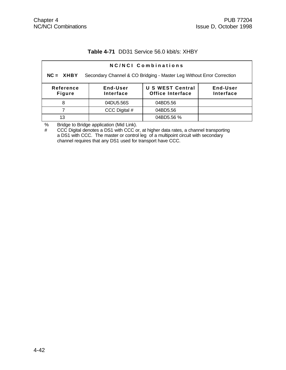#### **Table 4-71** DD31 Service 56.0 kbit/s: XHBY

| NC/NCI Combinations                                                                  |                       |                                                    |                       |  |  |
|--------------------------------------------------------------------------------------|-----------------------|----------------------------------------------------|-----------------------|--|--|
| Secondary Channel & CO Bridging - Master Leg Without Error Correction<br>$NC = XHBY$ |                       |                                                    |                       |  |  |
| Reference<br><b>Figure</b>                                                           | End-User<br>Interface | <b>U S WEST Central</b><br><b>Office Interface</b> | End-User<br>Interface |  |  |
| 8                                                                                    | 04DU5.56S             | 04BD5.56                                           |                       |  |  |
|                                                                                      | CCC Digital #         | 04BD5.56                                           |                       |  |  |
| 13                                                                                   |                       | 04BD5.56 %                                         |                       |  |  |

% Bridge to Bridge application (Mid Link).

# CCC Digital denotes a DS1 with CCC or, at higher data rates, a channel transporting a DS1 with CCC. The master or control leg of a multipoint circuit with secondary channel requires that any DS1 used for transport have CCC.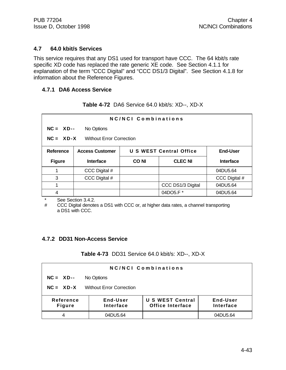#### **4.7 64.0 kbit/s Services**

This service requires that any DS1 used for transport have CCC. The 64 kbit/s rate specific XD code has replaced the rate generic XE code. See Section 4.1.1 for explanation of the term "CCC Digital" and "CCC DS1/3 Digital". See Section 4.1.8 for information about the Reference Figures.

#### **4.7.1 DA6 Access Service**

|  |  | Table 4-72 DA6 Service 64.0 kbit/s: XD--, XD-X |  |
|--|--|------------------------------------------------|--|
|--|--|------------------------------------------------|--|

| NC/NCI Combinations |                                                |             |                         |                  |  |
|---------------------|------------------------------------------------|-------------|-------------------------|------------------|--|
|                     | $NC = XP$<br>No Options                        |             |                         |                  |  |
|                     | $NC = XD-X$<br><b>Without Error Correction</b> |             |                         |                  |  |
| Reference           | <b>Access Customer</b>                         |             | U S WEST Central Office | <b>End-User</b>  |  |
| <b>Figure</b>       | Interface                                      | <b>CONI</b> | <b>CLEC NI</b>          | <b>Interface</b> |  |
|                     | CCC Digital #                                  |             |                         | 04DU5.64         |  |
| 3                   | CCC Digital #                                  |             |                         | CCC Digital #    |  |
|                     |                                                |             | CCC DS1/3 Digital       | 04DU5.64         |  |
| 4                   |                                                |             | 04DO5.F*                | 04DU5.64         |  |

\* See Section 3.4.2.

# CCC Digital denotes a DS1 with CCC or, at higher data rates, a channel transporting a DS1 with CCC.

#### **4.7.2 DD31 Non-Access Service**

#### **Table 4-73** DD31 Service 64.0 kbit/s: XD--, XD-X

| NC/NCI Combinations        |                                 |                                                    |                       |  |
|----------------------------|---------------------------------|----------------------------------------------------|-----------------------|--|
| $NC = XD$                  | No Options                      |                                                    |                       |  |
| $NC = XD-X$                | <b>Without Error Correction</b> |                                                    |                       |  |
| Reference<br><b>Figure</b> | End-User<br>Interface           | <b>U S WEST Central</b><br><b>Office Interface</b> | End-User<br>Interface |  |
|                            | 04DU5.64                        |                                                    | 04DU5.64              |  |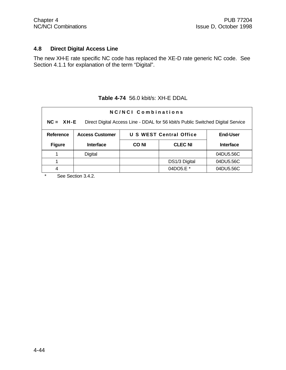# **4.8 Direct Digital Access Line**

The new XH-E rate specific NC code has replaced the XE-D rate generic NC code. See Section 4.1.1 for explanation of the term "Digital".

**Table 4-74** 56.0 kbit/s: XH-E DDAL

| NC/NCI Combinations<br>Direct Digital Access Line - DDAL for 56 kbit/s Public Switched Digital Service<br>$NC = XH-E$ |                        |       |                         |                  |
|-----------------------------------------------------------------------------------------------------------------------|------------------------|-------|-------------------------|------------------|
| <b>Reference</b>                                                                                                      | <b>Access Customer</b> |       | U S WEST Central Office | <b>End-User</b>  |
| <b>Figure</b>                                                                                                         | <b>Interface</b>       | CO NI | <b>CLEC NI</b>          | <b>Interface</b> |
|                                                                                                                       | Digital                |       |                         | 04DU5.56C        |
|                                                                                                                       |                        |       | DS1/3 Digital           | 04DU5.56C        |
| 4                                                                                                                     |                        |       | 04DO5.E *               | 04DU5.56C        |

\* See Section 3.4.2.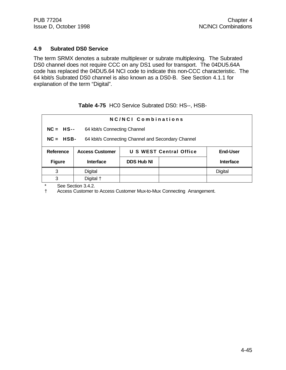#### **4.9 Subrated DS0 Service**

The term SRMX denotes a subrate multiplexer or subrate multiplexing. The Subrated DS0 channel does not require CCC on any DS1 used for transport. The 04DU5.64A code has replaced the 04DU5.64 NCI code to indicate this non-CCC characteristic. The 64 kbit/s Subrated DS0 channel is also known as a DS0-B. See Section 4.1.1 for explanation of the term "Digital".

## **Table 4-75** HC0 Service Subrated DS0: HS--, HSB-

| NC/NCI Combinations                                                |                              |                   |                         |                  |  |
|--------------------------------------------------------------------|------------------------------|-------------------|-------------------------|------------------|--|
| $NC = HS$                                                          | 64 kbit/s Connecting Channel |                   |                         |                  |  |
| 64 kbit/s Connecting Channel and Secondary Channel<br>$NC = HSB$ - |                              |                   |                         |                  |  |
| Reference                                                          | <b>Access Customer</b>       |                   | U S WEST Central Office | <b>End-User</b>  |  |
| <b>Figure</b>                                                      | <b>Interface</b>             | <b>DDS Hub NI</b> |                         | <b>Interface</b> |  |
| 3                                                                  | Digital                      |                   |                         | <b>Digital</b>   |  |
| 3                                                                  | Digital +                    |                   |                         |                  |  |

\* See Section 3.4.2.<br>
+ Access Customer to

† Access Customer to Access Customer Mux-to-Mux Connecting Arrangement.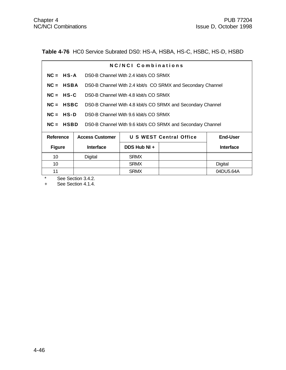**Table 4-76** HC0 Service Subrated DS0: HS-A, HSBA, HS-C, HSBC, HS-D, HSBD

|                                                   |                                                                              | NC/NCI Combinations                   |                                                             |                  |
|---------------------------------------------------|------------------------------------------------------------------------------|---------------------------------------|-------------------------------------------------------------|------------------|
|                                                   | $NC = HS-A$<br>DS0-B Channel With 2.4 kbit/s CO SRMX                         |                                       |                                                             |                  |
| $NC = HSBA$                                       |                                                                              |                                       | DS0-B Channel With 2.4 kbit/s CO SRMX and Secondary Channel |                  |
| $NC = HS-C$                                       |                                                                              | DS0-B Channel With 4.8 kbit/s CO SRMX |                                                             |                  |
| $NC = HSBC$                                       |                                                                              |                                       | DS0-B Channel With 4.8 kbit/s CO SRMX and Secondary Channel |                  |
| $NC = HS-D$ DS0-B Channel With 9.6 kbit/s CO SRMX |                                                                              |                                       |                                                             |                  |
|                                                   | <b>NC = HSBD</b> DS0-B Channel With 9.6 kbit/s CO SRMX and Secondary Channel |                                       |                                                             |                  |
| Reference                                         | <b>Access Customer</b>                                                       |                                       | U S WEST Central Office                                     | End-User         |
| <b>Figure</b>                                     | <b>Interface</b>                                                             | DDS Hub NI +                          |                                                             | <b>Interface</b> |
| 10                                                | Digital                                                                      | <b>SRMX</b>                           |                                                             |                  |
| 10                                                |                                                                              | <b>SRMX</b>                           |                                                             | Digital          |

11 **SRMX** | 04DU5.64A

See Section 3.4.2.

+ See Section 4.1.4.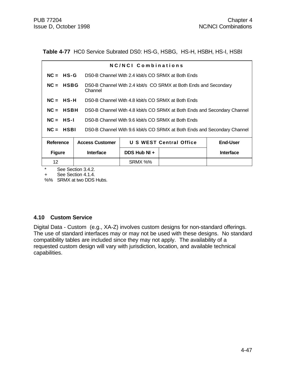Table 4-77 HC0 Service Subrated DS0: HS-G, HSBG, HS-H, HSBH, HS-I, HSBI

|                                                                                         |                                                                   | NC/NCI Combinations                                                      |                         |                  |
|-----------------------------------------------------------------------------------------|-------------------------------------------------------------------|--------------------------------------------------------------------------|-------------------------|------------------|
| $NC = HS-G$                                                                             |                                                                   | DS0-B Channel With 2.4 kbit/s CO SRMX at Both Ends                       |                         |                  |
| $NC = HSBG$                                                                             | Channel                                                           | DS0-B Channel With 2.4 kbit/s CO SRMX at Both Ends and Secondary         |                         |                  |
| $NC = HS-H$                                                                             |                                                                   | DS0-B Channel With 4.8 kbit/s CO SRMX at Both Ends                       |                         |                  |
| $NC = HSBH$                                                                             |                                                                   | DS0-B Channel With 4.8 kbit/s CO SRMX at Both Ends and Secondary Channel |                         |                  |
|                                                                                         | $NC = HS-I$<br>DS0-B Channel With 9.6 kbit/s CO SRMX at Both Ends |                                                                          |                         |                  |
| $NC = HSBI$<br>DS0-B Channel With 9.6 kbit/s CO SRMX at Both Ends and Secondary Channel |                                                                   |                                                                          |                         |                  |
| <b>Reference</b>                                                                        | <b>Access Customer</b>                                            |                                                                          | U S WEST Central Office | <b>End-User</b>  |
| <b>Figure</b>                                                                           | <b>Interface</b>                                                  | DDS Hub NI +                                                             |                         | <b>Interface</b> |

See Section 3.4.2.

See Section 4.1.4.

%% SRMX at two DDS Hubs.

12 | SRMX %%

#### **4.10 Custom Service**

Digital Data - Custom (e.g., XA-Z) involves custom designs for non-standard offerings. The use of standard interfaces may or may not be used with these designs. No standard compatibility tables are included since they may not apply. The availability of a requested custom design will vary with jurisdiction, location, and available technical capabilities.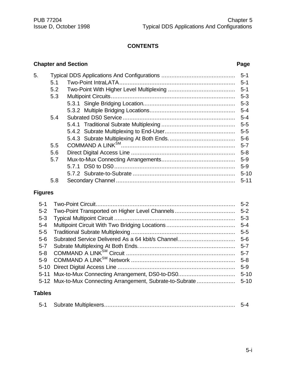# **CONTENTS**

## **Chapter and Section Page**

| 5. |     |  |          |  |
|----|-----|--|----------|--|
|    | 5.1 |  | $-5-1$   |  |
|    | 5.2 |  |          |  |
|    | 5.3 |  | $5 - 3$  |  |
|    |     |  | $5 - 3$  |  |
|    |     |  |          |  |
|    | 5.4 |  |          |  |
|    |     |  | $5-5$    |  |
|    |     |  |          |  |
|    |     |  |          |  |
|    | 5.5 |  | $5 - 7$  |  |
|    | 5.6 |  | $5 - 8$  |  |
|    | 5.7 |  |          |  |
|    |     |  | $5-9$    |  |
|    |     |  | $5 - 10$ |  |
|    | 5.8 |  | $5 - 11$ |  |
|    |     |  |          |  |

# **Figures**

| $5 - 1$ |                                                            | $5 - 2$  |
|---------|------------------------------------------------------------|----------|
| $5 - 2$ |                                                            | $5 - 2$  |
| $5 - 3$ |                                                            | $5 - 3$  |
| $5 - 4$ |                                                            | $5 - 4$  |
| $5 - 5$ |                                                            | $5-5$    |
| $5 - 6$ | Subrated Service Delivered As a 64 kbit/s Channel          | $5 - 6$  |
| $5 - 7$ |                                                            | $5 - 7$  |
| $5 - 8$ |                                                            | $5 - 7$  |
| $5-9$   |                                                            | $5 - 8$  |
|         |                                                            | $5-9$    |
|         | 5-11 Mux-to-Mux Connecting Arrangement, DS0-to-DS0         | $5 - 10$ |
|         | 5-12 Mux-to-Mux Connecting Arrangement, Subrate-to-Subrate | $5 - 10$ |
|         |                                                            |          |

# **Tables**

|--|--|--|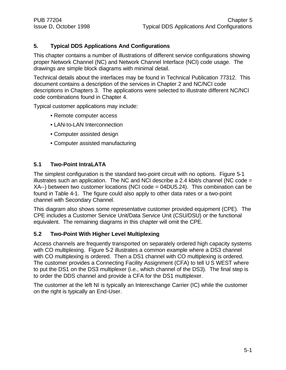## **5. Typical DDS Applications And Configurations**

This chapter contains a number of illustrations of different service configurations showing proper Network Channel (NC) and Network Channel Interface (NCI) code usage. The drawings are simple block diagrams with minimal detail.

Technical details about the interfaces may be found in Technical Publication 77312. This document contains a description of the services in Chapter 2 and NC/NCI code descriptions in Chapters 3. The applications were selected to illustrate different NC/NCI code combinations found in Chapter 4.

Typical customer applications may include:

- Remote computer access
- LAN-to-LAN Interconnection
- Computer assisted design
- Computer assisted manufacturing

## **5.1 Two-Point IntraLATA**

The simplest configuration is the standard two-point circuit with no options. Figure 5-1 illustrates such an application. The NC and NCI describe a 2.4 kbit/s channel (NC code  $=$ XA--) between two customer locations (NCI code = 04DU5.24). This combination can be found in Table 4-1. The figure could also apply to other data rates or a two-point channel with Secondary Channel.

This diagram also shows some representative customer provided equipment (CPE). The CPE includes a Customer Service Unit/Data Service Unit (CSU/DSU) or the functional equivalent. The remaining diagrams in this chapter will omit the CPE.

#### **5.2 Two-Point With Higher Level Multiplexing**

Access channels are frequently transported on separately ordered high capacity systems with CO multiplexing. Figure 5-2 illustrates a common example where a DS3 channel with CO multiplexing is ordered. Then a DS1 channel with CO multiplexing is ordered. The customer provides a Connecting Facility Assignment (CFA) to tell U S WEST where to put the DS1 on the DS3 multiplexer (i.e., which channel of the DS3). The final step is to order the DDS channel and provide a CFA for the DS1 multiplexer.

The customer at the left NI is typically an Interexchange Carrier (IC) while the customer on the right is typically an End-User.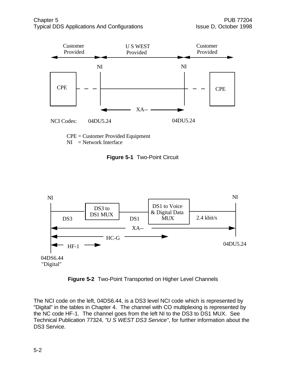

CPE = Customer Provided Equipment  $NI = Network Interface$ 

**Figure 5-1** Two-Point Circuit



**Figure 5-2** Two-Point Transported on Higher Level Channels

The NCI code on the left, 04DS6.44, is a DS3 level NCI code which is represented by "Digital" in the tables in Chapter 4. The channel with CO multiplexing is represented by the NC code HF-1. The channel goes from the left NI to the DS3 to DS1 MUX. See Technical Publication 77324, *"U S WEST DS3 Service"*, for further information about the DS3 Service.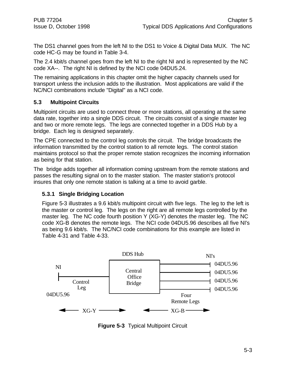The DS1 channel goes from the left NI to the DS1 to Voice & Digital Data MUX. The NC code HC-G may be found in Table 3-4.

The 2.4 kbit/s channel goes from the left NI to the right NI and is represented by the NC code XA--. The right NI is defined by the NCI code 04DU5.24.

The remaining applications in this chapter omit the higher capacity channels used for transport unless the inclusion adds to the illustration. Most applications are valid if the NC/NCI combinations include "Digital" as a NCI code.

## **5.3 Multipoint Circuits**

Multipoint circuits are used to connect three or more stations, all operating at the same data rate, together into a single DDS circuit. The circuits consist of a single master leg and two or more remote legs. The legs are connected together in a DDS Hub by a bridge. Each leg is designed separately.

The CPE connected to the control leg controls the circuit. The bridge broadcasts the information transmitted by the control station to all remote legs. The control station maintains protocol so that the proper remote station recognizes the incoming information as being for that station.

The bridge adds together all information coming upstream from the remote stations and passes the resulting signal on to the master station. The master station's protocol insures that only one remote station is talking at a time to avoid garble.

## **5.3.1 Single Bridging Location**

Figure 5-3 illustrates a 9.6 kbit/s multipoint circuit with five legs. The leg to the left is the master or control leg. The legs on the right are all remote legs controlled by the master leg. The NC code fourth position Y (XG-Y) denotes the master leg. The NC code XG-B denotes the remote legs. The NCI code 04DU5.96 describes all five NI's as being 9.6 kbit/s. The NC/NCI code combinations for this example are listed in Table 4-31 and Table 4-33.



**Figure 5-3** Typical Multipoint Circuit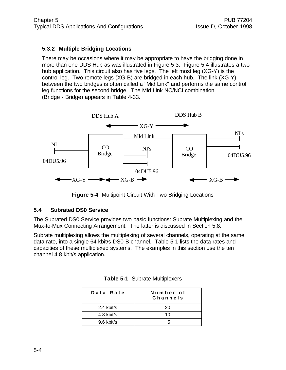## **5.3.2 Multiple Bridging Locations**

There may be occasions where it may be appropriate to have the bridging done in more than one DDS Hub as was illustrated in Figure 5-3. Figure 5-4 illustrates a two hub application. This circuit also has five legs. The left most leg (XG-Y) is the control leg. Two remote legs (XG-B) are bridged in each hub. The link (XG-Y) between the two bridges is often called a "Mid Link" and performs the same control leg functions for the second bridge. The Mid Link NC/NCI combination (Bridge - Bridge) appears in Table 4-33.



**Figure 5-4** Multipoint Circuit With Two Bridging Locations

#### **5.4 Subrated DS0 Service**

The Subrated DS0 Service provides two basic functions: Subrate Multiplexing and the Mux-to-Mux Connecting Arrangement. The latter is discussed in Section 5.8.

Subrate multiplexing allows the multiplexing of several channels, operating at the same data rate, into a single 64 kbit/s DS0-B channel. Table 5-1 lists the data rates and capacities of these multiplexed systems. The examples in this section use the ten channel 4.8 kbit/s application.

| Data Rate  | Number of<br>Channels |
|------------|-----------------------|
| 2.4 kbit/s | 20                    |
| 4.8 kbit/s | 10                    |
| 9.6 kbit/s |                       |

|  |  | Table 5-1 Subrate Multiplexers |
|--|--|--------------------------------|
|--|--|--------------------------------|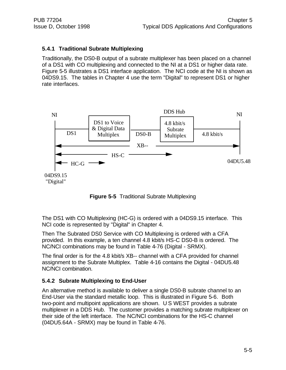## **5.4.1 Traditional Subrate Multiplexing**

Traditionally, the DS0-B output of a subrate multiplexer has been placed on a channel of a DS1 with CO multiplexing and connected to the NI at a DS1 or higher data rate. Figure 5-5 illustrates a DS1 interface application. The NCI code at the NI is shown as 04DS9.15. The tables in Chapter 4 use the term "Digital" to represent DS1 or higher rate interfaces.





The DS1 with CO Multiplexing (HC-G) is ordered with a 04DS9.15 interface. This NCI code is represented by "Digital" in Chapter 4.

Then The Subrated DS0 Service with CO Multiplexing is ordered with a CFA provided. In this example, a ten channel 4.8 kbit/s HS-C DS0-B is ordered. The NC/NCI combinations may be found in Table 4-76 (Digital - SRMX).

The final order is for the 4.8 kbit/s XB-- channel with a CFA provided for channel assignment to the Subrate Multiplex. Table 4-16 contains the Digital - 04DU5.48 NC/NCI combination.

## **5.4.2 Subrate Multiplexing to End-User**

An alternative method is available to deliver a single DS0-B subrate channel to an End-User via the standard metallic loop. This is illustrated in Figure 5-6. Both two-point and multipoint applications are shown. U S WEST provides a subrate multiplexer in a DDS Hub. The customer provides a matching subrate multiplexer on their side of the left interface. The NC/NCI combinations for the HS-C channel (04DU5.64A - SRMX) may be found in Table 4-76.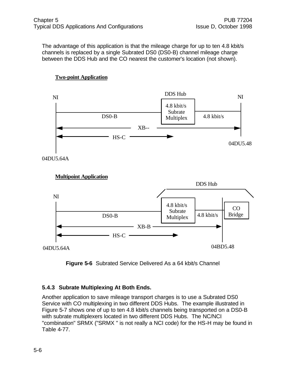The advantage of this application is that the mileage charge for up to ten 4.8 kbit/s channels is replaced by a single Subrated DS0 (DS0-B) channel mileage charge between the DDS Hub and the CO nearest the customer's location (not shown).



## **Two-point Application**







## **5.4.3 Subrate Multiplexing At Both Ends.**

Another application to save mileage transport charges is to use a Subrated DS0 Service with CO multiplexing in two different DDS Hubs. The example illustrated in Figure 5-7 shows one of up to ten 4.8 kbit/s channels being transported on a DS0-B with subrate multiplexers located in two different DDS Hubs. The NC/NCI "combination" SRMX ("SRMX " is not really a NCI code) for the HS-H may be found in Table 4-77.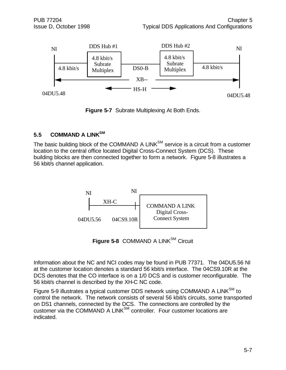

**Figure 5-7** Subrate Multiplexing At Both Ends.

## **5.5 COMMAND A LINKSM**

The basic building block of the COMMAND A LINK $^{SM}$  service is a circuit from a customer location to the central office located Digital Cross-Connect System (DCS). These building blocks are then connected together to form a network. Figure 5-8 illustrates a 56 kbit/s channel application.



Figure 5-8 COMMAND A LINK<sup>SM</sup> Circuit

Information about the NC and NCI codes may be found in PUB 77371. The 04DU5.56 NI at the customer location denotes a standard 56 kbit/s interface. The 04CS9.10R at the DCS denotes that the CO interface is on a 1/0 DCS and is customer reconfigurable. The 56 kbit/s channel is described by the XH-C NC code.

Figure 5-9 illustrates a typical customer DDS network using COMMAND A LINK<sup>SM</sup> to control the network. The network consists of several 56 kbit/s circuits, some transported on DS1 channels, connected by the DCS. The connections are controlled by the customer via the COMMAND A LINK<sup>SM</sup> controller. Four customer locations are indicated.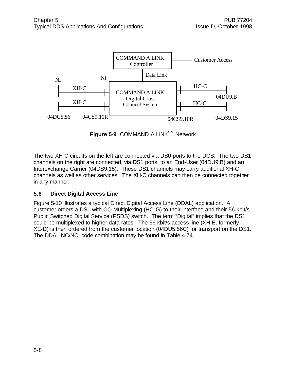

**Figure 5-9 COMMAND A LINK<sup>SM</sup> Network** 

The two XH-C circuits on the left are connected via DS0 ports to the DCS. The two DS1 channels on the right are connected, via DS1 ports, to an End-User (04DU9.B) and an Interexchange Carrier (04DS9.15). These DS1 channels may carry additional XH-C channels as well as other services. The XH-C channels can then be connected together in any manner.

## **5.6 Direct Digital Access Line**

Figure 5-10 illustrates a typical Direct Digital Access Line (DDAL) application. A customer orders a DS1 with CO Multiplexing (HC-G) to their interface and their 56 kbit/s Public Switched Digital Service (PSDS) switch. The term "Digital" implies that the DS1 could be multiplexed to higher data rates. The 56 kbit/s access line (XH-E, formerly XE-D) is then ordered from the customer location (04DU5.56C) for transport on the DS1. The DDAL NC/NCI code combination may be found in Table 4-74.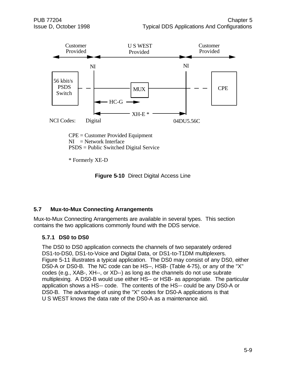

\* Formerly XE-D



## **5.7 Mux-to-Mux Connecting Arrangements**

Mux-to-Mux Connecting Arrangements are available in several types. This section contains the two applications commonly found with the DDS service.

## **5.7.1 DS0 to DS0**

The DS0 to DS0 application connects the channels of two separately ordered DS1-to-DS0, DS1-to-Voice and Digital Data, or DS1-to-T1DM multiplexers. Figure 5-11 illustrates a typical application. The DS0 may consist of any DS0, either DS0-A or DS0-B. The NC code can be HS--, HSB- (Table 4-75), or any of the "X" codes (e.g., XAB-, XH--, or XD--) as long as the channels do not use subrate multiplexing. A DS0-B would use either HS-- or HSB- as appropriate. The particular application shows a HS-- code. The contents of the HS-- could be any DS0-A or DS0-B. The advantage of using the "X" codes for DS0-A applications is that U S WEST knows the data rate of the DS0-A as a maintenance aid.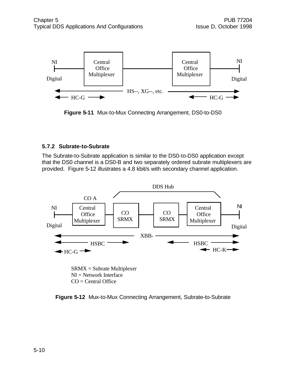

**Figure 5-11** Mux-to-Mux Connecting Arrangement, DS0-to-DS0

## **5.7.2 Subrate-to-Subrate**

The Subrate-to-Subrate application is similar to the DS0-to-DS0 application except that the DS0 channel is a DS0-B and two separately ordered subrate multiplexers are provided. Figure 5-12 illustrates a 4.8 kbit/s with secondary channel application.



**Figure 5-12** Mux-to-Mux Connecting Arrangement, Subrate-to-Subrate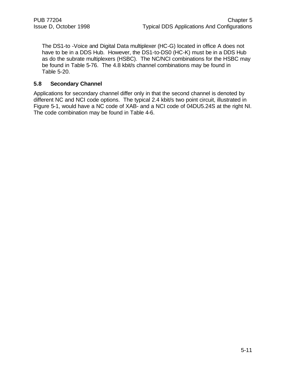The DS1-to -Voice and Digital Data multiplexer (HC-G) located in office A does not have to be in a DDS Hub. However, the DS1-to-DS0 (HC-K) must be in a DDS Hub as do the subrate multiplexers (HSBC). The NC/NCI combinations for the HSBC may be found in Table 5-76. The 4.8 kbit/s channel combinations may be found in Table 5-20.

#### **5.8 Secondary Channel**

Applications for secondary channel differ only in that the second channel is denoted by different NC and NCI code options. The typical 2.4 kbit/s two point circuit, illustrated in Figure 5-1, would have a NC code of XAB- and a NCI code of 04DU5.24S at the right NI. The code combination may be found in Table 4-6.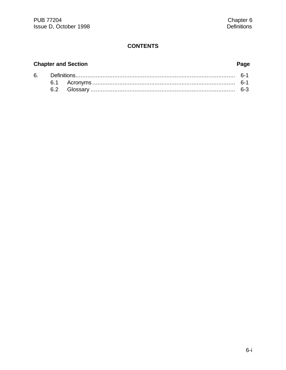## **CONTENTS**

# **Chapter and Section**

# Page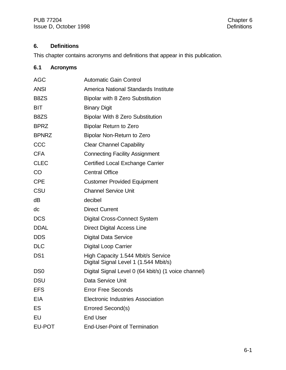# **6. Definitions**

This chapter contains acronyms and definitions that appear in this publication.

# **6.1 Acronyms**

| <b>AGC</b>      | <b>Automatic Gain Control</b>                                               |  |  |
|-----------------|-----------------------------------------------------------------------------|--|--|
| <b>ANSI</b>     | America National Standards Institute                                        |  |  |
| B8ZS            | Bipolar with 8 Zero Substitution                                            |  |  |
| <b>BIT</b>      | <b>Binary Digit</b>                                                         |  |  |
| B8ZS            | <b>Bipolar With 8 Zero Substitution</b>                                     |  |  |
| <b>BPRZ</b>     | <b>Bipolar Return to Zero</b>                                               |  |  |
| <b>BPNRZ</b>    | Bipolar Non-Return to Zero                                                  |  |  |
| CCC             | <b>Clear Channel Capability</b>                                             |  |  |
| <b>CFA</b>      | <b>Connecting Facility Assignment</b>                                       |  |  |
| <b>CLEC</b>     | Certified Local Exchange Carrier                                            |  |  |
| <b>CO</b>       | <b>Central Office</b>                                                       |  |  |
| <b>CPE</b>      | <b>Customer Provided Equipment</b>                                          |  |  |
| CSU             | <b>Channel Service Unit</b>                                                 |  |  |
| dB              | decibel                                                                     |  |  |
| dc              | <b>Direct Current</b>                                                       |  |  |
| <b>DCS</b>      | <b>Digital Cross-Connect System</b>                                         |  |  |
| <b>DDAL</b>     | <b>Direct Digital Access Line</b>                                           |  |  |
| <b>DDS</b>      | <b>Digital Data Service</b>                                                 |  |  |
| <b>DLC</b>      | <b>Digital Loop Carrier</b>                                                 |  |  |
| DS <sub>1</sub> | High Capacity 1.544 Mbit/s Service<br>Digital Signal Level 1 (1.544 Mbit/s) |  |  |
| D <sub>S0</sub> | Digital Signal Level 0 (64 kbit/s) (1 voice channel)                        |  |  |
| DSU             | Data Service Unit                                                           |  |  |
| EFS             | <b>Error Free Seconds</b>                                                   |  |  |
| EIA             | <b>Electronic Industries Association</b>                                    |  |  |
| ES              | Errored Second(s)                                                           |  |  |
| EU              | <b>End User</b>                                                             |  |  |
| EU-POT          | <b>End-User-Point of Termination</b>                                        |  |  |
|                 |                                                                             |  |  |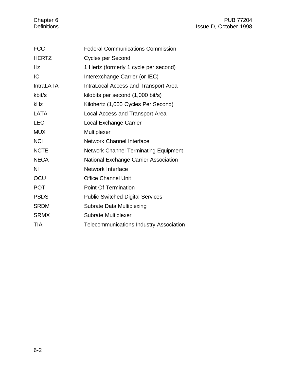# Chapter 6 PUB 77204<br>Definitions Belling Research Manuscript (Separation Super Public Research Manuscript Chapter 1998 Issue D, October 1998

| <b>FCC</b>       | <b>Federal Communications Commission</b>       |  |  |
|------------------|------------------------------------------------|--|--|
| <b>HERTZ</b>     | <b>Cycles per Second</b>                       |  |  |
| Hz               | 1 Hertz (formerly 1 cycle per second)          |  |  |
| IC               | Interexchange Carrier (or IEC)                 |  |  |
| <b>IntraLATA</b> | IntraLocal Access and Transport Area           |  |  |
| kbit/s           | kilobits per second (1,000 bit/s)              |  |  |
| kHz              | Kilohertz (1,000 Cycles Per Second)            |  |  |
| <b>LATA</b>      | Local Access and Transport Area                |  |  |
| <b>LEC</b>       | <b>Local Exchange Carrier</b>                  |  |  |
| <b>MUX</b>       | Multiplexer                                    |  |  |
| <b>NCI</b>       | Network Channel Interface                      |  |  |
| <b>NCTE</b>      | Network Channel Terminating Equipment          |  |  |
| <b>NECA</b>      | National Exchange Carrier Association          |  |  |
| <b>NI</b>        | <b>Network Interface</b>                       |  |  |
| OCU              | <b>Office Channel Unit</b>                     |  |  |
| <b>POT</b>       | <b>Point Of Termination</b>                    |  |  |
| <b>PSDS</b>      | <b>Public Switched Digital Services</b>        |  |  |
| <b>SRDM</b>      | <b>Subrate Data Multiplexing</b>               |  |  |
| <b>SRMX</b>      | <b>Subrate Multiplexer</b>                     |  |  |
| <b>TIA</b>       | <b>Telecommunications Industry Association</b> |  |  |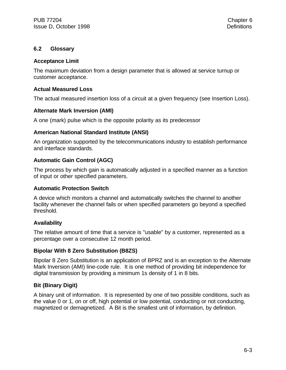## **6.2 Glossary**

#### **Acceptance Limit**

The maximum deviation from a design parameter that is allowed at service turnup or customer acceptance.

#### **Actual Measured Loss**

The actual measured insertion loss of a circuit at a given frequency (see Insertion Loss).

#### **Alternate Mark Inversion (AMI)**

A one (mark) pulse which is the opposite polarity as its predecessor

#### **American National Standard Institute (ANSI)**

An organization supported by the telecommunications industry to establish performance and interface standards.

#### **Automatic Gain Control (AGC)**

The process by which gain is automatically adjusted in a specified manner as a function of input or other specified parameters.

#### **Automatic Protection Switch**

A device which monitors a channel and automatically switches the channel to another facility whenever the channel fails or when specified parameters go beyond a specified threshold.

#### **Availability**

The relative amount of time that a service is "usable" by a customer, represented as a percentage over a consecutive 12 month period.

#### **Bipolar With 8 Zero Substitution (B8ZS)**

Bipolar 8 Zero Substitution is an application of BPRZ and is an exception to the Alternate Mark Inversion (AMI) line-code rule. It is one method of providing bit independence for digital transmission by providing a minimum 1s density of 1 in 8 bits.

#### **Bit (Binary Digit)**

A binary unit of information. It is represented by one of two possible conditions, such as the value 0 or 1, on or off, high potential or low potential, conducting or not conducting, magnetized or demagnetized. A Bit is the smallest unit of information, by definition.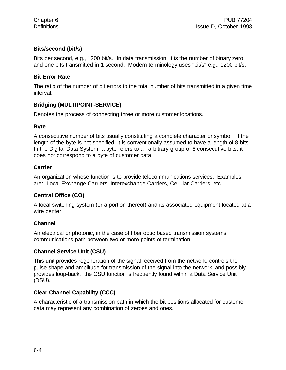## **Bits/second (bit/s)**

Bits per second, e.g., 1200 bit/s. In data transmission, it is the number of binary zero and one bits transmitted in 1 second. Modern terminology uses "bit/s" e.g., 1200 bit/s.

## **Bit Error Rate**

The ratio of the number of bit errors to the total number of bits transmitted in a given time interval.

## **Bridging (MULTIPOINT-SERVICE)**

Denotes the process of connecting three or more customer locations.

#### **Byte**

A consecutive number of bits usually constituting a complete character or symbol. If the length of the byte is not specified, it is conventionally assumed to have a length of 8-bits. In the Digital Data System, a byte refers to an arbitrary group of 8 consecutive bits; it does not correspond to a byte of customer data.

#### **Carrier**

An organization whose function is to provide telecommunications services. Examples are: Local Exchange Carriers, Interexchange Carriers, Cellular Carriers, etc.

## **Central Office (CO)**

A local switching system (or a portion thereof) and its associated equipment located at a wire center.

#### **Channel**

An electrical or photonic, in the case of fiber optic based transmission systems, communications path between two or more points of termination.

#### **Channel Service Unit (CSU)**

This unit provides regeneration of the signal received from the network, controls the pulse shape and amplitude for transmission of the signal into the network, and possibly provides loop-back. the CSU function is frequently found within a Data Service Unit (DSU).

## **Clear Channel Capability (CCC)**

A characteristic of a transmission path in which the bit positions allocated for customer data may represent any combination of zeroes and ones.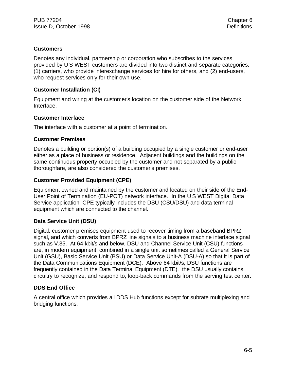## **Customers**

Denotes any individual, partnership or corporation who subscribes to the services provided by U S WEST customers are divided into two distinct and separate categories: (1) carriers, who provide interexchange services for hire for others, and (2) end-users, who request services only for their own use.

## **Customer Installation (CI)**

Equipment and wiring at the customer's location on the customer side of the Network Interface.

## **Customer Interface**

The interface with a customer at a point of termination.

## **Customer Premises**

Denotes a building or portion(s) of a building occupied by a single customer or end-user either as a place of business or residence. Adjacent buildings and the buildings on the same continuous property occupied by the customer and not separated by a public thoroughfare, are also considered the customer's premises.

## **Customer Provided Equipment (CPE)**

Equipment owned and maintained by the customer and located on their side of the End-User Point of Termination (EU-POT) network interface. In the U S WEST Digital Data Service application, CPE typically includes the DSU (CSU/DSU) and data terminal equipment which are connected to the channel.

## **Data Service Unit (DSU)**

Digital, customer premises equipment used to recover timing from a baseband BPRZ signal, and which converts from BPRZ line signals to a business machine interface signal such as V.35. At 64 kbit/s and below, DSU and Channel Service Unit (CSU) functions are, in modern equipment, combined in a single unit sometimes called a General Service Unit (GSU), Basic Service Unit (BSU) or Data Service Unit-A (DSU-A) so that it is part of the Data Communications Equipment (DCE). Above 64 kbit/s, DSU functions are frequently contained in the Data Terminal Equipment (DTE). the DSU usually contains circuitry to recognize, and respond to, loop-back commands from the serving test center.

## **DDS End Office**

A central office which provides all DDS Hub functions except for subrate multiplexing and bridging functions.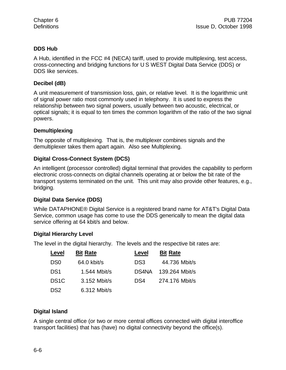## **DDS Hub**

A Hub, identified in the FCC #4 (NECA) tariff, used to provide multiplexing, test access, cross-connecting and bridging functions for U S WEST Digital Data Service (DDS) or DDS like services.

## **Decibel (dB)**

A unit measurement of transmission loss, gain, or relative level. It is the logarithmic unit of signal power ratio most commonly used in telephony. It is used to express the relationship between two signal powers, usually between two acoustic, electrical, or optical signals; it is equal to ten times the common logarithm of the ratio of the two signal powers.

## **Demultiplexing**

The opposite of multiplexing. That is, the multiplexer combines signals and the demultiplexer takes them apart again. Also see Multiplexing.

## **Digital Cross-Connect System (DCS)**

An intelligent (processor controlled) digital terminal that provides the capability to perform electronic cross-connects on digital channels operating at or below the bit rate of the transport systems terminated on the unit. This unit may also provide other features, e.g., bridging.

## **Digital Data Service (DDS)**

While DATAPHONE® Digital Service is a registered brand name for AT&T's Digital Data Service, common usage has come to use the DDS generically to mean the digital data service offering at 64 kbit/s and below.

## **Digital Hierarchy Level**

The level in the digital hierarchy. The levels and the respective bit rates are:

| Level             | <b>Bit Rate</b> | Level | <b>Bit Rate</b> |
|-------------------|-----------------|-------|-----------------|
| D <sub>S0</sub>   | $64.0$ kbit/s   | DS3   | 44.736 Mbit/s   |
| DS <sub>1</sub>   | 1.544 Mbit/s    | DS4NA | 139.264 Mbit/s  |
| DS <sub>1</sub> C | 3.152 Mbit/s    | DS4   | 274.176 Mbit/s  |
| DS <sub>2</sub>   | 6.312 Mbit/s    |       |                 |

## **Digital Island**

A single central office (or two or more central offices connected with digital interoffice transport facilities) that has (have) no digital connectivity beyond the office(s).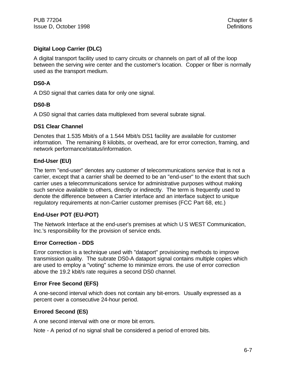## **Digital Loop Carrier (DLC)**

A digital transport facility used to carry circuits or channels on part of all of the loop between the serving wire center and the customer's location. Copper or fiber is normally used as the transport medium.

## **DS0-A**

A DS0 signal that carries data for only one signal.

## **DS0-B**

A DS0 signal that carries data multiplexed from several subrate signal.

## **DS1 Clear Channel**

Denotes that 1.535 Mbit/s of a 1.544 Mbit/s DS1 facility are available for customer information. The remaining 8 kilobits, or overhead, are for error correction, framing, and network performance/status/information.

## **End-User (EU)**

The term "end-user" denotes any customer of telecommunications service that is not a carrier, except that a carrier shall be deemed to be an "end-user" to the extent that such carrier uses a telecommunications service for administrative purposes without making such service available to others, directly or indirectly. The term is frequently used to denote the difference between a Carrier interface and an interface subject to unique regulatory requirements at non-Carrier customer premises (FCC Part 68, etc.)

## **End-User POT (EU-POT)**

The Network Interface at the end-user's premises at which U S WEST Communication, Inc.'s responsibility for the provision of service ends.

## **Error Correction - DDS**

Error correction is a technique used with "dataport" provisioning methods to improve transmission quality. The subrate DS0-A dataport signal contains multiple copies which are used to employ a "voting" scheme to minimize errors. the use of error correction above the 19.2 kbit/s rate requires a second DS0 channel.

## **Error Free Second (EFS)**

A one-second interval which does not contain any bit-errors. Usually expressed as a percent over a consecutive 24-hour period.

## **Errored Second (ES)**

A one second interval with one or more bit errors.

Note - A period of no signal shall be considered a period of errored bits.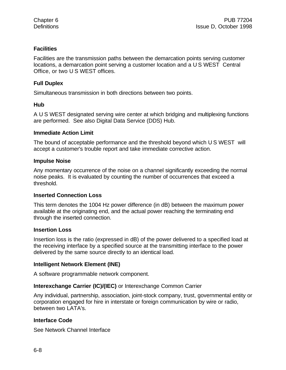## **Facilities**

Facilities are the transmission paths between the demarcation points serving customer locations, a demarcation point serving a customer location and a U S WEST Central Office, or two U S WEST offices.

#### **Full Duplex**

Simultaneous transmission in both directions between two points.

## **Hub**

A U S WEST designated serving wire center at which bridging and multiplexing functions are performed. See also Digital Data Service (DDS) Hub.

#### **Immediate Action Limit**

The bound of acceptable performance and the threshold beyond which U S WEST will accept a customer's trouble report and take immediate corrective action.

#### **Impulse Noise**

Any momentary occurrence of the noise on a channel significantly exceeding the normal noise peaks. It is evaluated by counting the number of occurrences that exceed a threshold.

## **Inserted Connection Loss**

This term denotes the 1004 Hz power difference (in dB) between the maximum power available at the originating end, and the actual power reaching the terminating end through the inserted connection.

#### **Insertion Loss**

Insertion loss is the ratio (expressed in dB) of the power delivered to a specified load at the receiving interface by a specified source at the transmitting interface to the power delivered by the same source directly to an identical load.

## **Intelligent Network Element (INE)**

A software programmable network component.

## **Interexchange Carrier (IC)/(IEC)** or Interexchange Common Carrier

Any individual, partnership, association, joint-stock company, trust, governmental entity or corporation engaged for hire in interstate or foreign communication by wire or radio, between two LATA's.

## **Interface Code**

See Network Channel Interface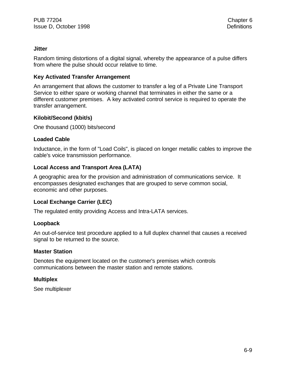#### **Jitter**

Random timing distortions of a digital signal, whereby the appearance of a pulse differs from where the pulse should occur relative to time.

## **Key Activated Transfer Arrangement**

An arrangement that allows the customer to transfer a leg of a Private Line Transport Service to either spare or working channel that terminates in either the same or a different customer premises. A key activated control service is required to operate the transfer arrangement.

## **Kilobit/Second (kbit/s)**

One thousand (1000) bits/second

#### **Loaded Cable**

Inductance, in the form of "Load Coils", is placed on longer metallic cables to improve the cable's voice transmission performance.

## **Local Access and Transport Area (LATA)**

A geographic area for the provision and administration of communications service. It encompasses designated exchanges that are grouped to serve common social, economic and other purposes.

#### **Local Exchange Carrier (LEC)**

The regulated entity providing Access and Intra-LATA services.

#### **Loopback**

An out-of-service test procedure applied to a full duplex channel that causes a received signal to be returned to the source.

#### **Master Station**

Denotes the equipment located on the customer's premises which controls communications between the master station and remote stations.

#### **Multiplex**

See multiplexer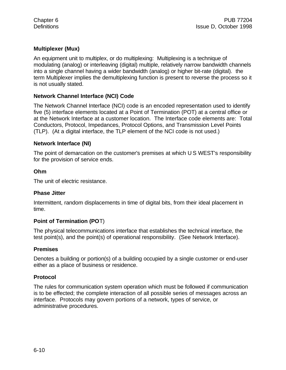## **Multiplexer (Mux)**

An equipment unit to multiplex, or do multiplexing: Multiplexing is a technique of modulating (analog) or interleaving (digital) multiple, relatively narrow bandwidth channels into a single channel having a wider bandwidth (analog) or higher bit-rate (digital). the term Multiplexer implies the demultiplexing function is present to reverse the process so it is not usually stated.

## **Network Channel Interface (NCI) Code**

The Network Channel Interface (NCI) code is an encoded representation used to identify five (5) interface elements located at a Point of Termination (POT) at a central office or at the Network Interface at a customer location. The Interface code elements are: Total Conductors, Protocol, Impedances, Protocol Options, and Transmission Level Points (TLP). (At a digital interface, the TLP element of the NCI code is not used.)

#### **Network Interface (NI)**

The point of demarcation on the customer's premises at which U S WEST's responsibility for the provision of service ends.

#### **Ohm**

The unit of electric resistance.

#### **Phase Jitter**

Intermittent, random displacements in time of digital bits, from their ideal placement in time.

#### **Point of Termination (PO**T)

The physical telecommunications interface that establishes the technical interface, the test point(s), and the point(s) of operational responsibility. (See Network Interface).

#### **Premises**

Denotes a building or portion(s) of a building occupied by a single customer or end-user either as a place of business or residence.

#### **Protocol**

The rules for communication system operation which must be followed if communication is to be effected; the complete interaction of all possible series of messages across an interface. Protocols may govern portions of a network, types of service, or administrative procedures.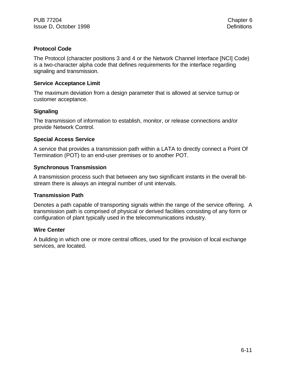## **Protocol Code**

The Protocol (character positions 3 and 4 or the Network Channel Interface [NCI] Code) is a two-character alpha code that defines requirements for the interface regarding signaling and transmission.

#### **Service Acceptance Limit**

The maximum deviation from a design parameter that is allowed at service turnup or customer acceptance.

## **Signaling**

The transmission of information to establish, monitor, or release connections and/or provide Network Control.

#### **Special Access Service**

A service that provides a transmission path within a LATA to directly connect a Point Of Termination (POT) to an end-user premises or to another POT.

#### **Synchronous Transmission**

A transmission process such that between any two significant instants in the overall bitstream there is always an integral number of unit intervals.

#### **Transmission Path**

Denotes a path capable of transporting signals within the range of the service offering. A transmission path is comprised of physical or derived facilities consisting of any form or configuration of plant typically used in the telecommunications industry.

#### **Wire Center**

A building in which one or more central offices, used for the provision of local exchange services, are located.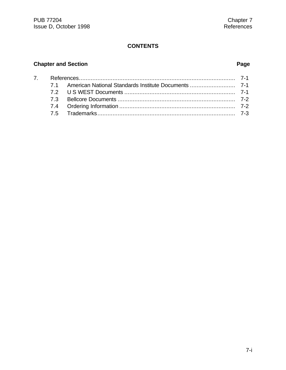## **CONTENTS**

# **Chapter and Section Page**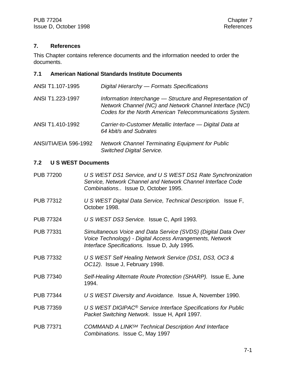### **7. References**

This Chapter contains reference documents and the information needed to order the documents.

#### **7.1 American National Standards Institute Documents**

| ANSI T1.107-1995             | Digital Hierarchy - Formats Specifications                                                                                                                                       |
|------------------------------|----------------------------------------------------------------------------------------------------------------------------------------------------------------------------------|
| ANSI T1.223-1997             | Information Interchange - Structure and Representation of<br>Network Channel (NC) and Network Channel Interface (NCI)<br>Codes for the North American Telecommunications System. |
| ANSI T1.410-1992             | Carrier-to-Customer Metallic Interface - Digital Data at<br>64 kbit/s and Subrates                                                                                               |
| <b>ANSI/TIA/EIA 596-1992</b> | <b>Network Channel Terminating Equipment for Public</b><br><b>Switched Digital Service.</b>                                                                                      |

#### **7.2 U S WEST Documents**

- PUB 77200 *U S WEST DS1 Service, and U S WEST DS1 Rate Synchronization Service, Network Channel and Network Channel Interface Code Combinations.*. Issue D, October 1995.
- PUB 77312 *U S WEST Digital Data Service, Technical Description.* Issue F, October 1998.
- PUB 77324 *U S WEST DS3 Service.* Issue C, April 1993.
- PUB 77331 *Simultaneous Voice and Data Service (SVDS) (Digital Data Over Voice Technology) - Digital Access Arrangements, Network Interface Specifications.* Issue D, July 1995.
- PUB 77332 *U S WEST Self Healing Network Service (DS1, DS3, OC3 & OC12).* Issue J, February 1998.
- PUB 77340 *Self-Healing Alternate Route Protection (SHARP).* Issue E, June 1994.
- PUB 77344 *U S WEST Diversity and Avoidance.* Issue A, November 1990.
- PUB 77359 *U S WEST DIGIPAC® Service Interface Specifications for Public Packet Switching Network*. Issue H, April 1997.
- PUB 77371 *COMMAND A LINKSM Technical Description And Interface Combinations.* Issue C, May 1997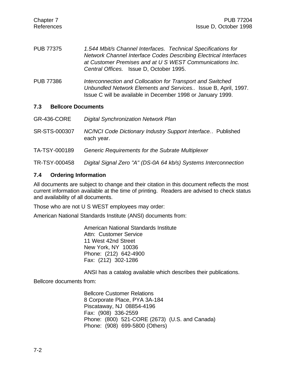- PUB 77375 *1.544 Mbit/s Channel Interfaces. Technical Specifications for Network Channel Interface Codes Describing Electrical Interfaces at Customer Premises and at U S WEST Communications Inc. Central Offices.* Issue D, October 1995.
- PUB 77386 *Interconnection and Collocation for Transport and Switched Unbundled Network Elements and Services..* Issue B, April, 1997. Issue C will be available in December 1998 or January 1999.

### **7.3 Bellcore Documents**

| GR-436-CORE   | <b>Digital Synchronization Network Plan</b>                               |
|---------------|---------------------------------------------------------------------------|
| SR-STS-000307 | NC/NCI Code Dictionary Industry Support Interface Published<br>each year. |
| TA-TSY-000189 | Generic Requirements for the Subrate Multiplexer                          |
| TR-TSY-000458 | Digital Signal Zero "A" (DS-0A 64 kb/s) Systems Interconnection           |

## **7.4 Ordering Information**

All documents are subject to change and their citation in this document reflects the most current information available at the time of printing. Readers are advised to check status and availability of all documents.

Those who are not U S WEST employees may order:

American National Standards Institute (ANSI) documents from:

American National Standards Institute Attn: Customer Service 11 West 42nd Street New York, NY 10036 Phone: (212) 642-4900 Fax: (212) 302-1286

ANSI has a catalog available which describes their publications.

Bellcore documents from:

Bellcore Customer Relations 8 Corporate Place, PYA 3A-184 Piscataway, NJ 08854-4196 Fax: (908) 336-2559 Phone: (800) 521-CORE (2673) (U.S. and Canada) Phone: (908) 699-5800 (Others)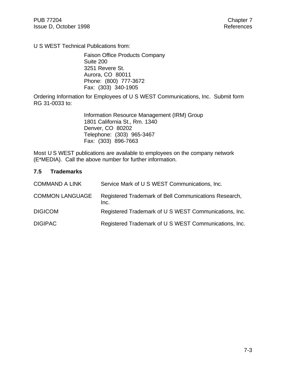U S WEST Technical Publications from:

Faison Office Products Company Suite 200 3251 Revere St. Aurora, CO 80011 Phone: (800) 777-3672 Fax: (303) 340-1905

Ordering Information for Employees of U S WEST Communications, Inc. Submit form RG 31-0033 to:

> Information Resource Management (IRM) Group 1801 California St., Rm. 1340 Denver, CO 80202 Telephone: (303) 965-3467 Fax: (303) 896-7663

Most U S WEST publications are available to employees on the company network (E\*MEDIA). Call the above number for further information.

#### **7.5 Trademarks**

| <b>COMMAND A LINK</b>  | Service Mark of U S WEST Communications, Inc.                 |
|------------------------|---------------------------------------------------------------|
| <b>COMMON LANGUAGE</b> | Registered Trademark of Bell Communications Research,<br>Inc. |
| <b>DIGICOM</b>         | Registered Trademark of U S WEST Communications, Inc.         |
| <b>DIGIPAC</b>         | Registered Trademark of U S WEST Communications, Inc.         |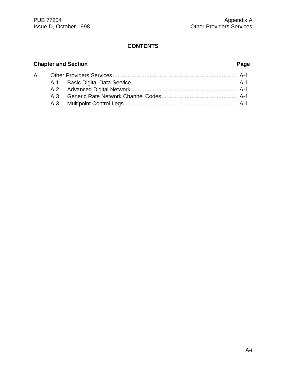## **CONTENTS**

## **Chapter and Section Page**